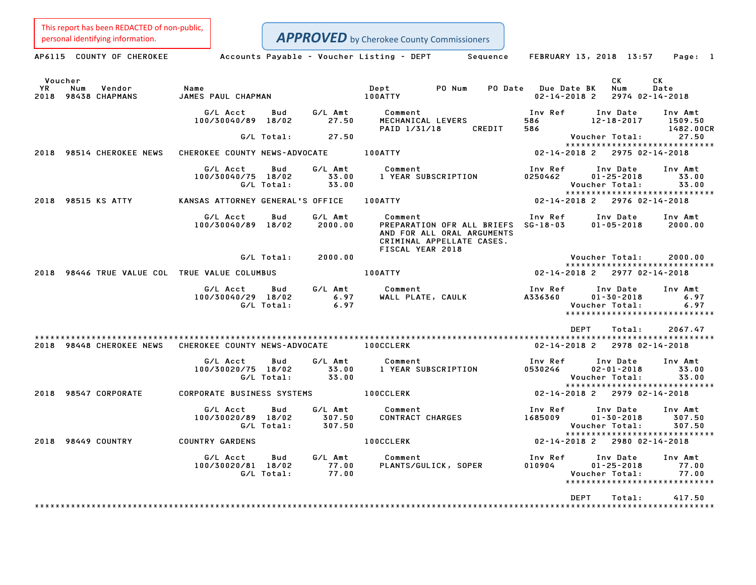This report has been REDACTED of non-public,

Personal identifying information.<br> **APPROVED** by Cherokee County Commissioners<br> **APFROVED** by Cherokee County Commissioners<br>
Sequence FEBRUARY 13, 2018 13:57 Page: 1 Voucher CK CK YR Num Vendor Name Dept PO Num PO Date Due Date BK Num Date 2000 CK CK<br>2018 YR Num Vendor – Name Name (1990) Nept PONum PODate DueDate BK Num Date<br>2018 98438 CHAPMANS – JAMES PAUL CHAPMAN – 100ATTY – 100ATTY – 100ATTY – 12-14-2018 2 2974 02-14-2018 ES PAUL CHAPMAN 02–14–2018 2 2974 02–14–2018<br> G/L Acct Bud G/L Amt Comment Inv Ref Inv Date Inv Amt 100/30040/89 18/02 27.50 MECHANICAL LEVERS <sup>586</sup> 12-18-2017 1509.50 PAID 1/31/18 CREDIT <sup>586</sup> 1482.00CR G/L Total: 27.50 Voucher Total: 27.50 \*\*\*\*\*\*\*\*\*\*\*\*\*\*\*\*\*\*\*\*\*\*\*\*\*\*\*\*\* <sup>2018</sup> <sup>98514</sup> CHEROKEE NEWS CHEROKEE COUNTY NEWS-ADVOCATE 100ATTY 02-14-2018 <sup>2</sup> <sup>2975</sup> 02-14-2018 G/L Acct Bud G/L Amt Comment Inv Ref Inv Date Inv Amt 100/30040/75 18/02 33.00 <sup>1</sup> YEAR SUBSCRIPTION <sup>0250462</sup> 01-25-2018 33.00 cct Bud G/LAmt Comment Inv Ref Inv Date Inv Amt<br>40/75 18/02 33.00 1 YEAR SUBSCRIPTION 0250462 01–25–2018 33.00<br>G/L Total: 33.00 \*\*\*\*\*\*\*\*\*\*\*\*\*\*\*\*\*\*\*\*\*\*\*\*\*\*\*\*\* <sup>2018</sup> <sup>98515</sup> KS ATTY KANSAS ATTORNEY GENERAL'S OFFICE 100ATTY 02-14-2018 <sup>2</sup> <sup>2976</sup> 02-14-2018 G/L Acct Bud G/L Amt Comment Inv Ref Inv Date Inv Amt 100/30040/89 18/02 2000.00 PREPARATION OFR ALL BRIEFS SG-18-03 01-05-2018 2000.00 Comment<br>PREPARATION OFR ALL BRIEFS<br>AND FOR ALL ORAL ARGUMENTS AND FOR ALL ORAL ARGUMENTS CRIMINAL APPELLATE CASES.<br>FISCAL YEAR 2018 G/L Total: 2000.00 Voucher Total: 2000.00 Voucher Total: 2000.00<br>\*\*\*\*\*\*\*\*\*\*\*\*\*\*\*\*\*\*\*\*\*\*\*\*\*\*\*\*\* <sup>2018</sup> <sup>98446</sup> TRUE VALUE COL TRUE VALUE COLUMBUS 100ATTY 02-14-2018 <sup>2</sup> <sup>2977</sup> 02-14-2018 G/L Acct Bud G/L Amt Comment Inv Ref Inv Date Inv Amt 100/30040/29 18/02 6.97 WALL PLATE, CAULK A336360 01-30-2018 6.97 G/L Total: 6.97 Voucher Total: 6.97 \*\*\*\*\*\*\*\*\*\*\*\*\*\*\*\*\*\*\*\*\*\*\*\*\*\*\*\*\* \*\*\*\*\*\*\*\*\*\*\*\*\*\*\*\*\*\*\*\*\*\*\*<br>DEPT Total: 2067.47 \*\*\*\*\*\*\*\*\*\*\*\*\*\*\*\*\*\*\*\*\*\*\*\*\*\*\*\*\*\*\*\*\*\*\*\*\*\*\*\*\*\*\*\*\*\*\*\*\*\*\*\*\*\*\*\*\*\*\*\*\*\*\*\*\*\*\*\*\*\*\*\*\*\*\*\*\*\*\*\*\*\*\*\*\*\*\*\*\*\*\*\*\*\*\*\*\*\*\*\*\*\*\*\*\*\*\*\*\*\*\*\*\*\*\*\*\*\*\*\*\*\*\*\*\*\*\*\*\*\*\*\* <sup>2018</sup> <sup>98448</sup> CHEROKEE NEWS CHEROKEE COUNTY NEWS-ADVOCATE 100CCLERK 02-14-2018 <sup>2</sup> <sup>2978</sup> 02-14-2018 G/L Acct Bud G/L Amt Comment Inv Ref Inv Date Inv Amt 100/10020/2002/ 1002020/2010 1002020/2010 1002020/2010 1002020<br>100/30020/75 18/02 102.00 1 YEAR SUBSCRIPTION 0530246 02-01-2018 33.00 cct Bud G/LAmt Comment Inv Ref Inv Date Inv Amt<br>20/75 18/02 33.00 1 YEAR SUBSCRIPTION 0530246 02–01–2018 33.00<br>G/L Total: 33.00 \*\*\*\*\*\*\*\*\*\*\*\*\*\*\*\*\*\*\*\*\*\*\*\*\*\*\*\*\* <sup>2018</sup> <sup>98547</sup> CORPORATE CORPORATE BUSINESS SYSTEMS 100CCLERK 02-14-2018 <sup>2</sup> <sup>2979</sup> 02-14-2018 G/L Acct Bud G/L Amt Comment Inv Ref Inv Date Inv Amt 100/30020/89 18/02 307.50 CONTRACT CHARGES <sup>1685009</sup> 01-30-2018 307.50 G/L Total: 307.50 Voucher Total: 307.50  $01-30-2018$   $307.50$ <br>Voucher Total:  $307.50$ <br>\*\*\*\*\*\*\*\*\*\*\*\*\*\*\*\*\*\*\*\*\*\*\*\*\*\*\*\*\*\*\*\*\*\* <sup>2018</sup> <sup>98449</sup> COUNTRY COUNTRY GARDENS 100CCLERK 02-14-2018 <sup>2</sup> <sup>2980</sup> 02-14-2018 G/L Acct Bud G/L Amt Comment Inv Ref Inv Date Inv Amt 100/30020/81 18/02 77.00 PLANTS/GULICK, SOPER <sup>010904</sup> 01-25-2018 77.00 G/L Total: 77.00 Voucher Total: 77.00 \*\*\*\*\*\*\*\*\*\*\*\*\*\*\*\*\*\*\*\*\*\*\*\*\*\*\*\*\* \*\*\*\*\*\*\*\*\*\*\*\*\*\*\*\*\*\*\*\*\*\*\*\*<br>DEPT Total: 417.50 \*\*\*\*\*\*\*\*\*\*\*\*\*\*\*\*\*\*\*\*\*\*\*\*\*\*\*\*\*\*\*\*\*\*\*\*\*\*\*\*\*\*\*\*\*\*\*\*\*\*\*\*\*\*\*\*\*\*\*\*\*\*\*\*\*\*\*\*\*\*\*\*\*\*\*\*\*\*\*\*\*\*\*\*\*\*\*\*\*\*\*\*\*\*\*\*\*\*\*\*\*\*\*\*\*\*\*\*\*\*\*\*\*\*\*\*\*\*\*\*\*\*\*\*\*\*\*\*\*\*\*\*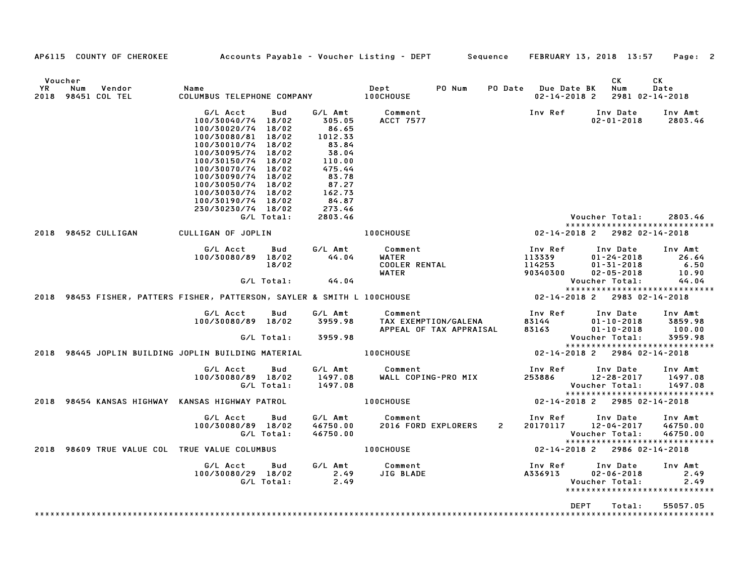|    | AP6115 COUNTY OF CHEROKEE                      | Accounts Payable - Voucher Listing - DEPT Sequence                                                                                                                                                                                                                               |                            |                                                                                                                                       |                                                   |                                                 |                                         | FEBRUARY 13, 2018 13:57                                                                                                 | Page: 2                                    |
|----|------------------------------------------------|----------------------------------------------------------------------------------------------------------------------------------------------------------------------------------------------------------------------------------------------------------------------------------|----------------------------|---------------------------------------------------------------------------------------------------------------------------------------|---------------------------------------------------|-------------------------------------------------|-----------------------------------------|-------------------------------------------------------------------------------------------------------------------------|--------------------------------------------|
| YR | Voucher<br>Num<br>Vendor<br>2018 98451 COL TEL | Name<br>COLUMBUS TELEPHONE COMPANY 100CHOUSE                                                                                                                                                                                                                                     |                            |                                                                                                                                       | Dept                                              | PO Num                                          | PO Date Due Date BK<br>02-14-2018 2     | CK.<br>Num<br>2981 02-14-2018                                                                                           | CK<br>Date                                 |
|    |                                                | G/L Acct<br>100/30040/74 18/02<br>100/30020/74 18/02<br>100/30080/81 18/02<br>100/30010/74 18/02<br>100/30095/74 18/02<br>100/30150/74 18/02<br>100/30070/74 18/02<br>100/30090/74 18/02<br>100/30050/74 18/02<br>100/30030/74 18/02<br>100/30190/74 18/02<br>230/30230/74 18/02 | Bud<br>G/L Total:          | G/L Amt<br>305.05<br>86.65<br>1012.33<br>83.84<br>38.04<br>110.00<br>475.44<br>83.78<br>87.27<br>162.73<br>84.87<br>273.46<br>2803.46 | Comment<br><b>ACCT 7577</b>                       |                                                 | Inv Ref                                 | Inv Date<br>$02 - 01 - 2018$<br>Voucher Total:                                                                          | Inv Amt<br>2803.46<br>2803.46              |
|    | 2018 98452 CULLIGAN                            | CULLIGAN OF JOPLIN                                                                                                                                                                                                                                                               |                            |                                                                                                                                       | <b>100CHOUSE</b>                                  |                                                 | 02-14-2018 2                            | *****************************<br>2982 02-14-2018                                                                        |                                            |
|    |                                                | G/L Acct<br>100/30080/89 18/02                                                                                                                                                                                                                                                   | Bud<br>18/02<br>G/L Total: | G/L Amt<br>44.04<br>44.04                                                                                                             | Comment<br>WATER<br><b>COOLER RENTAL</b><br>WATER |                                                 | Inv Ref<br>113339<br>114253<br>90340300 | Inv Date<br>$01 - 24 - 2018$<br>$01 - 31 - 2018$<br>$02 - 05 - 2018$<br>Voucher Total:<br>***************************** | Inv Amt<br>26.64<br>6.50<br>10.90<br>44.04 |
|    |                                                | 2018 98453 FISHER, PATTERS FISHER, PATTERSON, SAYLER & SMITH L 100CHOUSE                                                                                                                                                                                                         |                            |                                                                                                                                       |                                                   |                                                 | $02 - 14 - 2018$ 2                      | 2983 02-14-2018                                                                                                         |                                            |
|    |                                                | G/L Acct<br>100/30080/89 18/02                                                                                                                                                                                                                                                   | Bud<br>G/L Total:          | G/L Amt<br>3959.98<br>3959.98                                                                                                         | Comment                                           | TAX EXEMPTION/GALENA<br>APPEAL OF TAX APPRAISAL | Inv Ref<br>83144<br>83163               | Inv Date<br>$01 - 10 - 2018$<br>$01 - 10 - 2018$<br>Voucher Total:                                                      | Inv Amt<br>3859.98<br>100.00<br>3959.98    |
|    |                                                | 2018 98445 JOPLIN BUILDING JOPLIN BUILDING MATERIAL                                                                                                                                                                                                                              |                            |                                                                                                                                       | <b>100CHOUSE</b>                                  |                                                 |                                         | *****************************<br>02-14-2018 2 2984 02-14-2018                                                           |                                            |
|    |                                                | G/L Acct<br>100/30080/89 18/02                                                                                                                                                                                                                                                   | Bud<br>G/L Total:          | G/L Amt<br>1497.08<br>1497.08                                                                                                         | Comment<br>WALL COPING-PRO MIX                    |                                                 |                                         | Inv Ref Inv Date<br>253886 12-28-2017<br>Voucher Total:<br>*****************************                                | Inv Amt<br>1497.08<br>1497.08              |
|    |                                                | 2018 98454 KANSAS HIGHWAY KANSAS HIGHWAY PATROL                                                                                                                                                                                                                                  |                            |                                                                                                                                       | <b>100CHOUSE</b>                                  |                                                 |                                         | 02-14-2018 2 2985 02-14-2018                                                                                            |                                            |
|    |                                                | G/L Acct<br>100/30080/89 18/02                                                                                                                                                                                                                                                   | Bud<br>G/L Total:          | G/L Amt<br>46750.00<br>46750.00                                                                                                       | Comment<br>2016 FORD EXPLORERS                    | $\overline{2}$                                  | Inv Ref<br>20170117                     | Inv Date<br>12-04-2017<br>Voucher Total:<br>*****************************                                               | Inv Amt<br>46750.00<br>46750.00            |
|    |                                                | 2018 98609 TRUE VALUE COL TRUE VALUE COLUMBUS                                                                                                                                                                                                                                    |                            |                                                                                                                                       | <b>100CHOUSE</b>                                  |                                                 |                                         | 02-14-2018 2 2986 02-14-2018                                                                                            |                                            |
|    |                                                | G/L Acct<br>100/30080/29 18/02                                                                                                                                                                                                                                                   | Bud<br>G/L Total:          | 2.49<br>2.49                                                                                                                          | G/L Amt Comment<br>JIG BLADE                      |                                                 | Inv Ref<br>A336913                      | Inv Date<br>$02 - 06 - 2018$<br>Voucher Total:<br>*****************************                                         | Inv Amt<br>2.49<br>2.49                    |
|    |                                                |                                                                                                                                                                                                                                                                                  |                            |                                                                                                                                       |                                                   |                                                 |                                         | <b>DEPT</b><br>Total:                                                                                                   | 55057.05                                   |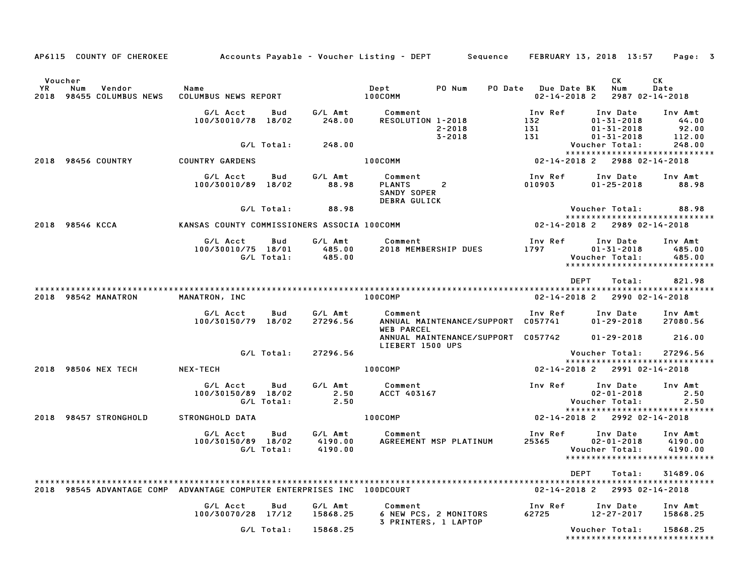| AP6115 COUNTY OF CHEROKEE Accounts Payable - Voucher Listing - DEPT Sequence FEBRUARY 13, 2018 13:57 |                                             |                   |                               |                                                                           |                |                       |                                                                                 | Page: 3                       |
|------------------------------------------------------------------------------------------------------|---------------------------------------------|-------------------|-------------------------------|---------------------------------------------------------------------------|----------------|-----------------------|---------------------------------------------------------------------------------|-------------------------------|
|                                                                                                      |                                             |                   |                               |                                                                           |                |                       |                                                                                 |                               |
| Voucher<br>YR<br>Num<br>Vendor<br>2018 98455 COLUMBUS NEWS                                           | Name<br>COLUMBUS NEWS REPORT 100COMM        |                   |                               | <b>Dept</b>                                                               | PO Num         | PO Date Due Date BK   | СK<br>Num<br>$02 - 14 - 2018$ 2                                                 | CK<br>Date<br>2987 02-14-2018 |
|                                                                                                      | G/L Acct<br>100/30010/78 18/02              | Bud               | G/L Amt<br>248.00             | Comment<br>RESOLUTION 1-2018                                              | $2 - 2018$     | Inv Ref<br>132<br>131 | Inv Date<br>$01 - 31 - 2018$<br>$01 - 31 - 2018$                                | Inv Amt<br>44.00<br>92.00     |
|                                                                                                      |                                             | G/L Total:        | 248.00                        |                                                                           | $3 - 2018$     | 131                   | $01 - 31 - 2018$<br>Voucher Total:                                              | 112.00<br>248.00              |
| 2018 98456 COUNTRY                                                                                   | <b>COUNTRY GARDENS</b>                      |                   |                               | 100COMM                                                                   |                |                       | *****************************<br>02-14-2018 2 2988 02-14-2018                   |                               |
|                                                                                                      | G/L Acct<br>100/30010/89 18/02              | Bud               | G/L Amt<br>88.98              | Comment<br><b>PLANTS</b><br><b>SANDY SOPER</b><br><b>DEBRA GULICK</b>     | $\overline{c}$ | Inv Ref<br>010903     | Inv Date<br>$01 - 25 - 2018$                                                    | Inv Amt<br>88.98              |
|                                                                                                      |                                             | G/L Total:        | 88.98                         |                                                                           |                |                       | Voucher Total:<br>*****************************                                 | 88.98                         |
| 2018 98546 KCCA                                                                                      | KANSAS COUNTY COMMISSIONERS ASSOCIA 100COMM |                   |                               |                                                                           |                |                       | 02-14-2018 2 2989 02-14-2018                                                    |                               |
|                                                                                                      | G/L Acct<br>100/30010/75 18/01              | Bud<br>G/L Total: | G/L Amt<br>485.00<br>485.00   | Comment<br>2018 MEMBERSHIP DUES                                           |                | Inv Ref<br>1797       | Inv Date<br>$01 - 31 - 2018$<br>Voucher Total:<br>***************************** | Inv Amt<br>485.00<br>485.00   |
| 2018 98542 MANATRON                                                                                  | MANATRON, INC                               |                   |                               | 100COMP                                                                   |                |                       | <b>DEPT</b><br>Total:<br>$02 - 14 - 2018$ 2                                     | 821.98<br>2990 02-14-2018     |
|                                                                                                      | G/L Acct<br>100/30150/79 18/02              | Bud               | G/L Amt<br>27296.56           | <b>Comment</b><br>ANNUAL MAINTENANCE/SUPPORT C057741<br><b>WEB PARCEL</b> |                | Inv Ref               | Inv Date<br>$01 - 29 - 2018$                                                    | Inv Amt<br>27080.56           |
|                                                                                                      |                                             |                   |                               | LIEBERT 1500 UPS                                                          |                |                       | ANNUAL MAINTENANCE/SUPPORT C057742 01-29-2018                                   | 216.00                        |
|                                                                                                      |                                             | G/L Total:        | 27296.56                      |                                                                           |                |                       | Voucher Total:<br>*****************************                                 | 27296.56                      |
| 2018 98506 NEX TECH                                                                                  | NEX-TECH                                    |                   |                               | 100COMP                                                                   |                |                       | 02-14-2018 2 2991 02-14-2018                                                    |                               |
|                                                                                                      | G/L Acct<br>100/30150/89 18/02              | Bud<br>G/L Total: | G/L Amt<br>2.50<br>2.50       | Comment<br>ACCT 403167                                                    |                | Inv Ref               | Inv Date<br>$02 - 01 - 2018$<br>Voucher Total:                                  | Inv Amt<br>2.50<br>2.50       |
| 2018 98457 STRONGHOLD                                                                                | STRONGHOLD DATA                             |                   |                               | 100COMP                                                                   |                |                       | *****************************<br>$02 - 14 - 2018$ 2 2992 02-14-2018             |                               |
|                                                                                                      | G/L Acct<br>100/30150/89 18/02              | Bud<br>G/L Total: | G/L Amt<br>4190.00<br>4190.00 | Comment<br>AGREEMENT MSP PLATINUM                                         |                | Inv Ref<br>25365      | Inv Date<br>$02 - 01 - 2018$<br>Voucher Total:<br>***************************** | Inv Amt<br>4190.00<br>4190.00 |
| 2018 98545 ADVANTAGE COMP ADVANTAGE COMPUTER ENTERPRISES INC 100DCOURT                               |                                             |                   |                               |                                                                           |                | $02 - 14 - 2018$ 2    | DEPT<br>Total:                                                                  | 31489.06<br>2993 02-14-2018   |
|                                                                                                      | G/L Acct<br>100/30070/28 17/12              | Bud               | G/L Amt<br>15868.25           | Comment<br>6 NEW PCS, 2 MONITORS<br>3 PRINTERS, 1 LAPTOP                  |                | Inv Ref<br>62725      | Inv Date<br>$12 - 27 - 2017$                                                    | Inv Amt<br>15868.25           |
|                                                                                                      |                                             | G/L Total:        | 15868.25                      |                                                                           |                |                       | Voucher Total:<br>*****************************                                 | 15868.25                      |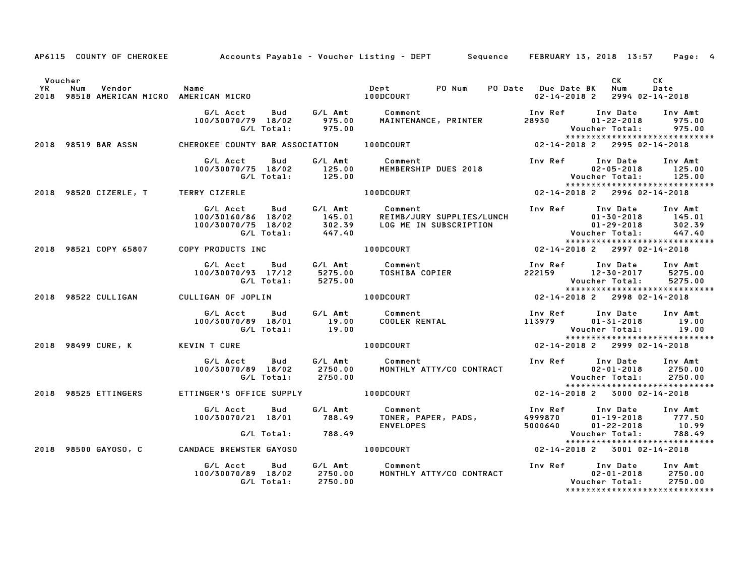|         |                      |                                                        | AP6115 COUNTY OF CHEROKEE Accounts Payable - Voucher Listing - DEPT Sequence FEBRUARY 13, 2018 13:57 Page: 4                                                                                                                            |                                      |                               |
|---------|----------------------|--------------------------------------------------------|-----------------------------------------------------------------------------------------------------------------------------------------------------------------------------------------------------------------------------------------|--------------------------------------|-------------------------------|
| Voucher |                      |                                                        |                                                                                                                                                                                                                                         | CK L<br>02-14-2018 2 2994 02-14-2018 | CK<br>Date                    |
|         |                      |                                                        | G/L Acct Bud G/L Amt Comment Inv Ref Inv Date Inv Amt<br>100/30070/79 18/02 975.00 MAINTENANCE, PRINTER 28930 01-22-2018 975.00<br>G/L Total: 975.00 MAINTENANCE, PRINTER 28930 01-22-2018 975.00<br>2018 98519 BAR ASSN CHEROKEE COUNT |                                      |                               |
|         |                      |                                                        |                                                                                                                                                                                                                                         |                                      |                               |
|         |                      |                                                        |                                                                                                                                                                                                                                         |                                      |                               |
|         |                      |                                                        |                                                                                                                                                                                                                                         |                                      |                               |
|         |                      |                                                        | 6/LAcct Bud G/LAmt Comment InvRef InvDate InvAmt<br>100/30160/86 18/02 145.01 REIMB/JURY SUPPLIES/LUNCH 01-30-2018 145.01<br>100/30070/75 18/02 302.39 LOGMEINSUBSCRIPTION 01-29-2018 302.39<br>6/LTotal: 447.40 WoucherTotal: 447.40   |                                      |                               |
|         |                      |                                                        | 2018 98521 COPY 65807 COPY PRODUCTS INC <b>100DCOURT</b> 100DCOURT 02-14-2018 2 2997 02-14-2018                                                                                                                                         |                                      |                               |
|         |                      |                                                        | 6/L Acct Bud G/L Amt Comment Inv Ref Inv Date Inv Amt<br>100/30070/93 17/12 5275.00 TOSHIBACOPIER 222159 12-30-2017 5275.00<br>6/L Total: 5275.00 FOSHIBACOPIER 222159 Voucher Total: 5275.00<br>2018 98522 CULLIGAN CULLIGAN OF JOPLIN |                                      |                               |
|         |                      |                                                        |                                                                                                                                                                                                                                         |                                      | ***************************** |
|         |                      |                                                        | G/L Acct Bud G/L Amt Comment Inv Ref Inv Date Inv Amt<br>19.00 19/07/30070/89 18/01 19.00 COOLER RENTAL 113979 01-31-2018 19.00<br>C/L Total: 19.00 COOLER RENTAL 113979 Voucher Total: 19.00<br>2018 98499 CURE, K KEVIN T CURE 100DCO |                                      |                               |
|         |                      |                                                        |                                                                                                                                                                                                                                         |                                      |                               |
|         |                      |                                                        |                                                                                                                                                                                                                                         |                                      |                               |
|         | 2018 98525 ETTINGERS |                                                        | ETTINGER'S OFFICE SUPPLY 100DCOURT 02-14-2018 2 3000 02-14-2018                                                                                                                                                                         |                                      |                               |
|         |                      |                                                        |                                                                                                                                                                                                                                         |                                      |                               |
|         |                      | 2018 98500 GAYOSO, C CANDACE BREWSTER GAYOSO 100DCOURT | $02 - 14 - 2018$ $2 \text{ } 3001$ $02 - 14 - 2018$                                                                                                                                                                                     |                                      |                               |
|         |                      |                                                        | G/L Acct       Bud        G/L Amt           Comment                                Inv Ref      Inv Date      Inv Amt<br>100/30070/89    18/02         2750.00           MONTHLY ATTY/CO CONTRACT                                       |                                      | ***************************** |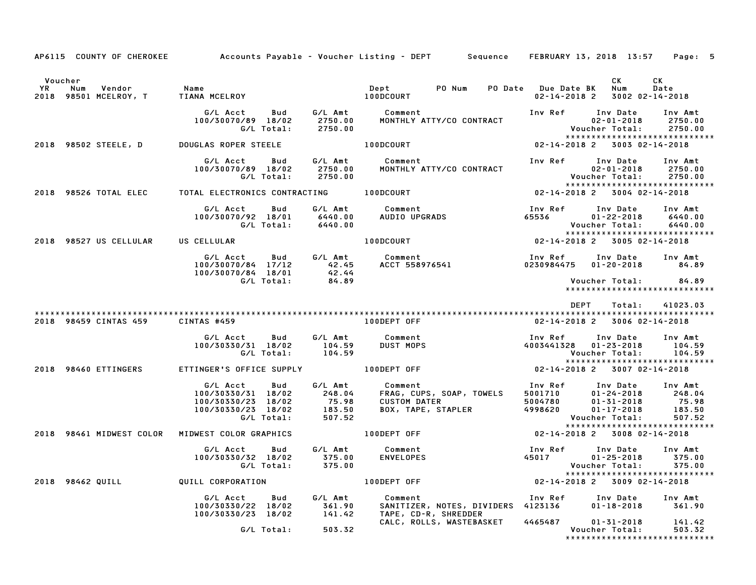|                                                 |                                                                                                                    |                                                                                                                                                                              | AP6115 COUNTY OF CHEROKEE Accounts Payable - Voucher Listing - DEPT Sequence FEBRUARY 13, 2018 13:57 Page: 5                                                                                                                                                                        |
|-------------------------------------------------|--------------------------------------------------------------------------------------------------------------------|------------------------------------------------------------------------------------------------------------------------------------------------------------------------------|-------------------------------------------------------------------------------------------------------------------------------------------------------------------------------------------------------------------------------------------------------------------------------------|
| Voucher                                         |                                                                                                                    |                                                                                                                                                                              | CK<br><b>CK</b><br>02-14-2018 2 3002 02-14-2018                                                                                                                                                                                                                                     |
|                                                 | G/L Acct  Bud  G/L Amt  Comment<br>100/30070/89 18/02  2750.00  MONTHLY ATTY/CO<br>G/L Total: 2750.00              | The Ref The Date<br>MONTHLY ATTY/CO CONTRACT The Ref Assessment                                                                                                              | Inv Amt<br>2750.00<br>Voucher Total: 2750.00<br>*****************************                                                                                                                                                                                                       |
| 2018 98502 STEELE, D                            | DOUGLAS ROPER STEELE                                                                                               | 100DCOURT NOTE                                                                                                                                                               | 02-14-2018 2 3003 02-14-2018                                                                                                                                                                                                                                                        |
|                                                 | G/L Acct<br>100/30070/89 18/02<br>G/L Total:       2750.00                                                         | Inv Ref                                                                                                                                                                      | Inv Date<br>Inv Amt<br>2750.00<br>02-01-2018<br>:Voucher Total<br>2750.00                                                                                                                                                                                                           |
|                                                 |                                                                                                                    |                                                                                                                                                                              | 02-14-2018 2 3004 02-14-2018                                                                                                                                                                                                                                                        |
|                                                 |                                                                                                                    |                                                                                                                                                                              | 6/L Acct Bud G/L Amt Comment Inv Ref Inv Date Inv Amt<br>100/30070/92 18/01 6440.00 AUDIO UPGRADS 65536 01-22-2018 6440.00<br>6/L Total: 6440.00 100DCOURT 100DCOURT 02-14-2018 2 3005-02-14-2018<br>*****************************                                                  |
| 2018 98527 US CELLULAR US CELLULAR              |                                                                                                                    |                                                                                                                                                                              |                                                                                                                                                                                                                                                                                     |
|                                                 |                                                                                                                    |                                                                                                                                                                              | 6/L Acct Bud G/L Amt Comment 100/30070/84 17/12 42.45 ACCT 558976541 100/30070/84 18/01 42.44<br>100/30070/84 18/01 42.44 ACCT 558976541 0230984475 01–20–2018 84.89<br>6/L Total: 84.89 6/L Total: 84.89                                                                           |
|                                                 |                                                                                                                    |                                                                                                                                                                              | *****************************                                                                                                                                                                                                                                                       |
|                                                 |                                                                                                                    |                                                                                                                                                                              | DEPT  Total:  41023.03                                                                                                                                                                                                                                                              |
| 2018 98459 CINTAS 459 CINTAS #459               |                                                                                                                    |                                                                                                                                                                              | 02-14-2018 2 3006 02-14-2018                                                                                                                                                                                                                                                        |
|                                                 | 100/30330/31 18/02 104.59<br>G/L Total: 104.59                                                                     | AS #459<br>G/L Acct Bud G/L Amt Comment<br>The Tagle 18/02 104.59 DUST MOPS                                                                                                  | Inv Ref Inv Date Inv Amt<br>4003441328 01-23-2018<br>328 01-23-2018 104.59<br>Voucher Total: 104.59<br>******************************                                                                                                                                               |
| 2018 98460 ETTINGERS                            | ETTINGER'S OFFICE SUPPLY                                                                                           | 100DEPT OFF                                                                                                                                                                  | 02-14-2018 2 3007 02-14-2018                                                                                                                                                                                                                                                        |
|                                                 | G/L Acct<br>Bud<br>100/30330/31 18/02<br>100/30330/23 18/02 75.98<br>100/30330/23 18/02 75.98<br>6/L Total: 507.52 | G/L Amt Comment<br>248.04 FRAG, CUF                                                                                                                                          | 001110 Comment<br>FRAG, CUPS, SOAP, TOWELS<br>CUSTOM DATER<br>BOX, TAPE, STAPLER<br>BOX, TAPE, STAPLER<br>CUSTOM DATER<br>BOX, TAPE, STAPLER<br>CUSTOM DATER<br>CONGRESS ON TAPE, STAPLER<br>CONGRESS ON TAPE, STAPLER<br>CONGRESS ON TAPE, STAPLE<br>***************************** |
| 2018 98461 MIDWEST COLOR MIDWEST COLOR GRAPHICS |                                                                                                                    | 100DEPT OFF                                                                                                                                                                  | $02 - 14 - 2018$ 2 3008 02-14-2018                                                                                                                                                                                                                                                  |
|                                                 | G/L Acct Bud G/L Amt Comment<br>100/30330/32 18/02 375.00<br>G/L Total: 375.00                                     | Comment<br>ENVELOPES                                                                                                                                                         | Inv Ref Inv Date<br>Inv Amt<br>45017<br>$01 - 25 - 2018$<br>375.00<br>375.00<br>*****************************                                                                                                                                                                       |
| 2018 98462 QUILL CORPORATION                    |                                                                                                                    | 100DEPT OFF                                                                                                                                                                  | Voucher Total: 375.0<br>**************************<br>02-14-2018 2 3009 02-14-2018                                                                                                                                                                                                  |
|                                                 |                                                                                                                    | G/L Acct Bud G/L Amt Comment<br>100/30330/22 18/02 361.90 SANITIZER, NOTES, DIVIDERS<br>100/30330/23 18/02 141.42 TAPE, CD-R, SHREDDER<br>SANITIZER, NOTES, DIVIDERS 4123136 | Inv Ref      Inv Date     Inv Amt<br>361.90<br>01-18-2018                                                                                                                                                                                                                           |
|                                                 | G/L Total: 503.32                                                                                                  |                                                                                                                                                                              | CALC, ROLLS, WASTEBASKET 4465487 01-31-2018 141.42<br>*****************************                                                                                                                                                                                                 |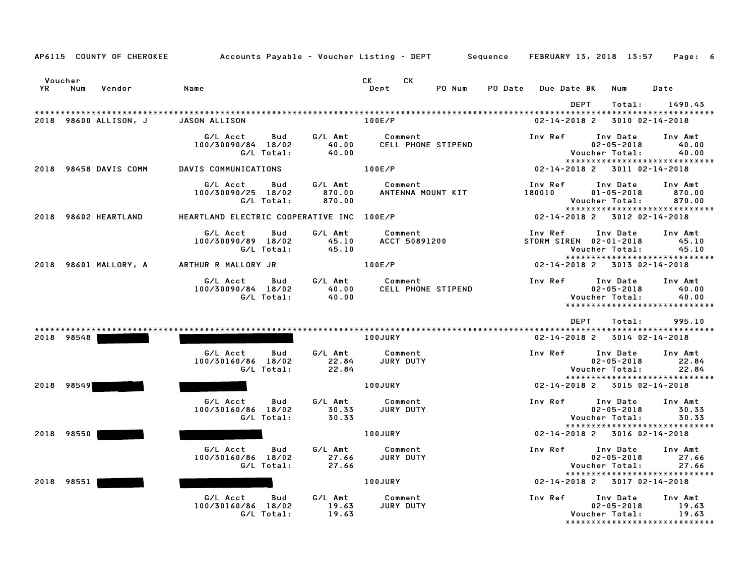|            |     | AP6115 COUNTY OF CHEROKEE | Accounts Payable – Voucher Listing – DEPT Sequence |                   |                             |                                      |        |         | <b>FEBRUARY 13, 2018 13:57</b>             |                                                |                           | Page: 6                                                      |  |
|------------|-----|---------------------------|----------------------------------------------------|-------------------|-----------------------------|--------------------------------------|--------|---------|--------------------------------------------|------------------------------------------------|---------------------------|--------------------------------------------------------------|--|
| Voucher    |     |                           |                                                    |                   |                             | <b>CK</b><br><b>CK</b>               |        |         |                                            |                                                |                           |                                                              |  |
| YR         | Num | Vendor                    | Name                                               |                   |                             | Dept                                 | PO Num | PO Date | <b>Due Date BK</b>                         |                                                | Num                       | Date                                                         |  |
|            |     | 2018 98600 ALLISON, J     | JASON ALLISON                                      |                   |                             | 100E/P                               |        |         | 02-14-2018 2                               | <b>DEPT</b>                                    | Total:<br>3010 02-14-2018 | 1490.43                                                      |  |
|            |     |                           | G/L Acct<br>100/30090/84 18/02                     | Bud<br>G/L Total: | G/L Amt<br>40.00<br>40.00   | Comment<br><b>CELL PHONE STIPEND</b> |        |         | Inv Ref                                    | Inv Date<br>$02 - 05 - 2018$<br>Voucher Total: |                           | Inv Amt<br>40.00<br>40.00<br>*****************************   |  |
|            |     | 2018 98458 DAVIS COMM     | DAVIS COMMUNICATIONS                               |                   |                             | 100E/P                               |        |         | 02-14-2018 2 3011 02-14-2018               |                                                |                           |                                                              |  |
|            |     |                           | G/L Acct<br>100/30090/25 18/02                     | Bud<br>G/L Total: | G/L Amt<br>870.00<br>870.00 | Comment<br>ANTENNA MOUNT KIT         |        |         | Inv Ref<br>180010                          | Inv Date<br>$01 - 05 - 2018$<br>Voucher Total: |                           | Inv Amt<br>870.00<br>870.00<br>***************************** |  |
|            |     | 2018 98602 HEARTLAND      | HEARTLAND ELECTRIC COOPERATIVE INC 100E/P          |                   |                             |                                      |        |         | 02-14-2018 2 3012 02-14-2018               |                                                |                           |                                                              |  |
|            |     |                           | G/L Acct<br>100/30090/89 18/02                     | Bud<br>G/L Total: | G/L Amt<br>45.10<br>45.10   | Comment<br><b>ACCT 50891200</b>      |        |         | Inv Ref Inv Date<br>STORM SIREN 02-01-2018 | Voucher Total:                                 |                           | Inv Amt<br>45.10<br>45.10<br>*****************************   |  |
|            |     | 2018 98601 MALLORY, A     | ARTHUR R MALLORY JR                                |                   |                             | 100E/P                               |        |         | 02-14-2018 2 3013 02-14-2018               |                                                |                           |                                                              |  |
|            |     |                           | G/L Acct<br>100/30090/84 18/02                     | Bud<br>G/L Total: | G/L Amt<br>40.00<br>40.00   | Comment<br><b>CELL PHONE STIPEND</b> |        |         | Inv Ref                                    | Inv Date<br>$02 - 05 - 2018$<br>Voucher Total: |                           | Inv Amt<br>40.00<br>40.00<br>*****************************   |  |
|            |     |                           |                                                    |                   |                             |                                      |        |         |                                            | DEPT                                           | Total:                    | 995.10                                                       |  |
| 2018 98548 |     |                           |                                                    |                   |                             | <b>100JURY</b>                       |        |         | 02-14-2018 2 3014 02-14-2018               |                                                |                           |                                                              |  |
|            |     |                           | G/L Acct<br>100/30160/86 18/02                     | Bud<br>G/L Total: | G/L Amt<br>22.84<br>22.84   | Comment<br>JURY DUTY                 |        |         | Inv Ref Inv Date                           | Voucher Total:                                 | $02 - 05 - 2018$          | Inv Amt<br>22.84<br>22.84                                    |  |
| 2018 98549 |     |                           |                                                    |                   |                             | <b>100JURY</b>                       |        |         | 02-14-2018 2 3015 02-14-2018               |                                                |                           | *****************************                                |  |
|            |     |                           | G/L Acct<br>100/30160/86 18/02                     | Bud<br>G/L Total: | G/L Amt<br>30.33<br>30.33   | Comment<br>JURY DUTY                 |        |         | Inv Ref                                    | Inv Date<br>Voucher Total:                     | $02 - 05 - 2018$          | Inv Amt<br>30.33<br>30.33                                    |  |
| 2018 98550 |     |                           |                                                    |                   |                             | <b>100JURY</b>                       |        |         | 02-14-2018 2 3016 02-14-2018               |                                                |                           | *****************************                                |  |
|            |     |                           | G/L Acct<br>100/30160/86 18/02                     | Bud<br>G/L Total: | G/L Amt<br>27.66<br>27.66   | Comment<br>JURY DUTY                 |        |         | Inv Ref                                    | Inv Date<br>Voucher Total:                     | $02 - 05 - 2018$          | Inv Amt<br>27.66<br>27.66<br>*****************************   |  |
| 2018 98551 |     |                           |                                                    |                   |                             | 100JURY                              |        |         | 02-14-2018 2 3017 02-14-2018               |                                                |                           |                                                              |  |
|            |     |                           | G/L Acct<br>100/30160/86 18/02                     | Bud<br>G/L Total: | G/L Amt<br>19.63<br>19.63   | Comment<br>JURY DUTY                 |        |         | Inv Ref                                    | Inv Date<br>Voucher Total:                     | $02 - 05 - 2018$          | Inv Amt<br>19.63<br>19.63<br>******************************  |  |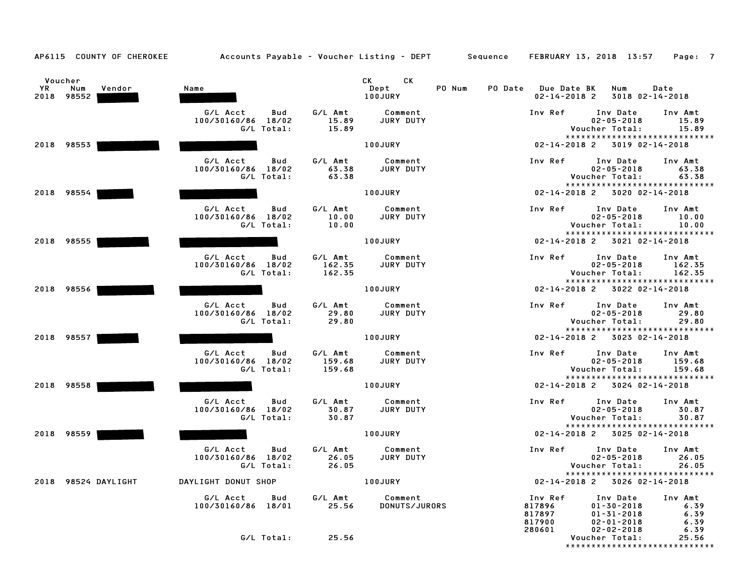| YR | Voucher<br>Num<br>Vendor | Name                                  |                  | CK CK<br>PO Num<br>Dept  | <b>PO Date</b> Due Date BK   | Num                                                           | Date             |
|----|--------------------------|---------------------------------------|------------------|--------------------------|------------------------------|---------------------------------------------------------------|------------------|
|    | 2018 98552               |                                       |                  | 100JURY                  | $02 - 14 - 2018$ 2           | 3018 02-14-2018                                               |                  |
|    |                          | G/L Acct<br>Bud<br>100/30160/86 18/02 | G/L Amt<br>15.89 | Comment<br>JURY DUTY     | Inv Ref                      | Inv Date<br>$02 - 05 - 2018$                                  | Inv Amt<br>15.89 |
|    |                          | G/L Total:                            | 15.89            |                          |                              | Voucher Total:<br>*****************************               | 15.89            |
|    | 2018 98553               |                                       |                  | 100JURY                  |                              | 02-14-2018 2 3019 02-14-2018                                  |                  |
|    |                          | G/L Acct<br>Bud                       | G/L Amt          | Comment                  | Inv Ref                      | Inv Date                                                      | Inv Amt          |
|    |                          | 100/30160/86 18/02<br>G/L Total:      | 63.38<br>63.38   | JURY DUTY                |                              | $02 - 05 - 2018$<br>Voucher Total:                            | 63.38<br>63.38   |
|    |                          |                                       |                  |                          |                              | *****************************                                 |                  |
|    | 2018 98554               |                                       |                  | 100JURY                  |                              | 02-14-2018 2 3020 02-14-2018                                  |                  |
|    |                          | G/L Acct<br>Bud<br>100/30160/86 18/02 | G/L Amt<br>10.00 | Comment<br>JURY DUTY     | Inv Ref                      | Inv Date<br>$02 - 05 - 2018$                                  | Inv Amt<br>10.00 |
|    |                          | G/L Total:                            | 10.00            |                          |                              | Voucher Total:                                                | 10.00            |
|    | 2018 98555               |                                       |                  | 100JURY                  |                              | *****************************<br>02-14-2018 2 3021 02-14-2018 |                  |
|    |                          | G/L Acct<br>Bud                       | G/L Amt          | Comment                  | Inv Ref                      | Inv Date                                                      | Inv Amt          |
|    |                          | 100/30160/86 18/02<br>G/L Total:      | 162.35<br>162.35 | JURY DUTY                |                              | $02 - 05 - 2018$<br>Voucher Total:                            | 162.35<br>162.35 |
|    | 2018 98556               |                                       |                  | 100JURY                  |                              | *****************************<br>02-14-2018 2 3022 02-14-2018 |                  |
|    |                          |                                       |                  |                          |                              |                                                               |                  |
|    |                          | G/L Acct<br>Bud<br>100/30160/86 18/02 | G/L Amt<br>29.80 | Comment<br>JURY DUTY     | Inv Ref                      | Inv Date<br>$02 - 05 - 2018$                                  | Inv Amt<br>29.80 |
|    |                          | G/L Total:                            | 29.80            |                          |                              | Voucher Total:                                                | 29.80            |
|    | 2018 98557               |                                       |                  | 100JURY                  |                              | *****************************<br>02-14-2018 2 3023 02-14-2018 |                  |
|    |                          | G/L Acct<br>Bud                       | G/L Amt          | Comment                  | Inv Ref                      | Inv Date                                                      | Inv Amt          |
|    |                          | 100/30160/86 18/02<br>G/L Total:      | 159.68<br>159.68 | JURY DUTY                |                              | $02 - 05 - 2018$<br>Voucher Total:                            | 159.68<br>159.68 |
|    |                          |                                       |                  |                          |                              | *****************************                                 |                  |
|    | 2018 98558               |                                       |                  | 100JURY                  |                              | 02-14-2018 2 3024 02-14-2018                                  |                  |
|    |                          | G/L Acct<br>Bud<br>100/30160/86 18/02 | G/L Amt<br>30.87 | Comment<br>JURY DUTY     | Inv Ref                      | Inv Date<br>$02 - 05 - 2018$                                  | Inv Amt<br>30.87 |
|    |                          | G/L Total:                            | 30.87            |                          |                              | Voucher Total:                                                | 30.87            |
|    | 2018 98559               |                                       |                  | <b>100JURY</b>           |                              | *****************************<br>02-14-2018 2 3025 02-14-2018 |                  |
|    |                          | G/L Acct<br>Bud                       | G/L Amt          | Comment                  | Inv Ref                      | Inv Date                                                      | Inv Amt          |
|    |                          | 100/30160/86 18/02<br>G/L Total:      | 26.05<br>26.05   | JURY DUTY                |                              | $02 - 05 - 2018$<br>Voucher Total:                            | 26.05<br>26.05   |
|    |                          |                                       |                  |                          |                              | *****************************                                 |                  |
|    | 2018 98524 DAYLIGHT      | DAYLIGHT DONUT SHOP                   |                  | 100JURY                  | 02-14-2018 2 3026 02-14-2018 |                                                               |                  |
|    |                          | G/L Acct<br>Bud<br>100/30160/86 18/01 | G/L Amt<br>25.56 | Comment<br>DONUTS/JURORS | Inv Ref<br>817896            | Inv Date<br>$01 - 30 - 2018$                                  | Inv Amt<br>6.39  |
|    |                          |                                       |                  |                          | 817897                       | $01 - 31 - 2018$                                              | 6.39             |
|    |                          |                                       |                  |                          | 817900<br>280601             | $02 - 01 - 2018$<br>$02 - 02 - 2018$                          | 6.39<br>6.39     |
|    |                          | G/L Total:                            | 25.56            |                          |                              | Voucher Total:<br>*****************************               | 25.56            |
|    |                          |                                       |                  |                          |                              |                                                               |                  |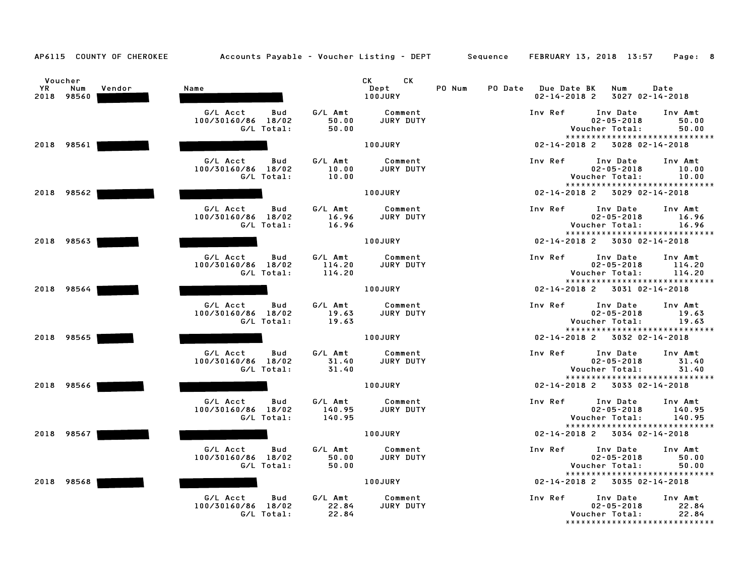| <b>YR</b> | Voucher<br>Num<br>2018 98560 | Vendor | Name                                                |                             | CK <sub>2</sub><br>CK<br>Dept<br>100JURY | PO Num | PO Date Due Date BK<br>$02 - 14 - 2018$ 2 | Num<br>3027 02-14-2018                                                          | Date                        |
|-----------|------------------------------|--------|-----------------------------------------------------|-----------------------------|------------------------------------------|--------|-------------------------------------------|---------------------------------------------------------------------------------|-----------------------------|
|           |                              |        | G/L Acct<br>Bud<br>100/30160/86 18/02<br>G/L Total: | G/L Amt<br>50.00<br>50.00   | Comment<br>JURY DUTY                     |        | Inv Ref                                   | Inv Date<br>$02 - 05 - 2018$<br>Voucher Total:                                  | Inv Amt<br>50.00<br>50.00   |
|           |                              |        |                                                     |                             |                                          |        |                                           | *****************************                                                   |                             |
|           | 2018 98561                   |        |                                                     |                             | <b>100JURY</b>                           |        | $02 - 14 - 2018$ 2                        | 3028 02-14-2018                                                                 |                             |
|           |                              |        | G/L Acct<br>Bud<br>100/30160/86 18/02<br>G/L Total: | G/L Amt<br>10.00<br>10.00   | Comment<br>JURY DUTY                     |        | Inv Ref                                   | Inv Date<br>$02 - 05 - 2018$<br>Voucher Total:<br>***************************** | Inv Amt<br>10.00<br>10.00   |
|           | 2018 98562                   |        |                                                     |                             | <b>100JURY</b>                           |        |                                           | $02 - 14 - 2018$ 2 3029 02-14-2018                                              |                             |
|           |                              |        | G/L Acct<br>Bud<br>100/30160/86 18/02<br>G/L Total: | G/L Amt<br>16.96<br>16.96   | Comment<br>JURY DUTY                     |        | Inv Ref                                   | Inv Date<br>$02 - 05 - 2018$<br>Voucher Total:                                  | Inv Amt<br>16.96<br>16.96   |
|           | 2018 98563                   |        |                                                     |                             | 100JURY                                  |        |                                           | *****************************<br>02-14-2018 2 3030 02-14-2018                   |                             |
|           |                              |        | G/L Acct<br>Bud<br>100/30160/86 18/02<br>G/L Total: | G/L Amt<br>114.20<br>114.20 | Comment<br><b>JURY DUTY</b>              |        | Inv Ref                                   | Inv Date<br>$02 - 05 - 2018$<br>Voucher Total:                                  | Inv Amt<br>114.20<br>114.20 |
|           | 2018 98564                   |        |                                                     |                             | 100JURY                                  |        |                                           | *****************************<br>02-14-2018 2 3031 02-14-2018                   |                             |
|           |                              |        | G/L Acct<br>Bud<br>100/30160/86 18/02<br>G/L Total: | G/L Amt<br>19.63<br>19.63   | Comment<br>JURY DUTY                     |        | Inv Ref                                   | Inv Date<br>$02 - 05 - 2018$<br>Voucher Total:                                  | Inv Amt<br>19.63<br>19.63   |
|           | 2018 98565                   |        |                                                     |                             | 100JURY                                  |        |                                           | *****************************<br>02-14-2018 2 3032 02-14-2018                   |                             |
|           |                              |        | G/L Acct<br>Bud<br>100/30160/86 18/02<br>G/L Total: | G/L Amt<br>31.40<br>31.40   | Comment<br>JURY DUTY                     |        | Inv Ref                                   | Inv Date<br>$02 - 05 - 2018$<br>Voucher Total:                                  | Inv Amt<br>31.40<br>31.40   |
|           | 2018 98566                   |        |                                                     |                             | 100JURY                                  |        |                                           | *****************************<br>02-14-2018 2 3033 02-14-2018                   |                             |
|           |                              |        | G/L Acct<br>Bud<br>100/30160/86 18/02<br>G/L Total: | G/L Amt<br>140.95<br>140.95 | Comment<br>JURY DUTY                     |        | Inv Ref                                   | Inv Date<br>$02 - 05 - 2018$<br>Voucher Total:                                  | Inv Amt<br>140.95<br>140.95 |
|           | 2018 98567                   |        |                                                     |                             | 100JURY                                  |        |                                           | *****************************<br>02-14-2018 2 3034 02-14-2018                   |                             |
|           |                              |        | G/L Acct<br>Bud<br>100/30160/86 18/02<br>G/L Total: | G/L Amt<br>50.00<br>50.00   | Comment<br>JURY DUTY                     |        | Inv Ref                                   | Inv Date<br>$02 - 05 - 2018$<br>Voucher Total:<br>***************************** | Inv Amt<br>50.00<br>50.00   |
|           | 2018 98568                   |        |                                                     |                             | 100JURY                                  |        |                                           | 02-14-2018 2 3035 02-14-2018                                                    |                             |
|           |                              |        | G/L Acct<br>Bud<br>100/30160/86 18/02<br>G/L Total: | G/L Amt<br>22.84<br>22.84   | Comment<br>JURY DUTY                     |        | Inv Ref                                   | Inv Date<br>$02 - 05 - 2018$<br>Voucher Total:<br>***************************** | Inv Amt<br>22.84<br>22.84   |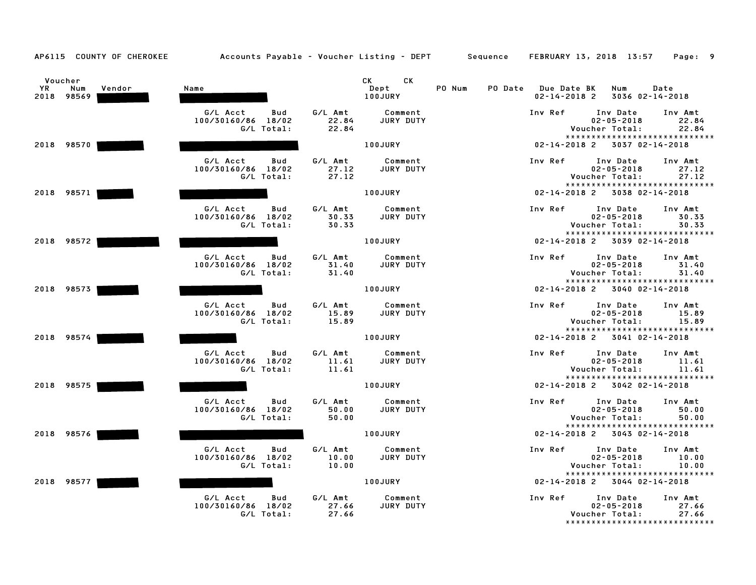|           | Voucher           |        |                                       |                  | CK<br>CK and the set of the set of the set of the set of the set of the set of the set of the set of the set of the set of the set of the set of the set of the set of the set of the set of the set of the set of the set of the se |        |         |                                          |                                                                     |                               |
|-----------|-------------------|--------|---------------------------------------|------------------|--------------------------------------------------------------------------------------------------------------------------------------------------------------------------------------------------------------------------------------|--------|---------|------------------------------------------|---------------------------------------------------------------------|-------------------------------|
| <b>YR</b> | Num<br>2018 98569 | Vendor | Name                                  |                  | Dept<br>100JURY                                                                                                                                                                                                                      | PO Num | PO Date | <b>Due Date BK</b><br>$02 - 14 - 2018$ 2 | Num<br>3036 02-14-2018                                              | Date                          |
|           |                   |        | G/L Acct<br>Bud<br>100/30160/86 18/02 | G/L Amt<br>22.84 | Comment<br>JURY DUTY                                                                                                                                                                                                                 |        |         | Inv Ref                                  | Inv Date<br>$02 - 05 - 2018$                                        | Inv Amt<br>22.84              |
|           |                   |        | G/L Total:                            | 22.84            |                                                                                                                                                                                                                                      |        |         |                                          | Voucher Total:                                                      | 22.84                         |
|           | 2018 98570        |        |                                       |                  | <b>100JURY</b>                                                                                                                                                                                                                       |        |         | $02 - 14 - 2018$ 2                       | *****************************<br>3037 02-14-2018                    |                               |
|           |                   |        |                                       |                  |                                                                                                                                                                                                                                      |        |         |                                          |                                                                     |                               |
|           |                   |        | G/L Acct<br>Bud                       | G/L Amt          | Comment                                                                                                                                                                                                                              |        |         | Inv Ref                                  | Inv Date                                                            | Inv Amt                       |
|           |                   |        | 100/30160/86 18/02<br>G/L Total:      | 27.12<br>27.12   | JURY DUTY                                                                                                                                                                                                                            |        |         |                                          | $02 - 05 - 2018$<br>Voucher Total:                                  | 27.12<br>27.12                |
|           |                   |        |                                       |                  |                                                                                                                                                                                                                                      |        |         |                                          |                                                                     | ***************************** |
|           | 2018 98571        |        |                                       |                  | <b>100JURY</b>                                                                                                                                                                                                                       |        |         |                                          | 02-14-2018 2 3038 02-14-2018                                        |                               |
|           |                   |        | G/L Acct<br>Bud                       | G/L Amt          | Comment                                                                                                                                                                                                                              |        |         | Inv Ref                                  | Inv Date                                                            | Inv Amt                       |
|           |                   |        | 100/30160/86 18/02<br>G/L Total:      | 30.33<br>30.33   | JURY DUTY                                                                                                                                                                                                                            |        |         |                                          | $02 - 05 - 2018$<br>Voucher Total:                                  | 30.33<br>30.33                |
|           |                   |        |                                       |                  |                                                                                                                                                                                                                                      |        |         |                                          | *****************************                                       |                               |
|           | 2018 98572        |        |                                       |                  | 100JURY                                                                                                                                                                                                                              |        |         |                                          | 02-14-2018 2 3039 02-14-2018                                        |                               |
|           |                   |        | G/L Acct<br>Bud                       | G/L Amt          | Comment                                                                                                                                                                                                                              |        |         | Inv Ref                                  | Inv Date                                                            | Inv Amt                       |
|           |                   |        | 100/30160/86 18/02<br>G/L Total:      | 31.40<br>31.40   | JURY DUTY                                                                                                                                                                                                                            |        |         |                                          | $02 - 05 - 2018$<br>Voucher Total:                                  | 31.40<br>31.40                |
|           |                   |        |                                       |                  |                                                                                                                                                                                                                                      |        |         |                                          | *****************************                                       |                               |
|           | 2018 98573        |        |                                       |                  | 100JURY                                                                                                                                                                                                                              |        |         |                                          | 02-14-2018 2 3040 02-14-2018                                        |                               |
|           |                   |        | G/L Acct<br>Bud                       | G/L Amt          | Comment                                                                                                                                                                                                                              |        |         | Inv Ref                                  | Inv Date                                                            | Inv Amt                       |
|           |                   |        | 100/30160/86 18/02                    | 15.89            | JURY DUTY                                                                                                                                                                                                                            |        |         |                                          | $02 - 05 - 2018$                                                    | 15.89                         |
|           |                   |        | G/L Total:                            | 15.89            |                                                                                                                                                                                                                                      |        |         |                                          | Voucher Total:<br>*****************************                     | 15.89                         |
|           | 2018 98574        |        |                                       |                  | 100JURY                                                                                                                                                                                                                              |        |         | $02 - 14 - 2018$ 2                       | 3041 02-14-2018                                                     |                               |
|           |                   |        | G/L Acct<br>Bud                       | G/L Amt          | Comment                                                                                                                                                                                                                              |        |         | Inv Ref                                  | Inv Date                                                            | Inv Amt                       |
|           |                   |        | 100/30160/86 18/02                    | 11.61            | JURY DUTY                                                                                                                                                                                                                            |        |         |                                          | $02 - 05 - 2018$                                                    | 11.61                         |
|           |                   |        | G/L Total:                            | 11.61            |                                                                                                                                                                                                                                      |        |         |                                          | Voucher Total:<br>*****************************                     | 11.61                         |
|           | 2018 98575        |        |                                       |                  | 100JURY                                                                                                                                                                                                                              |        |         | $02 - 14 - 2018$ 2                       | 3042 02-14-2018                                                     |                               |
|           |                   |        |                                       |                  |                                                                                                                                                                                                                                      |        |         |                                          |                                                                     |                               |
|           |                   |        | G/L Acct<br>Bud<br>100/30160/86 18/02 | G/L Amt<br>50.00 | Comment<br>JURY DUTY                                                                                                                                                                                                                 |        |         | Inv Ref                                  | Inv Date<br>$02 - 05 - 2018$                                        | Inv Amt<br>50.00              |
|           |                   |        | G/L Total:                            | 50.00            |                                                                                                                                                                                                                                      |        |         |                                          | Voucher Total:                                                      | 50.00                         |
|           | 2018 98576        |        |                                       |                  | 100JURY                                                                                                                                                                                                                              |        |         |                                          | *****************************<br>$02 - 14 - 2018$ 2 3043 02-14-2018 |                               |
|           |                   |        |                                       |                  |                                                                                                                                                                                                                                      |        |         |                                          |                                                                     |                               |
|           |                   |        | G/L Acct<br>Bud<br>100/30160/86 18/02 | G/L Amt<br>10.00 | Comment<br><b>JURY DUTY</b>                                                                                                                                                                                                          |        |         | Inv Ref                                  | Inv Date<br>$02 - 05 - 2018$                                        | Inv Amt<br>10.00              |
|           |                   |        | G/L Total:                            | 10.00            |                                                                                                                                                                                                                                      |        |         |                                          | Voucher Total:                                                      | 10.00                         |
|           | 2018 98577        |        |                                       |                  | 100JURY                                                                                                                                                                                                                              |        |         |                                          | *****************************<br>02-14-2018 2 3044 02-14-2018       |                               |
|           |                   |        |                                       |                  |                                                                                                                                                                                                                                      |        |         |                                          |                                                                     |                               |
|           |                   |        | G/L Acct<br>Bud                       | G/L Amt          | Comment                                                                                                                                                                                                                              |        |         | Inv Ref                                  | Inv Date                                                            | Inv Amt                       |
|           |                   |        | 100/30160/86 18/02<br>G/L Total:      | 27.66<br>27.66   | JURY DUTY                                                                                                                                                                                                                            |        |         |                                          | $02 - 05 - 2018$<br>Voucher Total:                                  | 27.66<br>27.66                |
|           |                   |        |                                       |                  |                                                                                                                                                                                                                                      |        |         |                                          |                                                                     | ***************************** |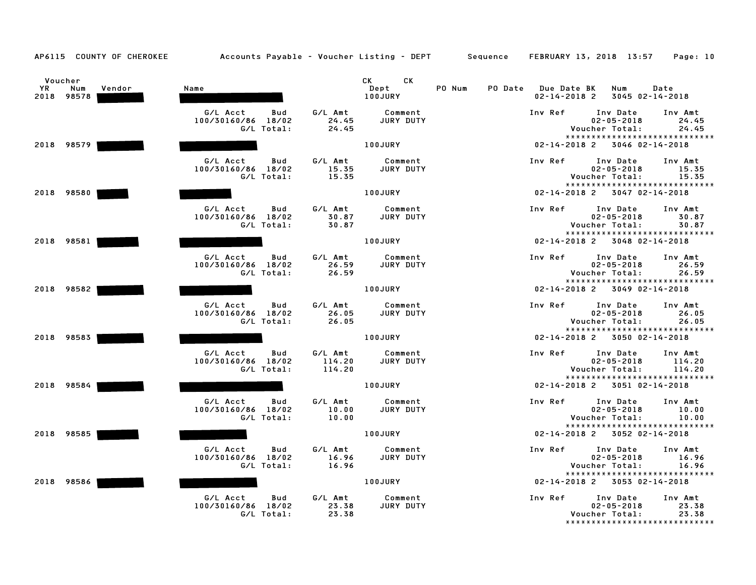|           | Voucher           |        |                                       |                   | CK <sub>2</sub><br>CK       |        |                                     |                                                 |                   |
|-----------|-------------------|--------|---------------------------------------|-------------------|-----------------------------|--------|-------------------------------------|-------------------------------------------------|-------------------|
| <b>YR</b> | Num<br>2018 98578 | Vendor | Name                                  |                   | Dept<br>100JURY             | PO Num | PO Date Due Date BK<br>02-14-2018 2 | Num<br>3045 02-14-2018                          | Date              |
|           |                   |        | G/L Acct<br>Bud<br>100/30160/86 18/02 | G/L Amt<br>24.45  | Comment<br>JURY DUTY        |        | Inv Ref                             | Inv Date<br>$02 - 05 - 2018$                    | Inv Amt<br>24.45  |
|           |                   |        | G/L Total:                            | 24.45             |                             |        |                                     | Voucher Total:                                  | 24.45             |
|           |                   |        |                                       |                   |                             |        |                                     | *****************************                   |                   |
|           | 2018 98579        |        |                                       |                   | <b>100JURY</b>              |        |                                     | 02-14-2018 2 3046 02-14-2018                    |                   |
|           |                   |        | G/L Acct<br>Bud                       | G/L Amt           | Comment                     |        | Inv Ref                             | Inv Date                                        | Inv Amt           |
|           |                   |        | 100/30160/86 18/02<br>G/L Total:      | 15.35<br>15.35    | JURY DUTY                   |        |                                     | $02 - 05 - 2018$<br>Voucher Total:              | 15.35<br>15.35    |
|           |                   |        |                                       |                   |                             |        |                                     | *****************************                   |                   |
|           | 2018 98580        |        |                                       |                   | <b>100JURY</b>              |        |                                     | 02-14-2018 2 3047 02-14-2018                    |                   |
|           |                   |        | G/L Acct<br>Bud                       | G/L Amt           | Comment                     |        | Inv Ref                             | Inv Date                                        | Inv Amt           |
|           |                   |        | 100/30160/86 18/02                    | 30.87             | JURY DUTY                   |        |                                     | $02 - 05 - 2018$                                | 30.87             |
|           |                   |        | G/L Total:                            | 30.87             |                             |        |                                     | Voucher Total:<br>***************************** | 30.87             |
|           | 2018 98581        |        |                                       |                   | <b>100JURY</b>              |        |                                     | 02-14-2018 2 3048 02-14-2018                    |                   |
|           |                   |        | G/L Acct<br>Bud                       | G/L Amt           | Comment                     |        | Inv Ref                             | Inv Date                                        | Inv Amt           |
|           |                   |        | 100/30160/86 18/02                    | 26.59             | JURY DUTY                   |        |                                     | $02 - 05 - 2018$                                | 26.59             |
|           |                   |        | G/L Total:                            | 26.59             |                             |        |                                     | Voucher Total:<br>***************************** | 26.59             |
|           | 2018 98582        |        |                                       |                   | 100JURY                     |        |                                     | 02-14-2018 2 3049 02-14-2018                    |                   |
|           |                   |        | G/L Acct<br>Bud                       | G/L Amt           | Comment                     |        | Inv Ref                             | Inv Date                                        | Inv Amt           |
|           |                   |        | 100/30160/86 18/02                    | 26.05             | JURY DUTY                   |        |                                     | $02 - 05 - 2018$                                | 26.05             |
|           |                   |        | G/L Total:                            | 26.05             |                             |        |                                     | Voucher Total:<br>***************************** | 26.05             |
|           | 2018 98583        |        |                                       |                   | 100JURY                     |        |                                     | $02 - 14 - 2018$ 2 3050 02-14-2018              |                   |
|           |                   |        |                                       |                   |                             |        |                                     |                                                 |                   |
|           |                   |        | G/L Acct<br>Bud<br>100/30160/86 18/02 | G/L Amt<br>114.20 | Comment<br><b>JURY DUTY</b> |        | Inv Ref                             | Inv Date<br>$02 - 05 - 2018$                    | Inv Amt<br>114.20 |
|           |                   |        | G/L Total:                            | 114.20            |                             |        |                                     | Voucher Total:                                  | 114.20            |
|           |                   |        |                                       |                   |                             |        |                                     | ******************************                  |                   |
|           | 2018 98584        |        |                                       |                   | <b>100JURY</b>              |        |                                     | 02-14-2018 2 3051 02-14-2018                    |                   |
|           |                   |        | G/L Acct<br>Bud                       | G/L Amt           | Comment                     |        | Inv Ref                             | Inv Date                                        | Inv Amt           |
|           |                   |        | 100/30160/86 18/02                    | 10.00             | JURY DUTY                   |        |                                     | $02 - 05 - 2018$                                | 10.00             |
|           |                   |        | G/L Total:                            | 10.00             |                             |        |                                     | Voucher Total:<br>***************************** | 10.00             |
|           | 2018 98585        |        |                                       |                   | <b>100JURY</b>              |        |                                     | 02-14-2018 2 3052 02-14-2018                    |                   |
|           |                   |        | G/L Acct<br>Bud                       | G/L Amt           | Comment                     |        | Inv Ref                             | Inv Date                                        | Inv Amt           |
|           |                   |        | 100/30160/86 18/02                    | 16.96             | JURY DUTY                   |        |                                     | $02 - 05 - 2018$                                | 16.96             |
|           |                   |        | G/L Total:                            | 16.96             |                             |        |                                     | Voucher Total:<br>***************************** | 16.96             |
|           | 2018 98586        |        |                                       |                   | <b>100JURY</b>              |        |                                     | 02-14-2018 2 3053 02-14-2018                    |                   |
|           |                   |        | G/L Acct<br>Bud                       | G/L Amt           | Comment                     |        | Inv Ref                             | Inv Date                                        | Inv Amt           |
|           |                   |        | 100/30160/86 18/02                    | 23.38             | JURY DUTY                   |        |                                     | $02 - 05 - 2018$                                | 23.38             |
|           |                   |        | G/L Total:                            | 23.38             |                             |        |                                     | Voucher Total:                                  | 23.38             |
|           |                   |        |                                       |                   |                             |        |                                     | *******************************                 |                   |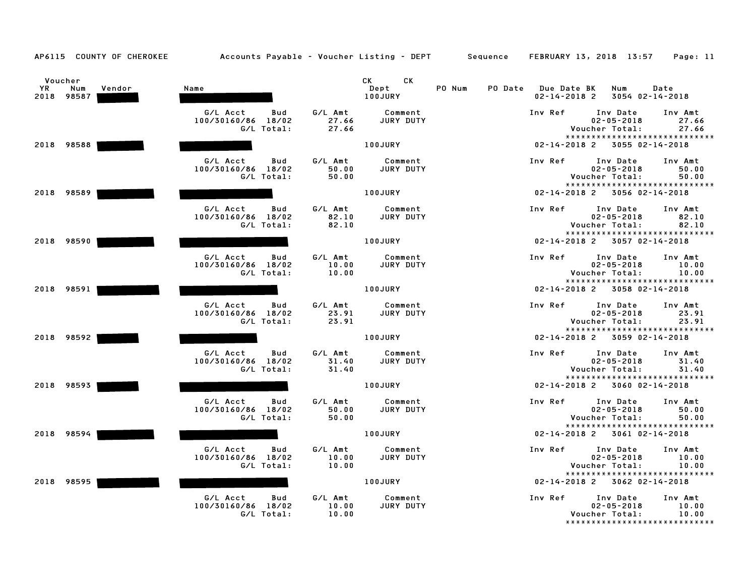|           | Voucher           |        |                                  |                | CK<br>CK the control of the control of the control of the control of the control of the control of the control of the control of the control of the control of the control of the control of the control of the control of the contr |        |                                           |                                                               |                  |
|-----------|-------------------|--------|----------------------------------|----------------|--------------------------------------------------------------------------------------------------------------------------------------------------------------------------------------------------------------------------------------|--------|-------------------------------------------|---------------------------------------------------------------|------------------|
| <b>YR</b> | Num<br>2018 98587 | Vendor | Name                             |                | Dept<br>100JURY                                                                                                                                                                                                                      | PO Num | PO Date Due Date BK<br>$02 - 14 - 2018$ 2 | Num<br>3054 02-14-2018                                        | Date             |
|           |                   |        | G/L Acct<br>Bud                  | G/L Amt        | Comment                                                                                                                                                                                                                              |        | Inv Ref                                   | Inv Date                                                      | Inv Amt          |
|           |                   |        | 100/30160/86 18/02<br>G/L Total: | 27.66<br>27.66 | JURY DUTY                                                                                                                                                                                                                            |        |                                           | $02 - 05 - 2018$<br>Voucher Total:                            | 27.66<br>27.66   |
|           |                   |        |                                  |                |                                                                                                                                                                                                                                      |        |                                           | *****************************                                 |                  |
|           | 2018 98588        |        |                                  |                | <b>100JURY</b>                                                                                                                                                                                                                       |        | $02 - 14 - 2018$ 2                        | 3055 02-14-2018                                               |                  |
|           |                   |        | G/L Acct<br>Bud                  | G/L Amt        | Comment                                                                                                                                                                                                                              |        | Inv Ref                                   | Inv Date                                                      | Inv Amt          |
|           |                   |        | 100/30160/86 18/02               | 50.00          | <b>JURY DUTY</b>                                                                                                                                                                                                                     |        |                                           | $02 - 05 - 2018$                                              | 50.00            |
|           |                   |        | G/L Total:                       | 50.00          |                                                                                                                                                                                                                                      |        |                                           | Voucher Total:                                                | 50.00            |
|           | 2018 98589        |        |                                  |                | <b>100JURY</b>                                                                                                                                                                                                                       |        |                                           | *****************************<br>02-14-2018 2 3056 02-14-2018 |                  |
|           |                   |        |                                  |                |                                                                                                                                                                                                                                      |        |                                           |                                                               |                  |
|           |                   |        | G/L Acct<br>Bud                  | G/L Amt        | Comment                                                                                                                                                                                                                              |        | Inv Ref                                   | Inv Date                                                      | Inv Amt          |
|           |                   |        | 100/30160/86 18/02               | 82.10          | JURY DUTY                                                                                                                                                                                                                            |        |                                           | $02 - 05 - 2018$                                              | 82.10            |
|           |                   |        | G/L Total:                       | 82.10          |                                                                                                                                                                                                                                      |        |                                           | Voucher Total:<br>*****************************               | 82.10            |
|           | 2018 98590        |        |                                  |                | <b>100JURY</b>                                                                                                                                                                                                                       |        |                                           | 02-14-2018 2 3057 02-14-2018                                  |                  |
|           |                   |        | G/L Acct<br>Bud                  | G/L Amt        | Comment                                                                                                                                                                                                                              |        | Inv Ref                                   | Inv Date                                                      | Inv Amt          |
|           |                   |        | 100/30160/86 18/02               | 10.00          | JURY DUTY                                                                                                                                                                                                                            |        |                                           | $02 - 05 - 2018$                                              | 10.00            |
|           |                   |        | G/L Total:                       | 10.00          |                                                                                                                                                                                                                                      |        |                                           | Voucher Total:                                                | 10.00            |
|           |                   |        |                                  |                |                                                                                                                                                                                                                                      |        |                                           | *****************************                                 |                  |
|           | 2018 98591        |        |                                  |                | 100JURY                                                                                                                                                                                                                              |        |                                           | $02 - 14 - 2018$ 2 3058 02-14-2018                            |                  |
|           |                   |        | G/L Acct<br>Bud                  | G/L Amt        | Comment                                                                                                                                                                                                                              |        | Inv Ref                                   | Inv Date                                                      | Inv Amt          |
|           |                   |        | 100/30160/86 18/02               | 23.91          | JURY DUTY                                                                                                                                                                                                                            |        |                                           | $02 - 05 - 2018$                                              | 23.91            |
|           |                   |        | G/L Total:                       | 23.91          |                                                                                                                                                                                                                                      |        |                                           | Voucher Total:                                                | 23.91            |
|           |                   |        |                                  |                |                                                                                                                                                                                                                                      |        |                                           | *****************************                                 |                  |
|           | 2018 98592        |        |                                  |                | 100JURY                                                                                                                                                                                                                              |        |                                           | 02-14-2018 2 3059 02-14-2018                                  |                  |
|           |                   |        | G/L Acct<br>Bud                  | G/L Amt        | Comment                                                                                                                                                                                                                              |        | Inv Ref                                   | Inv Date                                                      | Inv Amt          |
|           |                   |        | 100/30160/86 18/02               | 31.40          | <b>JURY DUTY</b>                                                                                                                                                                                                                     |        |                                           | $02 - 05 - 2018$                                              | 31.40            |
|           |                   |        | G/L Total:                       | 31.40          |                                                                                                                                                                                                                                      |        |                                           | Voucher Total:<br>******************************              | 31.40            |
|           | 2018 98593        |        |                                  |                | <b>100JURY</b>                                                                                                                                                                                                                       |        |                                           | $02 - 14 - 2018$ 2 3060 02-14-2018                            |                  |
|           |                   |        |                                  |                |                                                                                                                                                                                                                                      |        |                                           |                                                               |                  |
|           |                   |        | G/L Acct<br>Bud                  | G/L Amt        | Comment                                                                                                                                                                                                                              |        | Inv Ref                                   | Inv Date                                                      | Inv Amt          |
|           |                   |        | 100/30160/86 18/02               | 50.00          | <b>JURY DUTY</b>                                                                                                                                                                                                                     |        |                                           | $02 - 05 - 2018$                                              | 50.00            |
|           |                   |        | G/L Total:                       | 50.00          |                                                                                                                                                                                                                                      |        |                                           | Voucher Total:<br>*****************************               | 50.00            |
|           | 2018 98594        |        |                                  |                | 100JURY                                                                                                                                                                                                                              |        |                                           | 02-14-2018 2 3061 02-14-2018                                  |                  |
|           |                   |        | G/L Acct                         | G/L Amt        |                                                                                                                                                                                                                                      |        | Inv Ref                                   |                                                               |                  |
|           |                   |        | Bud<br>100/30160/86 18/02        | 10.00          | Comment<br>JURY DUTY                                                                                                                                                                                                                 |        |                                           | Inv Date<br>$02 - 05 - 2018$                                  | Inv Amt<br>10.00 |
|           |                   |        | G/L Total:                       | 10.00          |                                                                                                                                                                                                                                      |        |                                           | Voucher Total:                                                | 10.00            |
|           |                   |        |                                  |                |                                                                                                                                                                                                                                      |        |                                           | *****************************                                 |                  |
|           | 2018 98595        |        |                                  |                | 100JURY                                                                                                                                                                                                                              |        |                                           | 02-14-2018 2 3062 02-14-2018                                  |                  |
|           |                   |        | G/L Acct<br>Bud                  | G/L Amt        | Comment                                                                                                                                                                                                                              |        | Inv Ref                                   | Inv Date                                                      | Inv Amt          |
|           |                   |        | 100/30160/86 18/02               | 10.00          | JURY DUTY                                                                                                                                                                                                                            |        |                                           | $02 - 05 - 2018$                                              | 10.00            |
|           |                   |        | G/L Total:                       | 10.00          |                                                                                                                                                                                                                                      |        |                                           | Voucher Total:                                                | 10.00            |
|           |                   |        |                                  |                |                                                                                                                                                                                                                                      |        |                                           | *******************************                               |                  |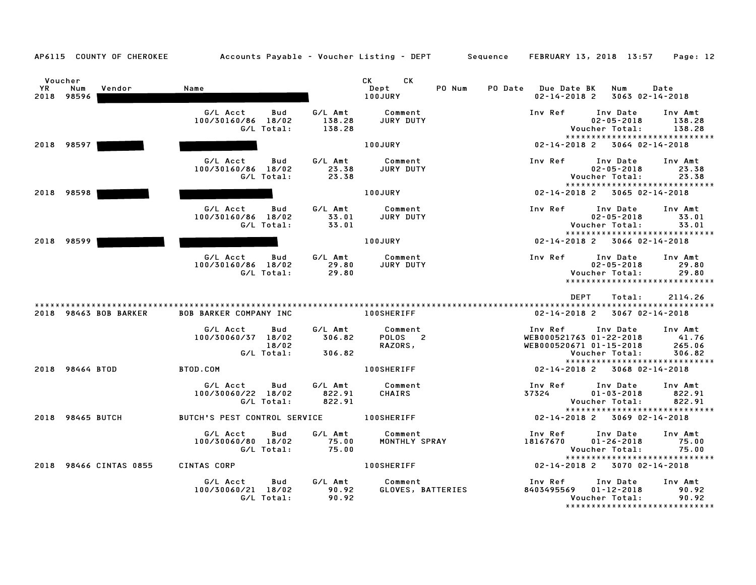| nce | FEBRUARY 13, 2018 13:57 |  | Page: 12 |  |
|-----|-------------------------|--|----------|--|
|     |                         |  |          |  |

| YR. | Voucher<br>Vendor<br>Num<br>2018 98596 | Name                                                         |                             | CK <sub>2</sub><br><b>CK</b><br>Dept<br>PO Num<br>100JURY | PO Date<br><b>Due Date BK</b><br>$02 - 14 - 2018$ 2           | Num<br>3063 02-14-2018                                                          | Date                                 |
|-----|----------------------------------------|--------------------------------------------------------------|-----------------------------|-----------------------------------------------------------|---------------------------------------------------------------|---------------------------------------------------------------------------------|--------------------------------------|
|     |                                        | G/L Acct<br>Bud<br>100/30160/86 18/02<br>G/L Total:          | G/L Amt<br>138.28<br>138.28 | Comment<br>JURY DUTY                                      | Inv Ref                                                       | Inv Date<br>$02 - 05 - 2018$<br>Voucher Total:                                  | Inv Amt<br>138.28<br>138.28          |
|     | 2018 98597                             |                                                              |                             | <b>100JURY</b>                                            | $02 - 14 - 2018$ 2                                            | *****************************<br>3064 02-14-2018                                |                                      |
|     |                                        |                                                              |                             |                                                           |                                                               |                                                                                 |                                      |
|     |                                        | G/L Acct<br><b>Bud</b><br>100/30160/86 18/02<br>G/L Total:   | G/L Amt<br>23.38<br>23.38   | Comment<br>JURY DUTY                                      | Inv Ref                                                       | Inv Date<br>$02 - 05 - 2018$<br>Voucher Total:                                  | Inv Amt<br>23.38<br>23.38            |
|     | 2018 98598                             |                                                              |                             | 100JURY                                                   |                                                               | *****************************<br>02-14-2018 2 3065 02-14-2018                   |                                      |
|     |                                        | G/L Acct<br>Bud<br>100/30160/86 18/02<br>G/L Total:          | G/L Amt<br>33.01<br>33.01   | Comment<br>JURY DUTY                                      | Inv Ref                                                       | Inv Date<br>$02 - 05 - 2018$<br>Voucher Total:                                  | Inv Amt<br>33.01<br>33.01            |
|     | 2018 98599                             |                                                              |                             | <b>100JURY</b>                                            | $02 - 14 - 2018$ 2                                            | *****************************<br>3066 02-14-2018                                |                                      |
|     |                                        | G/L Acct<br>Bud<br>100/30160/86 18/02<br>G/L Total:          | G/L Amt<br>29.80<br>29.80   | Comment<br>JURY DUTY                                      | Inv Ref                                                       | Inv Date<br>$02 - 05 - 2018$<br>Voucher Total:<br>***************************** | Inv Amt<br>29.80<br>29.80            |
|     |                                        |                                                              |                             |                                                           | <b>DEPT</b>                                                   | Total:                                                                          | 2114.26                              |
|     | 2018 98463 BOB BARKER                  | <b>BOB BARKER COMPANY INC</b>                                |                             | <b>100SHERIFF</b>                                         | 02-14-2018 2                                                  | 3067 02-14-2018                                                                 |                                      |
|     |                                        | G/L Acct<br>Bud<br>100/30060/37 18/02<br>18/02<br>G/L Total: | G/L Amt<br>306.82<br>306.82 | Comment<br>POLOS <sub>2</sub><br>RAZORS,                  | Inv Ref<br>WEB000521763 01-22-2018<br>WEB000520671 01-15-2018 | Inv Date<br>Voucher Total:                                                      | Inv Amt<br>41.76<br>265.06<br>306.82 |
|     | 2018 98464 BTOD                        | BTOD.COM                                                     |                             | <b>100SHERIFF</b>                                         | $02 - 14 - 2018$ 2                                            | *****************************<br>3068 02-14-2018                                |                                      |
|     |                                        | G/L Acct<br>Bud<br>100/30060/22 18/02<br>G/L Total:          | G/L Amt<br>822.91<br>822.91 | Comment<br>CHAIRS                                         | Inv Ref<br>37324                                              | Inv Date<br>$01 - 03 - 2018$<br>Voucher Total:                                  | Inv Amt<br>822.91<br>822.91          |
|     | 2018 98465 BUTCH                       | BUTCH'S PEST CONTROL SERVICE                                 |                             | <b>100SHERIFF</b>                                         |                                                               | *****************************<br>$02 - 14 - 2018$ 2 3069 02-14-2018             |                                      |
|     |                                        | G/L Acct<br>Bud<br>100/30060/80 18/02<br>G/L Total:          | G/L Amt<br>75.00<br>75.00   | Comment<br>MONTHLY SPRAY                                  | Inv Ref<br>18167670                                           | Inv Date<br>$01 - 26 - 2018$<br>Voucher Total:                                  | Inv Amt<br>75.00<br>75.00            |
|     | 2018 98466 CINTAS 0855                 | CINTAS CORP                                                  |                             | <b>100SHERIFF</b>                                         | $02 - 14 - 2018$ 2                                            | *****************************<br>3070 02-14-2018                                |                                      |
|     |                                        | G/L Acct<br>Bud<br>100/30060/21 18/02<br>G/L Total:          | G/L Amt<br>90.92<br>90.92   | Comment<br>GLOVES, BATTERIES                              | Inv Ref<br>8403495569                                         | Inv Date<br>$01 - 12 - 2018$<br>Voucher Total:                                  | Inv Amt<br>90.92<br>90.92            |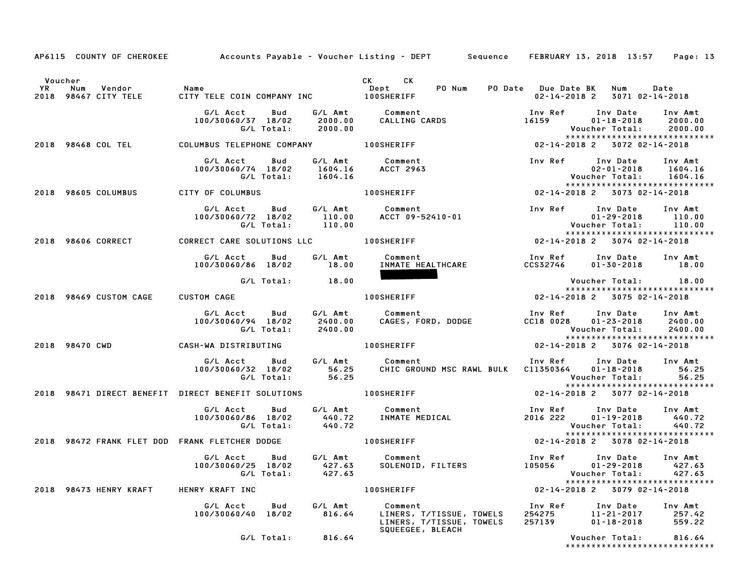|                                                |                                                                                                                           |                                                                                                                       | AP6115 COUNTY OF CHEROKEE Accounts Payable - Voucher Listing - DEPT Sequence FEBRUARY 13, 2018 13:57 Page: 13                                                                                                                           |
|------------------------------------------------|---------------------------------------------------------------------------------------------------------------------------|-----------------------------------------------------------------------------------------------------------------------|-----------------------------------------------------------------------------------------------------------------------------------------------------------------------------------------------------------------------------------------|
| Voucher                                        | Voucher<br>YR Num Vendor – Name – Dept – PO Num PO Date<br>2018 98467 CITY TELE – CITY TELE COIN COMPANY INC – 100SHERIFF |                                                                                                                       | CK CK<br>Dept     PO Num   PO Date   Due Date BK   Num    Date<br>PO Num   PO Date   Do-14-2018 2   3071 02-14-2018<br>02-14-2018 2 3071 02-14-2018                                                                                     |
|                                                |                                                                                                                           |                                                                                                                       | G/L Acct Bud G/L Amt Comment<br>100/30060/37 18/02 2000.00 CALLING CARDS 16159 01-18-2018 2000.00<br>C/L Total: 2000.00 CALLING CARDS 16159 01-18-2018 2000.00<br>2018 98468 COL TEL COLUMBUS TELEPHONE COMPANY 100SHERIFF 100SERIFF 02 |
|                                                |                                                                                                                           |                                                                                                                       |                                                                                                                                                                                                                                         |
|                                                |                                                                                                                           |                                                                                                                       | G/L Acct Bud G/L Amt Comment<br>100/30060/74 18/02 1604.16 ACCT 2963 100/30060/74 18/02 1604.16<br>C/L Total: 1604.16 ACCT 2963 1604.16 CITY OF COLUMBUS CITY OF COLUMBUS 2018 98605 COLUMBUS CITY OF COLUMBUS                          |
|                                                |                                                                                                                           |                                                                                                                       |                                                                                                                                                                                                                                         |
|                                                |                                                                                                                           |                                                                                                                       | G/L Acct Bud G/L Amt Comment Inv Ref Inv Date Inv Amt<br>100/30060/72 18/02 110.00 ACCT 09-52410-01 101-29-2018 110.00<br>C/L Total: 110.00 G/L Total: 110.00<br>2018 98606 CORRECT CARE SOLUTIONS LLC 100SHERIFF 1000 02-14-2018 2 307 |
|                                                |                                                                                                                           |                                                                                                                       |                                                                                                                                                                                                                                         |
|                                                |                                                                                                                           | <u> Tanzania de la provincia de la provincia de la provincia de la provincia de la provincia de la provincia de l</u> | G/L Acct       Bud        G/L Amt           Comment                                Inv Ref       Inv Date      Inv Amt<br>100/30060/86   18/02          18.00 <u>INMATE HEAL</u> THCARE                  CCS32746        01–30–20       |
|                                                | G/L Total: 18.00                                                                                                          |                                                                                                                       | 18.00 Voucher Total: 18.00<br>18.00 18.00 18.00 100SHERIFF 19.00 100SHERIFF 1005HERIFF 1005HERIFF 1005HERIFF 1000 14-2018<br>Voucher Total: 18.00<br>****************************                                                       |
| 2018 98469 CUSTOM CAGE CUSTOM CAGE             |                                                                                                                           |                                                                                                                       |                                                                                                                                                                                                                                         |
|                                                |                                                                                                                           |                                                                                                                       | G/L Acct      Bud      G/L Amt        Comment                        Inv Ref     Inv Date    Inv Amt<br>100/30060/94   18/02       2400.00      CAGES, FORD, DODGE                     CC18 0028    01–23–2018     2400.00<br>G/L To    |
|                                                |                                                                                                                           |                                                                                                                       | 2018 98470 CWD CASH-WA DISTRIBUTING 100SHERIFF 2018 22 3076 02-14-2018                                                                                                                                                                  |
|                                                |                                                                                                                           |                                                                                                                       | G/L Acct Bud G/L Amt Comment Inv Ref Inv Date Inv Amt<br>100/30060/32 18/02 56.25 CHIC GROUND MSC RAWL BULK C11350364 01-18-2018 56.25<br>C/L Total: 56.25 CHIC GROUND MSC RAWL BULK C11350364 01-18-2018 56.25<br>2018 98471 DIRECT BE |
|                                                |                                                                                                                           |                                                                                                                       |                                                                                                                                                                                                                                         |
|                                                |                                                                                                                           |                                                                                                                       | G/L Acct Bud G/L Amt Comment Inv Ref Inv Date Inv Amt<br>100/30060/86 18/02 440.72 INMATE MEDICAL 2016 222 01-19-2018 440.72<br>G/L Total: 440.72 100SHERIFF 100311 2016 222 01-19-2018 440.72<br>ANK FLETCHER DODGE 100SHERIFF 100SHER |
| 2018 98472 FRANK FLET DOD FRANK FLETCHER DODGE |                                                                                                                           |                                                                                                                       |                                                                                                                                                                                                                                         |
|                                                |                                                                                                                           |                                                                                                                       |                                                                                                                                                                                                                                         |
|                                                | 2018 98473 HENRY KRAFT HENRY KRAFT INC NET ALL RESERVES TO PRESERT A RESERVE THE                                          |                                                                                                                       | 02-14-2018 2 3079 02-14-2018                                                                                                                                                                                                            |
|                                                |                                                                                                                           | SQUEEGEE, BLEACH                                                                                                      | G/L Acct Bud G/L Amt Comment Inv Ref Inv Date Inv Amt<br>100/30060/40 18/02 816.64 LINERS, T/TISSUE, TOWELS 254275 11-21-2017 257.42<br>100/30060/40 18/02 816.64 LINERS, T/TISSUE, TOWELS 257139 01-18-2018 559.22<br>SQUEEGEE, BLEACH |
|                                                | G/L Total: 816.64                                                                                                         |                                                                                                                       | Voucher Total: 816.64                                                                                                                                                                                                                   |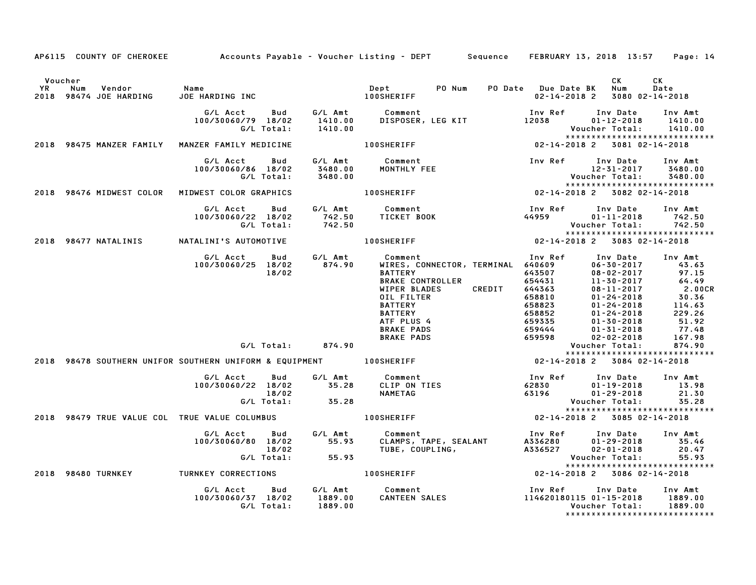|               |                                                 |                                          |                          |                      | AP6115 COUNTY OF CHEROKEE Accounts Payable - Voucher Listing - DEPT Sequence FEBRUARY 13, 2018 13:57 Page: 14                                                                                                                                                                                                                                                                                                                                                                                  |                                     |                                                                                                     |                                                                                                                |
|---------------|-------------------------------------------------|------------------------------------------|--------------------------|----------------------|------------------------------------------------------------------------------------------------------------------------------------------------------------------------------------------------------------------------------------------------------------------------------------------------------------------------------------------------------------------------------------------------------------------------------------------------------------------------------------------------|-------------------------------------|-----------------------------------------------------------------------------------------------------|----------------------------------------------------------------------------------------------------------------|
| Voucher<br>YR | Vendor Name<br>Num<br>2018 98474 JOE HARDING    | JOE HARDING INC                          |                          |                      | PO Num<br>Dept<br>100SHERIFF                                                                                                                                                                                                                                                                                                                                                                                                                                                                   | PO Date Due Date BK<br>02-14-2018 2 | CK<br>Num<br>3080 02-14-2018                                                                        | CK<br>Date                                                                                                     |
|               |                                                 | G/L Acct<br>100/30060/79 18/02           | Bud<br>G/L Total:        | 1410.00<br>1410.00   | G/L Amt Comment<br>1410.00 DISPOSER,<br>DISPOSER, LEG KIT                                                                                                                                                                                                                                                                                                                                                                                                                                      | Inv Ref<br>12038                    | Inv Date<br>$01 - 12 - 2018$<br>Voucher Total:                                                      | Inv Amt<br>1410.00<br>1410.00                                                                                  |
|               | 2018 98475 MANZER FAMILY MANZER FAMILY MEDICINE |                                          |                          |                      | 02-14-2018 2 3081 02-14-2018<br><b>100SHERIFF</b>                                                                                                                                                                                                                                                                                                                                                                                                                                              |                                     | *****************************                                                                       |                                                                                                                |
|               |                                                 | G/L Acct<br>100/30060/86 18/02           | Bud<br>G/L Total:        | 3480.00<br>3480.00   | G/L Amt Comment<br>Comment Inv Ref Inv Date Inv Am<br>MONTHLY FEE 12-31-2017 3480.<br>Inv Ref Inv Date I2-31-2017 3480.<br>Voucher Total: 3480.<br>INV Victor Total: 3480.<br>INV Victor Sample 2018 2 3082 02-14-2018                                                                                                                                                                                                                                                                         |                                     |                                                                                                     | Inv Amt<br>3480.00<br>3480.00                                                                                  |
|               | 2018 98476 MIDWEST COLOR MIDWEST COLOR GRAPHICS |                                          |                          |                      |                                                                                                                                                                                                                                                                                                                                                                                                                                                                                                |                                     |                                                                                                     |                                                                                                                |
|               |                                                 | G/L Acct<br>100/30060/22 18/02           | Bud<br>G/L Total:        | 742.50<br>742.50     | G/L Amt Comment                                                                                                                                                                                                                                                                                                                                                                                                                                                                                |                                     |                                                                                                     | Inv Amt<br>742.50<br>742.50                                                                                    |
|               | 2018 98477 NATALINIS NATALINI'S AUTOMOTIVE      |                                          |                          |                      | <b>100SHERIFF</b>                                                                                                                                                                                                                                                                                                                                                                                                                                                                              |                                     | *****************************                                                                       |                                                                                                                |
|               |                                                 | G/L Acct<br>100/30060/25 18/02           | <b>Bud</b><br>18/02      |                      | G/L Amt            Comment<br>874.90        WIRES, CO<br>1<br>Comment<br>WIRES, CONNECTOR, TERMINAL 640609<br>BATTERY<br>PAKE CONTROLLER<br>CONTROLLER<br>PAKE CONTROLLER<br>BLADES<br>CREDIT<br>CREDIT<br>CREDIT<br>CREDIT<br>CREDIT<br>CREDIT<br>CREDIT<br>CREDIT<br>CREDIT<br>CREDIT<br>CREDIT<br>CREDIT<br>CREDIT<br>CREDIT<br><br>950<br>BATTERY BATTERY<br>BRAKE PADS (558<br>BRAKE PADS (559)<br>BRAKE PADS (599)<br>2018 98478 SOUTHERN UNIFOR SOUTHERN UNIFORM & EQUIPMENT 100SHERIFF |                                     |                                                                                                     | Inv Amt<br>43.63<br>97.15<br>64.49<br>64.49<br>2.00CR<br>30.36<br>114.63<br>229.26<br>51.92<br>77.48<br>167.98 |
|               |                                                 |                                          |                          |                      |                                                                                                                                                                                                                                                                                                                                                                                                                                                                                                |                                     | *****************************                                                                       | 874.90                                                                                                         |
|               |                                                 |                                          |                          |                      |                                                                                                                                                                                                                                                                                                                                                                                                                                                                                                |                                     | 02-14-2018 2 3084 02-14-2018                                                                        |                                                                                                                |
|               |                                                 | G/L Acct Bud<br>100/30060/22 18/02 35.28 | 18/02                    | $G/L$ Total: $35.28$ | G/L Amt Comment<br>Comment<br>CLIP ON TIES<br>NAMETAG                                                                                                                                                                                                                                                                                                                                                                                                                                          | Inv Ref<br>62830<br>63196           | Inv Date Inv Amt<br>$01 - 19 - 2018$<br>$01 - 29 - 2018$<br>Voucher Total:                          | 13.98<br>21.30<br>35.28                                                                                        |
|               | 2018 98479 TRUE VALUE COL TRUE VALUE COLUMBUS   |                                          |                          |                      | <b>100SHERIFF</b>                                                                                                                                                                                                                                                                                                                                                                                                                                                                              |                                     | *****************************<br>02-14-2018 2 3085 02-14-2018                                       |                                                                                                                |
|               |                                                 | G/L Acct<br>100/30060/80 18/02           | 18/02<br>G/L Total:      | 55.93<br>55.93       | Bud G/L Amt Comment                                                                                                                                                                                                                                                                                                                                                                                                                                                                            | Inv Ref                             | Inv Date<br>$01 - 29 - 2018$<br>$02 - 01 - 2018$<br>Voucher Total:<br>***************************** | Inv Amt<br>35.46<br>20.47<br>55.93                                                                             |
|               | 2018 98480 TURNKEY                              | TURNKEY CORRECTIONS                      |                          |                      | 100SHERIFF                                                                                                                                                                                                                                                                                                                                                                                                                                                                                     |                                     | 02-14-2018 2 3086 02-14-2018                                                                        |                                                                                                                |
|               |                                                 | G/L Acct<br>100/30060/37 18/02           | <b>Bud</b><br>G/L Total: | 1889.00<br>1889.00   | G/L Amt Comment                                                                                                                                                                                                                                                                                                                                                                                                                                                                                |                                     | Inv Date Inv Amt<br>Voucher Total:<br>******************************                                | 1889.00<br>1889.00                                                                                             |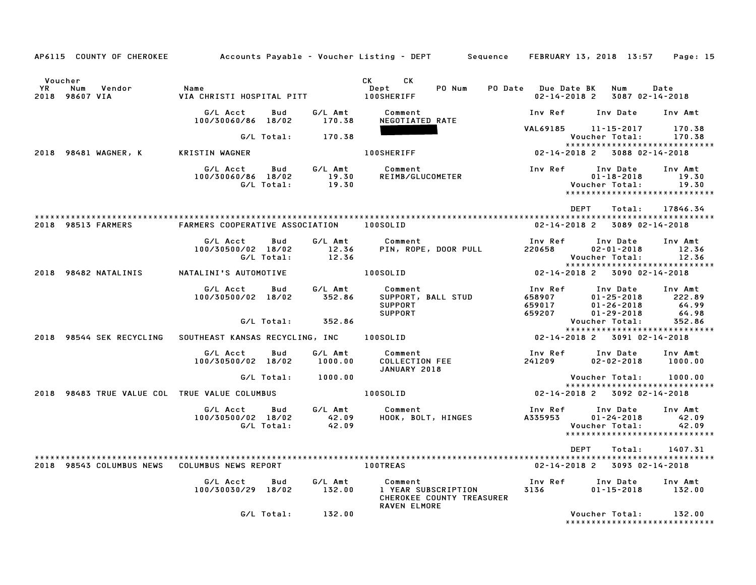|                                                         |                                                     |                       | AP6115 COUNTY OF CHEROKEE Accounts Payable - Voucher Listing - DEPT Sequence FEBRUARY 13, 2018 13:57 Page: 15 |                                           |                                                                                 |                                     |
|---------------------------------------------------------|-----------------------------------------------------|-----------------------|---------------------------------------------------------------------------------------------------------------|-------------------------------------------|---------------------------------------------------------------------------------|-------------------------------------|
| Voucher<br><b>YR</b><br>Vendor<br>Num<br>2018 98607 VIA | Name<br>VIA CHRISTI HOSPITAL PITT 100SHERIFF        |                       | CK CK<br>PO Num<br>Dept                                                                                       | PO Date Due Date BK<br>$02 - 14 - 2018$ 2 | Num<br>3087 02-14-2018                                                          | Date                                |
|                                                         | G/L Acct<br>Bud<br>100/30060/86 18/02               | 170.38                | G/L Amt Comment<br>NEGOTIATED RATE                                                                            |                                           | Inv Ref Inv Date                                                                | Inv Amt                             |
|                                                         | G/L Total:                                          | 170.38                |                                                                                                               | VAL69185 11-15-2017                       | Voucher Total: 170.38                                                           | 170.38                              |
| 2018 98481 WAGNER, K                                    | KRISTIN WAGNER                                      |                       | <b>100SHERIFF</b>                                                                                             | 02-14-2018 2 3088 02-14-2018              | ******************************                                                  |                                     |
|                                                         | G/L Acct<br>Bud<br>100/30060/86 18/02<br>G/L Total: | $\frac{19.30}{19.30}$ |                                                                                                               |                                           | Inv Date<br>$01 - 18 - 2018$<br>Voucher Total:<br>***************************** | Inv Amt<br>19.30<br>19.30           |
|                                                         |                                                     |                       |                                                                                                               | DEPT                                      | Total:                                                                          | 17846.34                            |
| 2018 98513 FARMERS                                      | FARMERS COOPERATIVE ASSOCIATION 100SOLID            |                       |                                                                                                               |                                           | 02-14-2018 2 3089 02-14-2018                                                    |                                     |
|                                                         | G/L Acct<br>Bud<br>100/30500/02 18/02<br>G/L Total: | 12.36<br>12.36        | G/L Amt Comment<br>PIN, ROPE, DOOR PULL                                                                       | Inv Ref<br>220658                         | Inv Date<br>$02 - 01 - 2018$<br>Voucher Total:                                  | Inv Amt<br>12.36<br>12.36           |
| 2018 98482 NATALINIS                                    | NATALINI'S AUTOMOTIVE                               |                       | <b>100SOLID</b>                                                                                               | 02-14-2018 2 3090 02-14-2018              | *****************************                                                   |                                     |
|                                                         | G/L Acct<br>Bud<br>100/30500/02 18/02 352.86        | G/L Amt               | Comment<br>SUPPORT, BALL STUD<br>SUPPORT<br><b>SUPPORT</b>                                                    | Inv Ref<br>658907<br>659017<br>659207     | Inv Date<br>$01 - 25 - 2018$<br>$01 - 26 - 2018$<br>$01 - 29 - 2018$            | Inv Amt<br>222.89<br>64.99<br>64.98 |
|                                                         | G/L Total: 352.86                                   |                       |                                                                                                               |                                           | Voucher Total:<br>*****************************                                 | 352.86                              |
|                                                         |                                                     |                       | 2018 98544 SEK RECYCLING SOUTHEAST KANSAS RECYCLING, INC 100SOLID                                             |                                           | 02-14-2018 2 3091 02-14-2018                                                    |                                     |
|                                                         | G/L Acct<br>Bud<br>100/30500/02 18/02               | G/L Amt<br>1000.00    | Comment<br>COLLECTION FEE<br>JANUARY 2018                                                                     | Inv Ref<br>241209                         | Inv Date Inv Amt<br>$02 - 02 - 2018$ 1000.00                                    |                                     |
|                                                         | G/L Total:                                          | 1000.00               |                                                                                                               |                                           | Voucher Total: 1000.00                                                          |                                     |
| 2018 98483 TRUE VALUE COL TRUE VALUE COLUMBUS           |                                                     |                       | 100SOLID                                                                                                      | $02 - 14 - 2018$ 2 3092 02-14-2018        | *****************************                                                   |                                     |
|                                                         | G/L Acct<br>Bud<br>100/30500/02 18/02<br>G/L Total: | 42.09<br>42.09        | G/L Amt Comment<br>42.09 HOOK, BOL<br>Comment<br>HOOK, BOLT, HINGES                                           | Inv Ref<br>A335953                        | Inv Date<br>$01 - 24 - 2018$<br>Voucher Total:<br>***************************** | Inv Amt<br>42.09<br>42.09           |
|                                                         |                                                     |                       |                                                                                                               | DEPT                                      | Total:                                                                          | 1407.31                             |
| 2018 98543 COLUMBUS NEWS COLUMBUS NEWS REPORT           |                                                     | 100TREAS              |                                                                                                               |                                           | 02-14-2018 2 3093 02-14-2018                                                    |                                     |
|                                                         | G/L Acct<br>Bud<br>100/30030/29 18/02               | G/L Amt<br>132.00     | Comment<br>1 YEAR SUBSCRIPTION<br>CHEROKEE COUNTY TREASURER                                                   | Inv Ref      Inv Date<br>3136 70          | $01 - 15 - 2018$ 132.00                                                         | Inv Amt                             |
|                                                         | G/L Total:                                          | 132.00                | <b>RAVEN ELMORE</b>                                                                                           |                                           | Voucher Total:<br>*******************************                               | 132.00                              |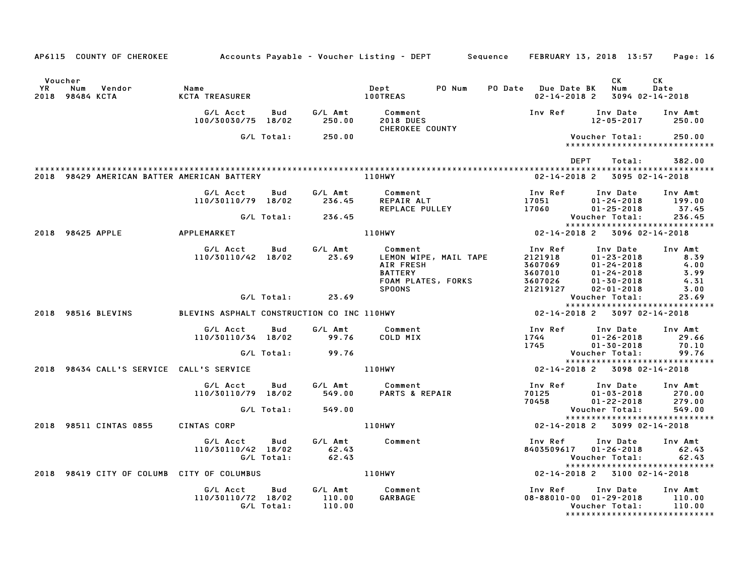|               |                                             |                                            |                   |                             | AP6115 COUNTY OF CHEROKEE Accounts Payable – Voucher Listing – DEPT Sequence FEBRUARY 13, 2018 13:57 Page: 16 |                                                                 |                                                                                                              |                                                 |
|---------------|---------------------------------------------|--------------------------------------------|-------------------|-----------------------------|---------------------------------------------------------------------------------------------------------------|-----------------------------------------------------------------|--------------------------------------------------------------------------------------------------------------|-------------------------------------------------|
| Voucher<br>YR | Num<br>Vendor<br>2018 98484 KCTA            | Name<br>KCTA TREASURER                     |                   |                             | PO Num<br>Dept<br><b>100TREAS</b>                                                                             | PO Date Due Date BK<br>$02 - 14 - 2018$ 2                       | CK<br>Num<br>3094 02-14-2018                                                                                 | CK<br>Date                                      |
|               |                                             | G/L Acct<br>100/30030/75 18/02             | Bud               | G/L Amt<br>250.00           | Comment<br><b>2018 DUES</b>                                                                                   | Inv Ref                                                         | Inv Date<br>$12 - 05 - 2017$                                                                                 | Inv Amt<br>250.00                               |
|               |                                             |                                            | G/L Total:        | 250.00                      | CHEROKEE COUNTY                                                                                               |                                                                 | Voucher Total:<br>******************************                                                             | 250.00                                          |
|               |                                             |                                            |                   |                             |                                                                                                               | DEPT                                                            | Total:                                                                                                       | 382.00                                          |
|               | 2018 98429 AMERICAN BATTER AMERICAN BATTERY |                                            |                   |                             | 110HWY                                                                                                        |                                                                 | 02-14-2018 2 3095 02-14-2018                                                                                 |                                                 |
|               |                                             | G/L Acct<br>110/30110/79 18/02             | Bud               | G/L Amt<br>236.45           | Comment<br>REPAIR ALT<br>REPLACE PULLEY                                                                       | Inv Ref<br>17051<br>17060                                       | Inv Date<br>$01 - 24 - 2018$<br>$01 - 25 - 2018$                                                             | Inv Amt<br>199.00<br>37.45                      |
|               |                                             |                                            | G/L Total:        | 236.45                      |                                                                                                               |                                                                 | Voucher Total:                                                                                               | 236.45                                          |
|               | 2018 98425 APPLE                            | APPLEMARKET                                |                   |                             | <b>110HWY</b>                                                                                                 | $02 - 14 - 2018$ 2                                              | *****************************<br>3096 02-14-2018                                                             |                                                 |
|               |                                             | G/L Acct<br>110/30110/42 18/02             | Bud               | G/L Amt<br>23.69            | Comment<br>LEMON WIPE, MAIL TAPE<br>AIR FRESH<br><b>BATTERY</b><br>FOAM PLATES, FORKS<br><b>SPOONS</b>        | Inv Ref<br>2121918<br>3607069<br>3607010<br>3607026<br>21219127 | Inv Date<br>$01 - 23 - 2018$<br>$01 - 24 - 2018$<br>$01 - 24 - 2018$<br>$01 - 30 - 2018$<br>$02 - 01 - 2018$ | Inv Amt<br>8.39<br>4.00<br>3.99<br>4.31<br>3.00 |
|               |                                             |                                            | G/L Total:        | 23.69                       |                                                                                                               |                                                                 | Voucher Total:                                                                                               | 23.69                                           |
|               | 2018 98516 BLEVINS                          | BLEVINS ASPHALT CONSTRUCTION CO INC 110HWY |                   |                             |                                                                                                               |                                                                 | *****************************<br>02-14-2018 2 3097 02-14-2018                                                |                                                 |
|               |                                             | G/L Acct<br>110/30110/34 18/02             | Bud               | G/L Amt<br>99.76            | Comment<br>COLD MIX                                                                                           | Inv Ref<br>1744<br>1745                                         | Inv Date<br>$01 - 26 - 2018$<br>$01 - 30 - 2018$                                                             | Inv Amt<br>29.66<br>70.10                       |
|               |                                             |                                            | G/L Total:        | 99.76                       |                                                                                                               |                                                                 | Voucher Total:                                                                                               | 99.76                                           |
|               | 2018 98434 CALL'S SERVICE CALL'S SERVICE    |                                            |                   |                             | 110HWY                                                                                                        |                                                                 | *****************************<br>02-14-2018 2 3098 02-14-2018                                                |                                                 |
|               |                                             | G/L Acct<br>110/30110/79 18/02             | Bud               | G/L Amt<br>549.00           | Comment<br>PARTS & REPAIR                                                                                     | Inv Ref<br>70125<br>70458                                       | Inv Date<br>$01 - 03 - 2018$<br>$01 - 22 - 2018$                                                             | Inv Amt<br>270.00<br>279.00                     |
|               |                                             |                                            | G/L Total:        | 549.00                      |                                                                                                               |                                                                 | Voucher Total:                                                                                               | 549.00                                          |
|               | 2018 98511 CINTAS 0855                      | CINTAS CORP                                |                   |                             | 110HWY                                                                                                        |                                                                 | *****************************<br>02-14-2018 2 3099 02-14-2018                                                |                                                 |
|               |                                             | G/L Acct<br>110/30110/42 18/02             | Bud<br>G/L Total: | G/L Amt<br>62.43<br>62.43   | Comment                                                                                                       | Inv Ref<br>8403509617 01-26-2018                                | Inv Date<br>Voucher Total:<br>*****************************                                                  | Inv Amt<br>62.43<br>62.43                       |
|               | 2018 98419 CITY OF COLUMB CITY OF COLUMBUS  |                                            |                   |                             | 110HWY                                                                                                        |                                                                 | 02-14-2018 2 3100 02-14-2018                                                                                 |                                                 |
|               |                                             | G/L Acct<br>110/30110/72 18/02             | Bud<br>G/L Total: | G/L Amt<br>110.00<br>110.00 | Comment<br>GARBAGE                                                                                            | Inv Ref<br>$08 - 88010 - 00$ $01 - 29 - 2018$                   | Inv Date<br>Voucher Total:<br>*****************************                                                  | Inv Amt<br>110.00<br>110.00                     |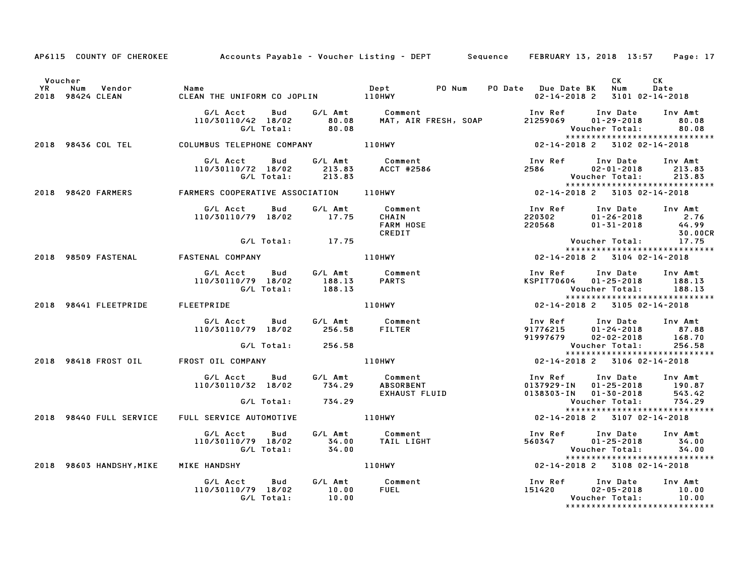|         | AP6115 COUNTY OF CHEROKEE Accounts Payable - Voucher Listing - DEPT Sequence FEBRUARY 13, 2018 13:57 Page: 17                                                                                                                           |                                                                                                                                                                                                                                 |                   |                                                                                                                                                                                                                                |  |                                                                                                                                                    |            |
|---------|-----------------------------------------------------------------------------------------------------------------------------------------------------------------------------------------------------------------------------------------|---------------------------------------------------------------------------------------------------------------------------------------------------------------------------------------------------------------------------------|-------------------|--------------------------------------------------------------------------------------------------------------------------------------------------------------------------------------------------------------------------------|--|----------------------------------------------------------------------------------------------------------------------------------------------------|------------|
| Voucher |                                                                                                                                                                                                                                         |                                                                                                                                                                                                                                 |                   |                                                                                                                                                                                                                                |  | CK .<br>02-14-2018 2 3101 02-14-2018                                                                                                               | CK<br>Date |
|         | G/L Acct Bud G/L Amt Comment<br>110/30110/42 18/02 80.08 MAT, AIR FRESH, SOAP 21259069 01-29-2018 80.08<br>G/L Total: 80.08<br>2018 98436 COL TEL COLUMBUS TELEPHONE COMPANY 110HWY 102-14-2018 2 3102 02-14-2018                       |                                                                                                                                                                                                                                 |                   |                                                                                                                                                                                                                                |  |                                                                                                                                                    |            |
|         |                                                                                                                                                                                                                                         |                                                                                                                                                                                                                                 |                   |                                                                                                                                                                                                                                |  |                                                                                                                                                    |            |
|         | G/L Acct Bud G/L Amt Comment<br>110/30110/72 18/02 213.83 ACCT #2586 12586 02-01-2018 213.83<br>G/L Total: 213.83 ACCT #2586 2586 02-01-2018 213.83<br>2018 98420 FARMERS FARMERS COOPERATIVE ASSOCIATION 110HWY 1992-14-2018 22-14-201 |                                                                                                                                                                                                                                 |                   |                                                                                                                                                                                                                                |  |                                                                                                                                                    |            |
|         |                                                                                                                                                                                                                                         |                                                                                                                                                                                                                                 |                   |                                                                                                                                                                                                                                |  |                                                                                                                                                    |            |
|         |                                                                                                                                                                                                                                         | G/L Acct  Bud  G/L Amt  Comment<br>110/30110/79  18/02  17.75  CHAIN                                                                                                                                                            |                   | <b>FARM HOSE</b><br>CREDIT                                                                                                                                                                                                     |  | 1nv Ref      Inv Date     Inv Amt<br>220302          01-26-2018          2.76<br>220568         01-31-2018          44.99                          | 30.00CR    |
|         |                                                                                                                                                                                                                                         |                                                                                                                                                                                                                                 | G/L Total: 17.75  |                                                                                                                                                                                                                                |  | 1.0 30<br>'.Youcher Total: 17<br>'***********************<br>102-14-2018 2 3104 02-14-2018<br>Voucher Total: 17.75<br>**************************** |            |
|         | 2018 98509 FASTENAL FASTENAL COMPANY THE RESIDENCE RESIDENCE RESIDENCE                                                                                                                                                                  |                                                                                                                                                                                                                                 |                   |                                                                                                                                                                                                                                |  |                                                                                                                                                    |            |
|         |                                                                                                                                                                                                                                         | G/L Acct Bud G/L Amt Comment Inv Ref Inv Date Inv Ami<br>110/30110/79 18/02 188.13 PARTS KSPIT70604 01-25-2018 188.18<br>.G/L Total: 188.13 PARTS Voucher Total: 188.13<br>.EETPRIDE 110HWY 110HWY 02-14-2018 2 3105-02-14-2018 |                   |                                                                                                                                                                                                                                |  | Inv Ref      Inv Date    Inv Amt<br>KSPIT70604    01–25–2018        188.13<br>Voucher Total: 188.13                                                |            |
|         | 2018 98441 FLEETPRIDE FLEETPRIDE                                                                                                                                                                                                        |                                                                                                                                                                                                                                 |                   |                                                                                                                                                                                                                                |  |                                                                                                                                                    |            |
|         |                                                                                                                                                                                                                                         |                                                                                                                                                                                                                                 |                   | 4 Comment (1nv Ref Inv Date Inv Amt 256.58 FILTER 91776215 01-24-2018 87.88<br>256.58 FILTER 91997679 02-02-2018 168.70<br>256.58 Voucher Total: 256.58<br>256.58 Voucher Total: 256.58<br>256.58 22-14-2018 2 3106 02-14-2018 |  |                                                                                                                                                    |            |
|         |                                                                                                                                                                                                                                         |                                                                                                                                                                                                                                 | G/L Total: 256.58 |                                                                                                                                                                                                                                |  |                                                                                                                                                    |            |
|         | 2018 98418 FROST OIL FROST OIL COMPANY                                                                                                                                                                                                  |                                                                                                                                                                                                                                 |                   |                                                                                                                                                                                                                                |  |                                                                                                                                                    |            |
|         |                                                                                                                                                                                                                                         | G/L Acct bud G/L Amt Comment<br>110/30110/32 18/02 734.29 ABSORBENT<br>G/L Total: 734.29 EXHAUST FLUID                                                                                                                          |                   |                                                                                                                                                                                                                                |  | Inv Ref       Inv Date     Inv Amt<br>0137929-IN    01-25-2018       190.87                                                                        |            |
|         |                                                                                                                                                                                                                                         |                                                                                                                                                                                                                                 |                   |                                                                                                                                                                                                                                |  | 0138303-1N 01-30-2018 543.42<br>Voucher Total: 734.29<br>******************************                                                            |            |
|         | 2018 98440 FULL SERVICE FULL SERVICE AUTOMOTIVE   110HWY                                                                                                                                                                                |                                                                                                                                                                                                                                 |                   |                                                                                                                                                                                                                                |  | 02-14-2018 2 3107 02-14-2018                                                                                                                       |            |
|         |                                                                                                                                                                                                                                         |                                                                                                                                                                                                                                 |                   |                                                                                                                                                                                                                                |  |                                                                                                                                                    |            |
|         | 2018 98603 HANDSHY, MIKE MIKE HANDSHY<br>2018 98603 HANDSHY, MIKE MIKE HANDSHY MICHAEL MILL MANUSHY                                                                                                                                     |                                                                                                                                                                                                                                 |                   |                                                                                                                                                                                                                                |  | 02-14-2018 2 3108 02-14-2018                                                                                                                       |            |
|         |                                                                                                                                                                                                                                         | G/L Acct  Bud  G/L Amt  Comment<br>110/30110/79  18/02  10.00  FUEL<br>G/L Total:  10.00                                                                                                                                        |                   |                                                                                                                                                                                                                                |  | Inv Ref      Inv Date     Inv Amt<br>151420 02-05-2018 10.00<br>Voucher Total: 10.00                                                               |            |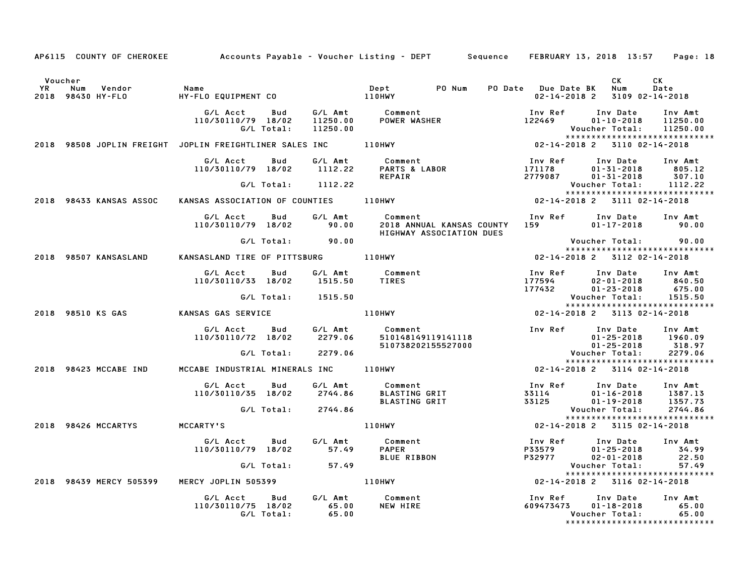|         |                                    |                                                     |                           | AP6115 COUNTY OF CHEROKEE Accounts Payable – Voucher Listing – DEPT Sequence FEBRUARY 13, 2018 13:57 Page: 18          |                                                |                                                          |                                                                  |
|---------|------------------------------------|-----------------------------------------------------|---------------------------|------------------------------------------------------------------------------------------------------------------------|------------------------------------------------|----------------------------------------------------------|------------------------------------------------------------------|
| Voucher |                                    |                                                     |                           |                                                                                                                        |                                                | CK                                                       | CK                                                               |
|         | YR Num Vendor<br>2018 98430 HY–FLO | Name                                                |                           |                                                                                                                        | PO Date Due Date BK<br>$02 - 14 - 2018$ 2      | Num<br>3109 02-14-2018                                   | Date                                                             |
|         |                                    | G/L Acct<br>Bud<br>110/30110/79 18/02<br>G/L Total: | 11250.00                  |                                                                                                                        | Inv Ref      Inv Date<br>122469                | $01 - 10 - 2018$<br>Voucher Total:                       | Inv Amt<br>11250.00<br>11250.00<br>***************************** |
|         |                                    |                                                     |                           | 2018 98508 JOPLIN FREIGHT JOPLIN FREIGHTLINER SALES INC 110HWY 102-14-2018 2 3110 02-14-2018                           |                                                |                                                          |                                                                  |
|         |                                    | G/LAcct Bud G/LAmt<br>110/30110/79 18/02 1112.22    |                           | Comment<br><b>Comment</b><br>PARTS & LABOR<br>REPAIR                                                                   | Inv Ref Inv Date Inv Amt<br>171178<br>2779087  | $01 - 31 - 2018$ 805.12<br>$01 - 31 - 2018$              | 307.10                                                           |
|         |                                    | G/L Total: 1112.22                                  |                           |                                                                                                                        |                                                | Voucher Total:                                           | 1112.22                                                          |
|         | 2018 98433 KANSAS ASSOC            |                                                     |                           | KANSAS ASSOCIATION OF COUNTIES 110HWY                                                                                  | 02-14-2018 2 3111 02-14-2018                   |                                                          |                                                                  |
|         |                                    |                                                     |                           |                                                                                                                        |                                                |                                                          |                                                                  |
|         |                                    | G/L Acct<br>Bud<br>110/30110/79 18/02               | 90.00                     | G/L Amt Comment<br>2018 ANNUAL KANSAS COUNTY 159<br>HIGHWAY ASSOCIATION DUES                                           | Inv Ref      Inv Date     Inv Amt              | $01 - 17 - 2018$ 90.00                                   |                                                                  |
|         |                                    | G/L Total: 90.00                                    |                           |                                                                                                                        |                                                | Voucher Total: 90.00                                     |                                                                  |
|         | 2018 98507 KANSASLAND              | KANSASLAND TIRE OF PITTSBURG 110HWY                 |                           |                                                                                                                        | 02-14-2018 2 3112 02-14-2018                   |                                                          | *****************************                                    |
|         |                                    | G/L Acct Bud<br>110/30110/33 18/02                  |                           | G/L Amt           Comment<br>1515.50       TIRES                                                                       | Inv Ref<br>177594<br>177432<br>177432          | Inv Date<br>02-01-2018<br>$01 - 23 - 2018$               | Inv Amt<br>840.50<br>675.00                                      |
|         |                                    | G/L Total: 1515.50                                  |                           |                                                                                                                        |                                                | Voucher Total:                                           | 1515.50                                                          |
|         |                                    |                                                     |                           |                                                                                                                        |                                                |                                                          | *****************************                                    |
|         |                                    | 2018 98510 KS GAS           KANSAS GAS SERVICE      |                           | 110HWY                                                                                                                 | 02-14-2018 2 3113 02-14-2018                   |                                                          |                                                                  |
|         |                                    |                                                     |                           |                                                                                                                        | Inv Ref Inv Date Inv Amt                       | $01 - 25 - 2018$ 1960.09                                 |                                                                  |
|         |                                    |                                                     |                           |                                                                                                                        |                                                | $01 - 25 - 2018$<br>Voucher Total:                       | 318.97<br>2279.06                                                |
|         |                                    |                                                     |                           |                                                                                                                        |                                                |                                                          |                                                                  |
|         | 2018 98423 MCCABE IND              | MCCABE INDUSTRIAL MINERALS INC 110HWY               |                           |                                                                                                                        | 02-14-2018 2 3114 02-14-2018                   |                                                          |                                                                  |
|         |                                    |                                                     |                           | G/L Acct        Bud          G/L Amt            Comment<br>110/30110/35   18/02         2744.86         BLASTING  GRIT | Inv Ref<br>33114                               | Inv Date<br>$01 - 16 - 2018$                             | Inv Amt<br>1387.13                                               |
|         |                                    | G/L Total: 2744.86                                  |                           |                                                                                                                        | 33125                                          | $01 - 19 - 2018$<br>Voucher Total:                       | 1357.73<br>2744.86                                               |
|         | 2018 98426 MCCARTYS MCCARTY'S      |                                                     |                           | 110HWY                                                                                                                 | 02-14-2018 2 3115 02-14-2018                   |                                                          | *****************************                                    |
|         |                                    |                                                     |                           |                                                                                                                        |                                                |                                                          |                                                                  |
|         |                                    | G/L Acct Bud<br>110/30110/79 18/02                  | G⁄L Amt<br>57.49          | Comment<br><b>PAPER</b><br>BLUE RIBBON                                                                                 | Inv Ref<br>P33579<br>P32977                    | Inv Date Inv Amt<br>$01 - 25 - 2018$<br>$02 - 01 - 2018$ | 34.99<br>22.50                                                   |
|         |                                    |                                                     |                           |                                                                                                                        |                                                | Voucher Total:                                           | 57.49                                                            |
|         | 2018 98439 MERCY 505399            |                                                     |                           |                                                                                                                        | 02-14-2018 2 3116 02-14-2018                   |                                                          | *****************************                                    |
|         |                                    | G/L Acct Bud<br>110/30110/75 18/02<br>G/L Total:    | G/L Amt<br>65.00<br>65.00 | Comment<br>NEW HIRE                                                                                                    | Inv Ref      Inv Date     Inv Amt<br>609473473 | $01 - 18 - 2018$<br>Voucher Total: 65.00                 | 65.00<br>*****************************                           |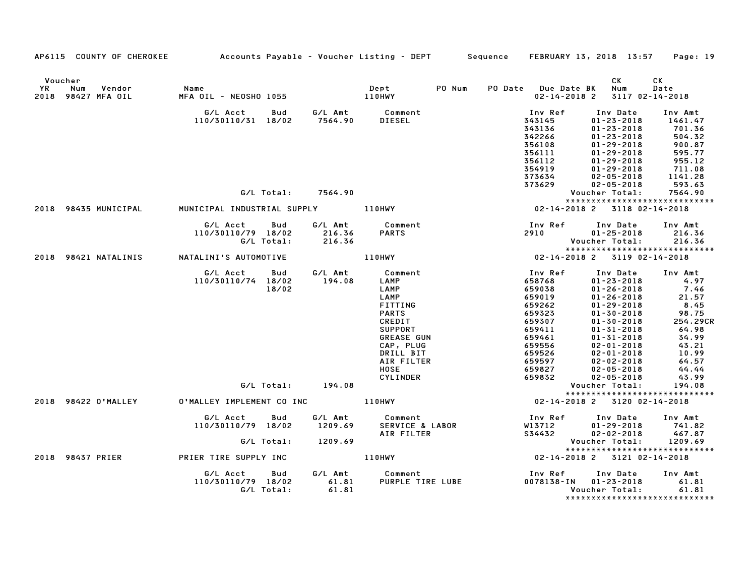|         | AP6115 COUNTY OF CHEROKEE Accounts Payable - Voucher Listing - DEPT Sequence FEBRUARY 13, 2018 13:57 Page: 19 |                                  |            |                    |                                                   |        |                         |                                      |                               |
|---------|---------------------------------------------------------------------------------------------------------------|----------------------------------|------------|--------------------|---------------------------------------------------|--------|-------------------------|--------------------------------------|-------------------------------|
|         |                                                                                                               |                                  |            |                    |                                                   |        |                         |                                      |                               |
| Voucher |                                                                                                               |                                  |            |                    |                                                   |        |                         | CK                                   | CK                            |
| YR      | Num<br>Vendor                                                                                                 | Name                             |            | Dept<br>110HWY     | Dept                                              | PO Num | PO Date Due Date BK Num |                                      | Date                          |
|         | 2018 98427 MFA OIL                                                                                            | MFA OIL - NEOSHO 1055            |            |                    |                                                   |        | 02-14-2018 2            |                                      | 3117 02-14-2018               |
|         |                                                                                                               | G/L Acct                         | <b>Bud</b> |                    |                                                   |        | Inv Ref                 | Inv Date                             | Inv Amt                       |
|         |                                                                                                               | 110/30110/31 18/02               |            |                    | G/L Amt          Comment<br>7564.90        DIESEL |        | 343145                  | $01 - 23 - 2018$                     | 1461.47                       |
|         |                                                                                                               |                                  |            |                    |                                                   |        | 343136                  | $01 - 23 - 2018$                     | 701.36                        |
|         |                                                                                                               |                                  |            |                    |                                                   |        | 342266                  | $01 - 23 - 2018$                     | 504.32                        |
|         |                                                                                                               |                                  |            |                    |                                                   |        | 356108                  | $01 - 29 - 2018$                     | 900.87                        |
|         |                                                                                                               |                                  |            |                    |                                                   |        | 356111                  | $01 - 29 - 2018$                     | 595.77                        |
|         |                                                                                                               |                                  |            |                    |                                                   |        | 356112<br>354919        | $01 - 29 - 2018$                     | 955.12<br>711.08              |
|         |                                                                                                               |                                  |            |                    |                                                   |        | 373634                  | $01 - 29 - 2018$<br>$02 - 05 - 2018$ | 1141.28                       |
|         |                                                                                                               |                                  |            |                    |                                                   |        | 373629                  | $02 - 05 - 2018$                     | 593.63                        |
|         |                                                                                                               |                                  |            | G/L Total: 7564.90 |                                                   |        |                         | Voucher Total:                       | 7564.90                       |
|         |                                                                                                               |                                  |            |                    |                                                   |        |                         |                                      | ***************************** |
|         | 2018 98435 MUNICIPAL     MUNICIPAL INDUSTRIAL SUPPLY         110HWY                                           |                                  |            |                    |                                                   |        |                         | 02-14-2018 2 3118 02-14-2018         |                               |
|         |                                                                                                               | G/L Acct Bud                     |            | G/L Amt            | Comment                                           |        |                         | Inv Ref      Inv Date     Inv Amt    |                               |
|         |                                                                                                               | 110/30110/79 18/02               |            |                    | <b>PARTS</b>                                      |        | 2910                    | $01 - 25 - 2018$                     | 216.36                        |
|         |                                                                                                               |                                  | G/L Total: | 216.36<br>216.36   |                                                   |        |                         | Voucher Total:                       | 216.36                        |
|         |                                                                                                               |                                  |            |                    |                                                   |        |                         |                                      | ***************************** |
|         | 2018 98421 NATALINIS NATALINI'S AUTOMOTIVE 110HWY                                                             |                                  |            |                    |                                                   |        |                         | 02-14-2018 2 3119 02-14-2018         |                               |
|         |                                                                                                               | G/L Acct Bud                     |            | G/L Amt            | Comment                                           |        | <b>Inv Ref</b>          | Inv Date                             | Inv Amt                       |
|         |                                                                                                               | 110/30110/74 18/02               |            | 194.08             | LAMP                                              |        | 658768                  | $01 - 23 - 2018$                     | 4.97                          |
|         |                                                                                                               |                                  | 18/02      |                    | LAMP                                              |        | 659038                  | $01 - 26 - 2018$                     | 7.46                          |
|         |                                                                                                               |                                  |            |                    | LAMP                                              |        | 659019                  | $01 - 26 - 2018$                     | 21.57                         |
|         |                                                                                                               |                                  |            |                    | FITTING                                           |        | 659262                  | $01 - 29 - 2018$                     | 8.45                          |
|         |                                                                                                               |                                  |            |                    | <b>PARTS</b><br>CREDIT                            |        | 659323<br>659307        | $01 - 30 - 2018$<br>$01 - 30 - 2018$ | 98.75<br>254.29CR             |
|         |                                                                                                               |                                  |            |                    | <b>SUPPORT</b>                                    |        | 659411                  | $01 - 31 - 2018$                     | 64.98                         |
|         |                                                                                                               |                                  |            |                    | <b>GREASE GUN</b>                                 |        | 659461                  | $01 - 31 - 2018$                     | 34.99                         |
|         |                                                                                                               |                                  |            |                    | CAP, PLUG                                         |        | 659556                  | $02 - 01 - 2018$                     | 43.21                         |
|         |                                                                                                               |                                  |            |                    | DRILL BIT                                         |        | 659526                  | $02 - 01 - 2018$                     | 10.99                         |
|         |                                                                                                               |                                  |            |                    | AIR FILTER                                        |        | 659597                  | $02 - 02 - 2018$                     | 64.57                         |
|         |                                                                                                               |                                  |            |                    | <b>HOSE</b>                                       |        | 659827                  | $02 - 05 - 2018$                     | 44.44                         |
|         |                                                                                                               |                                  |            |                    | <b>CYLINDER</b>                                   |        | 659832                  | $02 - 05 - 2018$                     | 43.99                         |
|         |                                                                                                               |                                  |            | G/L Total: 194.08  |                                                   |        |                         | Voucher Total:                       | 194.08                        |
|         |                                                                                                               | 0'MALLEY IMPLEMENT CO INC 110HWY |            |                    |                                                   |        |                         |                                      | ***************************** |
|         | 2018 98422 O'MALLEY                                                                                           |                                  |            |                    |                                                   |        |                         | 02-14-2018 2 3120 02-14-2018         |                               |
|         |                                                                                                               | G/L Acct Bud                     |            | G/L Amt            | Comment<br>SERVICE & LABOR<br>Comment             |        |                         | Inv Ref Inv Date                     | Inv Amt                       |
|         |                                                                                                               | 110/30110/79 18/02               |            | 1209.69            |                                                   |        | W13712                  | $01 - 29 - 2018$                     | 741.82                        |
|         |                                                                                                               |                                  |            |                    | AIR FILTER                                        |        | S34432                  | $02 - 02 - 2018$                     | 467.87                        |
|         |                                                                                                               |                                  | G/L Total: | 1209.69            |                                                   |        |                         | Voucher Total:                       | 1209.69                       |
|         | 2018 98437 PRIER PRIER TIRE SUPPLY INC                                                                        |                                  |            |                    | 110HWY                                            |        |                         | $02 - 14 - 2018$ 2 3121 02-14-2018   | ***************************** |
|         |                                                                                                               |                                  |            |                    |                                                   |        |                         |                                      |                               |
|         |                                                                                                               | G/L Acct<br>110/30110/79 18/02   | Bud        |                    | G/L Amt Comment<br>PURPLE TIRE LUBE               |        | Inv Ref                 | Inv Date<br>0078138-IN 01-23-2018    | Inv Amt<br>61.81              |
|         |                                                                                                               |                                  | G/L Total: | $61.81$<br>$61.81$ |                                                   |        |                         | Voucher Total:                       | 61.81                         |
|         |                                                                                                               |                                  |            |                    |                                                   |        |                         |                                      | ***************************** |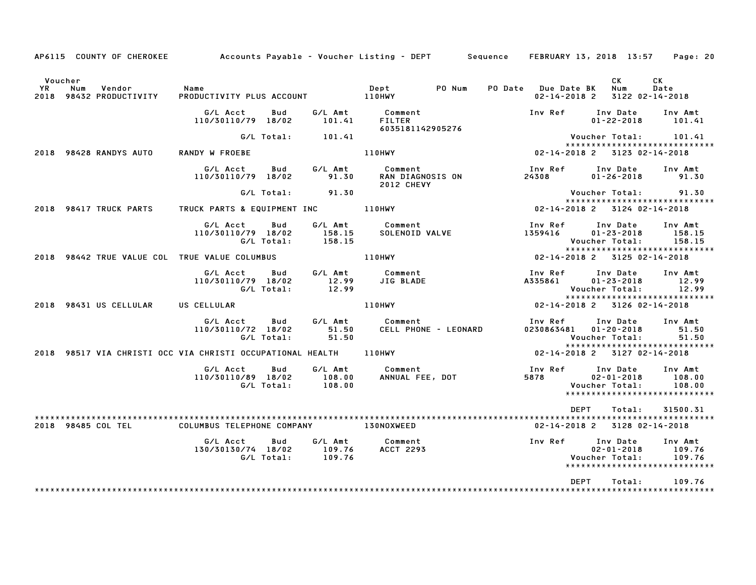|               | AP6115 COUNTY OF CHEROKEE                | Accounts Payable – Voucher Listing – DEPT         Sequence     FEBRUARY 13, 2018  13:57  |                       |                                               |                                                          |                                                                |                                                        | Page: 20                                                      |
|---------------|------------------------------------------|------------------------------------------------------------------------------------------|-----------------------|-----------------------------------------------|----------------------------------------------------------|----------------------------------------------------------------|--------------------------------------------------------|---------------------------------------------------------------|
| Voucher<br>YR | Vendor<br>Num<br>2018 98432 PRODUCTIVITY | Name                                                                                     |                       |                                               |                                                          | PO Date Due Date BK<br>$02 - 14 - 2018$ 2                      | CK<br>Num                                              | CK<br>Date<br>3122 02-14-2018                                 |
|               |                                          | G/L Acct<br>Bud<br>110/30110/79 18/02                                                    | 101.41                | G/L Amt Comment<br>FILTER<br>6035181142905276 |                                                          |                                                                | Inv Ref Inv Date Inv Amt                               | $01 - 22 - 2018$ 101.41                                       |
|               |                                          | G/L Total: 101.41                                                                        |                       |                                               |                                                          |                                                                | Voucher Total: 101.41                                  |                                                               |
|               | 2018 98428 RANDYS AUTO                   | RANDY W FROEBE                                                                           |                       | 110HWY                                        |                                                          | 02-14-2018 2 3123 02-14-2018                                   |                                                        | ******************************                                |
|               |                                          | G/L Acct<br><b>Bud</b><br>110/30110/79 18/02                                             | 91.30                 | <b>2012 CHEVY</b>                             | G/L Amt          Comment<br>91.30       RAN DIAGNOSIS ON | Inv Ref Inv Date<br>24308                                      | $01 - 26 - 2018$                                       | Inv Amt<br>91.30                                              |
|               |                                          | G/L Total:                                                                               | 91.30                 |                                               |                                                          |                                                                | Voucher Total: 91.30                                   | *****************************                                 |
|               |                                          | 2018 98417 TRUCK PARTS TRUCK PARTS & EQUIPMENT INC 110HWY                                |                       |                                               |                                                          | 02-14-2018 2 3124 02-14-2018                                   |                                                        |                                                               |
|               |                                          | G/L Acct<br>Bud<br>110/30110/79 18/02<br>G/L Total:                                      | 158.15<br>158.15      | Comment<br>SOLENOID VALVE<br>G/L Amt Comment  |                                                          | Inv Ref<br>1359416                                             | Inv Date<br>$01 - 23 - 2018$<br>Voucher Total:         | Inv Amt<br>158.15<br>158.15                                   |
|               |                                          | 2018   98442 TRUE VALUE COL   TRUE VALUE COLUMBUS                                        |                       | 110HWY                                        |                                                          |                                                                | 02-14-2018 2 3125 02-14-2018                           | ****************************                                  |
|               |                                          | G/L Acct<br>110/30110/79 18/02<br>G/L Total:                                             | $\frac{12.99}{12.99}$ | Bud G/L Amt Comment<br>JIG BLADE              |                                                          | A335861                                                        | Inv Ref Inv Date<br>$01 - 23 - 2018$<br>Voucher Total: | Inv Amt<br>12.99<br>12.99                                     |
|               | 2018 98431 US CELLULAR US CELLULAR       |                                                                                          |                       | 110HWY                                        |                                                          | 02-14-2018 2 3126 02-14-2018                                   |                                                        | *****************************                                 |
|               |                                          | G/L Acct<br>110/30110/72 18/02<br>G/L Total:                                             | 51.50<br>51.50        | Bud G/L Amt Comment<br>CELL PHONE - LEONARD   |                                                          | 0230863481   01-20-2018   0230863481<br>Voucher Total:   51.50 | Inv Ref Inv Date Inv Amt                               |                                                               |
|               |                                          | 2018 98517 VIA CHRISTI OCC VIA CHRISTI OCCUPATIONAL HEALTH 110HWY                        |                       |                                               |                                                          | 02-14-2018 2 3127 02-14-2018                                   |                                                        | *****************************                                 |
|               |                                          | ou G/L Amt Comment<br>110/30110/89 18/02 108.00 ANNUAL FEE, DOT<br>G/L Total: 108.00     |                       |                                               |                                                          | Inv Ref Inv Date<br>5878 02-01-2018<br>Voucher Total:          |                                                        | Inv Amt<br>108.00<br>108.00                                   |
|               |                                          |                                                                                          |                       |                                               |                                                          | DEPT                                                           | Total:                                                 | 31500.31                                                      |
|               | 2018 98485 COL TEL                       | COLUMBUS TELEPHONE COMPANY 130NOXWEED                                                    |                       |                                               |                                                          |                                                                | 02-14-2018 2 3128 02-14-2018                           |                                                               |
|               |                                          | G/L Acct Bud G/L Amt Comment<br>130/30130/74 18/02 109.76 ACCT 2293<br>G/L Total: 109.76 |                       |                                               |                                                          | Inv Ref Inv Date<br>Voucher Total:                             | $02 - 01 - 2018$                                       | Inv Amt<br>109.76<br>109.76<br>****************************** |
|               |                                          |                                                                                          |                       |                                               |                                                          | DEPT                                                           | Total:                                                 | 109.76                                                        |
|               |                                          |                                                                                          |                       |                                               |                                                          |                                                                |                                                        |                                                               |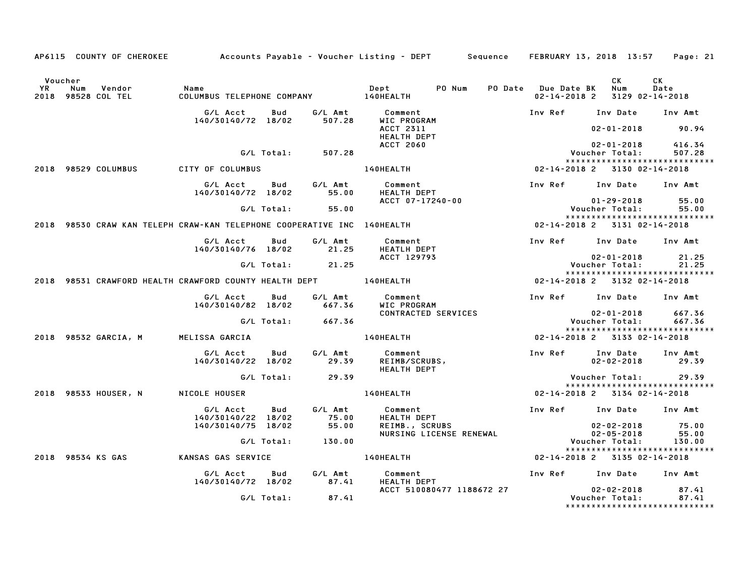|           |                                                                         |                                          |            |                   | AP6115 COUNTY OF CHEROKEE Accounts Payable - Voucher Listing - DEPT Sequence FEBRUARY 13, 2018 13:57 Page: 21                                                       |                         |                                                                           |            |
|-----------|-------------------------------------------------------------------------|------------------------------------------|------------|-------------------|---------------------------------------------------------------------------------------------------------------------------------------------------------------------|-------------------------|---------------------------------------------------------------------------|------------|
| <b>YR</b> | Voucher<br>Num Vendor<br>2018 98528 COL TEL                             | Name<br>COLIIMR                          |            |                   |                                                                                                                                                                     | PO Date Due Date BK Num | CK<br>02-14-2018 2 3129 02-14-2018                                        | CK<br>Date |
|           |                                                                         | G/L Acct<br>140/30140/72 18/02           | Bud        |                   | G/L Amt          Comment<br>507.28        WIC PROGRAM                                                                                                               |                         | Inv Ref Inv Date Inv Amt                                                  |            |
|           |                                                                         |                                          |            |                   | ACCT 2311<br><b>HEALTH DEPT</b><br><b>ACCT 2060</b>                                                                                                                 |                         | $02 - 01 - 2018$ 90.94<br>02-01-2018 416.34                               |            |
|           |                                                                         |                                          |            | G/L Total: 507.28 |                                                                                                                                                                     |                         | Voucher Total:<br>*****************************                           | 507.28     |
|           | 2018 98529 COLUMBUS                                                     | CITY OF COLUMBUS                         |            |                   | 140HEALTH 02-14-2018 2 3130 02-14-2018                                                                                                                              |                         |                                                                           |            |
|           |                                                                         |                                          |            |                   | G/L Acct Bud G/L Amt Comment<br>140/30140/72 18/02 55.00 HEALTH DEPT                                                                                                |                         | Inv Ref      Inv Date     Inv Amt                                         |            |
|           |                                                                         |                                          |            | G/L Total: 55.00  | ACCT 07-17240-00                                                                                                                                                    |                         | $01 - 29 - 2018$ 55.00<br>Voucher Total: 55.00                            |            |
|           | 2018 98530 CRAW KAN TELEPH CRAW-KAN TELEPHONE COOPERATIVE INC 140HEALTH |                                          |            |                   |                                                                                                                                                                     |                         | *****************************<br>02-14-2018 2 3131 02-14-2018             |            |
|           |                                                                         | G/L Acct Bud<br>140/30140/76 18/02 21.25 |            |                   | G/L Amt Comment<br><b>HEATLH DEPT</b>                                                                                                                               |                         | Inv Ref Inv Date Inv Amt                                                  |            |
|           |                                                                         |                                          |            | G/L Total: 21.25  | ACCT 129793                                                                                                                                                         |                         | $02 - 01 - 2018$ 21.25<br>Voucher Total: 21.25                            |            |
|           |                                                                         |                                          |            |                   | 2018 98531 CRAWFORD HEALTH CRAWFORD COUNTY HEALTH DEPT 140HEALTH 140HEALTH 02-14-2018 2 3132 02-14-2018                                                             |                         | *****************************                                             |            |
|           |                                                                         | G/L Acct Bud                             |            |                   | G/L Amt Comment                                                                                                                                                     |                         | Inv Ref Inv Date Inv Amt                                                  |            |
|           |                                                                         | 140/30140/82 18/02                       | G/L Total: | 667.36<br>667.36  | WIC PROGRAM<br>CONTRACTED SERVICES                                                                                                                                  |                         | $02 - 01 - 2018$ 667.36<br>Voucher Total: 667.36                          |            |
|           | 2018 98532 GARCIA, M MELISSA GARCIA                                     |                                          |            |                   | 140HEALTH                                                                                                                                                           |                         | *****************************<br>02-14-2018 2 3133 02-14-2018             |            |
|           |                                                                         |                                          |            |                   |                                                                                                                                                                     |                         |                                                                           |            |
|           |                                                                         | G/L Acct Bud<br>140/30140/22 18/02       |            |                   | G/L Amt Comment<br>29.39 REIMB/SCRI<br>REIMB/SCRUBS,<br>HEALTH DEPT                                                                                                 |                         | Inv Ref Inv Date<br>$02 - 02 - 2018$ 29.39                                | Inv Amt    |
|           |                                                                         |                                          |            | G/L Total: 29.39  |                                                                                                                                                                     |                         | Voucher Total: 29.39<br>*****************************                     |            |
|           | 2018 98533 HOUSER, N NICOLE HOUSER                                      |                                          |            |                   | <b>140HEALTH</b>                                                                                                                                                    |                         | 02-14-2018 2 3134 02-14-2018                                              |            |
|           |                                                                         | G/L Acct<br>140/30140/22 18/02           | Bud        | 75.00             | G/L Amt Comment<br>HEALTH DEPT                                                                                                                                      |                         | Inv Ref Inv Date Inv Amt                                                  |            |
|           |                                                                         | 140/30140/75 18/02                       |            | 55.00             | 02-02-2018<br>NURSING LICENSE RENEWAL 02-05-2018<br>Compare the Magnus of the Magnus of the Magnus of the Magnus of the Magnus of the Magnus of the Magnus of the M |                         |                                                                           |            |
|           |                                                                         |                                          |            | G/L Total: 130.00 |                                                                                                                                                                     |                         | Voucher Total: 130.00<br>******************************                   |            |
|           | 2018 98534 KS GAS                                                       | <b>KANSAS GAS SERVICE</b>                |            |                   | 140HEALTH                                                                                                                                                           |                         | 02-14-2018 2 3135 02-14-2018                                              |            |
|           |                                                                         |                                          |            |                   |                                                                                                                                                                     |                         | Inv Ref      Inv Date     Inv Amt                                         |            |
|           |                                                                         |                                          | G/L Total: | 87.41             | ACCT 510080477 1188672 27                                                                                                                                           |                         | $02 - 02 - 2018$ 87.41<br>Voucher Total:<br>***************************** | 87.41      |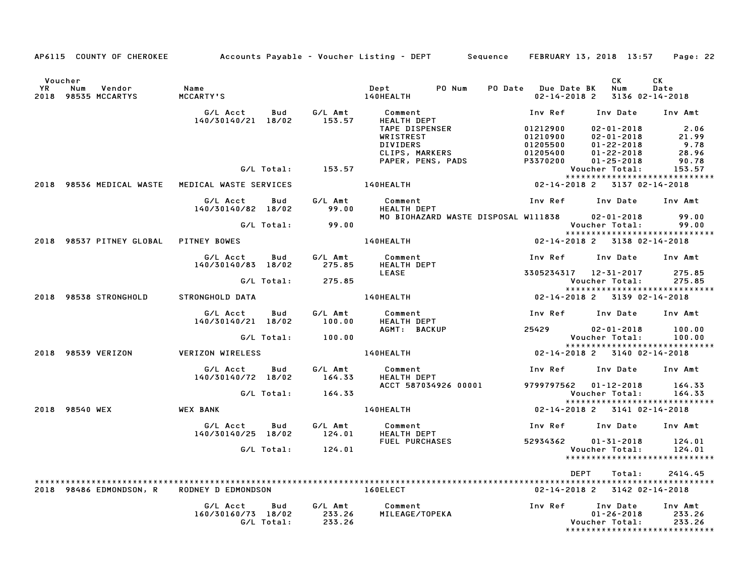|                                                                 |                                                                            |            |                   | AP6115 COUNTY OF CHEROKEE Accounts Payable - Voucher Listing - DEPT Sequence FEBRUARY 13, 2018 13:57 Page: 22             |                                                                       |                                                         |                                                   |
|-----------------------------------------------------------------|----------------------------------------------------------------------------|------------|-------------------|---------------------------------------------------------------------------------------------------------------------------|-----------------------------------------------------------------------|---------------------------------------------------------|---------------------------------------------------|
| Voucher<br><b>YR</b><br>Num<br>Vendor<br>2018<br>98535 MCCARTYS | Name<br><b>MCCARTY'S</b>                                                   |            |                   | Dept PO Num PO Date Due Date BK Num<br><b>140HEALTH</b>                                                                   |                                                                       | CK<br>02-14-2018 2 3136 02-14-2018                      | CK .<br>Date                                      |
|                                                                 | G/L Acct<br>140/30140/21 18/02                                             | Bud        |                   | G/L Amt         Comment<br>153.57      HEALTH DEP<br><b>HEALTH DEPT</b><br>TAPE DISPENSER<br>WRISTREST<br><b>DIVIDERS</b> | Inv Ref      Inv Date     Inv Amt<br>01212900<br>01210900<br>01205500 | 02-01-2018 2.06<br>02-01-2018 21.99<br>$01 - 22 - 2018$ | 9.78<br>28.96                                     |
|                                                                 |                                                                            |            | G/L Total: 153.57 | DIVIDERS<br>CLIPS, MARKERS<br>PAPER, PENS, PADS                                                                           | UIZU5500<br>01205400<br>P3370200                                      | $01 - 22 - 2018$<br>$01 - 25 - 2018$<br>Voucher Total:  | 90.78<br>153.57<br>*****************************  |
| 2018 98536 MEDICAL WASTE MEDICAL WASTE SERVICES                 |                                                                            |            |                   | 140HEALTH                                                                                                                 | 02-14-2018 2 3137 02-14-2018                                          |                                                         |                                                   |
|                                                                 | G/L Acct   Bud<br>140/30140/82 18/02                                       |            | G/L Amt<br>99.00  | Comment<br>HEALTH DEPT                                                                                                    | Inv Ref      Inv Date     Inv Amt                                     |                                                         |                                                   |
|                                                                 |                                                                            |            | G/L Total: 99.00  | MO BIOHAZARD WASTE DISPOSAL W111838 02-01-2018                                                                            |                                                                       | Voucher Total:                                          | 99.00<br>99.00<br>*****************************   |
| 2018 98537 PITNEY GLOBAL PITNEY BOWES                           |                                                                            |            |                   | <b>140HEALTH</b>                                                                                                          | 02-14-2018 2 3138 02-14-2018                                          |                                                         |                                                   |
|                                                                 | G/L Acct Bud                                                               |            | G/L Amt           | Comment<br>140/30140/83 18/02 275.85 HEALTH DEPT                                                                          | Inv Ref Inv Date Inv Amt                                              |                                                         |                                                   |
|                                                                 |                                                                            |            | G/L Total: 275.85 | LEASE                                                                                                                     | 3305234317 12-31-2017                                                 | Voucher Total: 275.85                                   | 275.85<br>*****************************           |
| 2018 98538 STRONGHOLD                                           | STRONGHOLD DATA                                                            |            |                   | 140HEALTH 02-14-2018 2 3139 02-14-2018                                                                                    |                                                                       |                                                         |                                                   |
|                                                                 | G/L Acct<br>140/30140/21 18/02                                             | <b>Bud</b> | G/L Amt<br>100.00 | Comment<br>HEALTH DEPT                                                                                                    | Inv Ref      Inv Date     Inv Amt                                     |                                                         |                                                   |
|                                                                 |                                                                            | G/L Total: | 100.00            | AGMT: BACKUP                                                                                                              | 25429 02-01-2018                                                      | Voucher Total:                                          | 100.00<br>100.00<br>***************************** |
| 2018 98539 VERIZON                                              | <b>VERIZON WIRELESS</b>                                                    |            |                   | 140HEALTH                                                                                                                 | 02-14-2018 2 3140 02-14-2018                                          |                                                         |                                                   |
|                                                                 | G/L Acct Bud<br>140/30140/72 18/02                                         |            |                   | G/L Amt         Comment<br>164.33      HEALTH DEPT<br>HEALTH DEPT                                                         | Inv Ref      Inv Date     Inv Amt                                     |                                                         |                                                   |
|                                                                 |                                                                            |            | G/L Total: 164.33 | ACCT 587034926 00001                                                                                                      | 9799797562 01-12-2018                                                 | Voucher Total:                                          | 164.33<br>164.33<br>***************************** |
| 2018 98540 WEX                                                  | WEX BANK                                                                   |            |                   | 140HEALTH <b>Andrew Strutter</b>                                                                                          | 02-14-2018 2 3141 02-14-2018                                          |                                                         |                                                   |
|                                                                 | G/L Acct   Bud   G/L Amt<br>140/30140/25 18/02 124.01                      |            |                   | Comment<br><b>HEALTH DEPT</b>                                                                                             | Inv Ref      Inv Date     Inv Amt                                     |                                                         |                                                   |
|                                                                 |                                                                            |            | G/L Total: 124.01 | FUEL PURCHASES                                                                                                            | 52934362                                                              | $01 - 31 - 2018$<br>Voucher Total:                      | 124.01<br>124.01<br>***************************** |
| 2018 98486 EDMONDSON, R                                         | RODNEY D EDMONDSON                                                         |            |                   | 160ELECT                                                                                                                  | <b>DEPT</b><br>02-14-2018 2 3142 02-14-2018                           | Total:                                                  | 2414.45                                           |
|                                                                 | G/L Acct   Bud   G/L Amt<br>160/30160/73 18/02 233.26<br>G/L Total: 233.26 |            |                   | Comment<br>MILEAGE/TOPEKA                                                                                                 | Inv Ref                                                               | Inv Date<br>$01 - 26 - 2018$<br>Voucher Total:          | Inv Amt<br>233.26<br>233.26                       |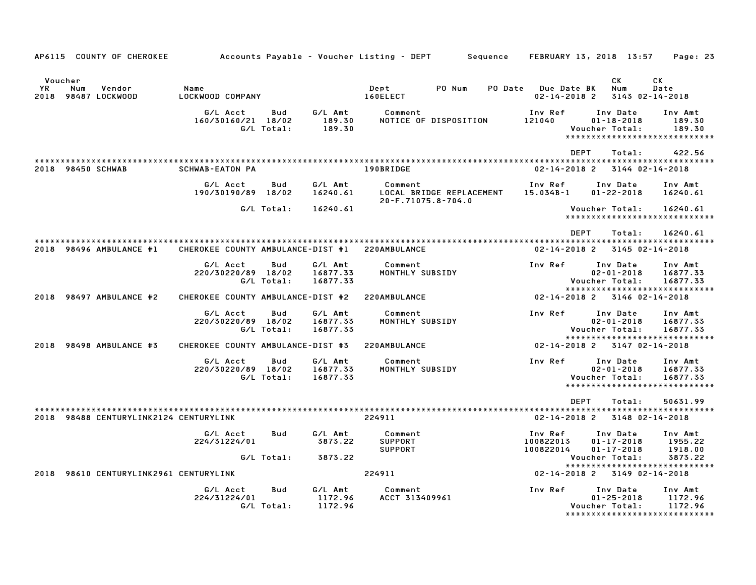| AP6115 COUNTY OF CHEROKEE                              |                                   |                   |                                 | Accounts Payable – Voucher Listing – DEPT   |                          | Sequence |                                           | FEBRUARY 13, 2018 13:57                                                         | Page: 23                                                       |
|--------------------------------------------------------|-----------------------------------|-------------------|---------------------------------|---------------------------------------------|--------------------------|----------|-------------------------------------------|---------------------------------------------------------------------------------|----------------------------------------------------------------|
| Voucher<br>YR.<br>Num<br>Vendor<br>2018 98487 LOCKWOOD | Name<br>LOCKWOOD COMPANY          |                   |                                 | Dept<br>160ELECT                            | PO Num                   |          | PO Date Due Date BK<br>$02 - 14 - 2018$ 2 | СK<br>Num                                                                       | СK<br>Date<br>3143 02-14-2018                                  |
|                                                        | G/L Acct<br>160/30160/21 18/02    | Bud<br>G/L Total: | G/L Amt<br>189.30<br>189.30     | Comment                                     | NOTICE OF DISPOSITION    |          | Inv Ref<br>121040                         | Inv Date<br>$01 - 18 - 2018$<br>Voucher Total:<br>***************************** | Inv Amt<br>189.30<br>189.30                                    |
|                                                        |                                   |                   |                                 |                                             |                          |          | <b>DEPT</b>                               | Total:                                                                          | 422.56                                                         |
| 2018 98450 SCHWAB                                      | <b>SCHWAB-EATON PA</b>            |                   |                                 | 190BRIDGE                                   |                          |          | $02 - 14 - 2018$ 2                        |                                                                                 | 3144 02-14-2018                                                |
|                                                        | G/L Acct<br>190/30190/89 18/02    | Bud               | G/L Amt<br>16240.61             | Comment<br>20-F.71075.8-704.0               | LOCAL BRIDGE REPLACEMENT |          | Inv Ref<br>$15.034B - 1$                  | Inv Date<br>$01 - 22 - 2018$                                                    | Inv Amt<br>16240.61                                            |
|                                                        |                                   | G/L Total:        | 16240.61                        |                                             |                          |          |                                           | Voucher Total:<br>*****************************                                 | 16240.61                                                       |
|                                                        |                                   |                   |                                 |                                             |                          |          | <b>DEPT</b>                               | Total:                                                                          | 16240.61                                                       |
| 2018 98496 AMBULANCE #1                                | CHEROKEE COUNTY AMBULANCE-DIST #1 |                   |                                 | 220AMBULANCE                                |                          |          | $02 - 14 - 2018$ 2                        |                                                                                 | 3145 02-14-2018                                                |
|                                                        | G/L Acct<br>220/30220/89 18/02    | Bud<br>G/L Total: | G/L Amt<br>16877.33<br>16877.33 | Comment<br>MONTHLY SUBSIDY                  |                          |          | Inv Ref                                   | Inv Date<br>$02 - 01 - 2018$<br>Voucher Total:                                  | Inv Amt<br>16877.33<br>16877.33                                |
| 2018 98497 AMBULANCE #2                                | CHEROKEE COUNTY AMBULANCE-DIST #2 |                   |                                 | 220AMBULANCE                                |                          |          |                                           | *****************************<br>02-14-2018 2 3146 02-14-2018                   |                                                                |
|                                                        | G/L Acct<br>220/30220/89 18/02    | Bud<br>G/L Total: | G/L Amt<br>16877.33<br>16877.33 | Comment<br>MONTHLY SUBSIDY                  |                          |          | Inv Ref                                   | Inv Date<br>$02 - 01 - 2018$<br>Voucher Total:                                  | Inv Amt<br>16877.33<br>16877.33                                |
| 2018 98498 AMBULANCE #3                                | CHEROKEE COUNTY AMBULANCE-DIST #3 |                   |                                 | 220AMBULANCE                                |                          |          |                                           | *****************************<br>$02 - 14 - 2018$ 2 3147 02-14-2018             |                                                                |
|                                                        | G/L Acct<br>220/30220/89 18/02    | Bud<br>G/L Total: | G/L Amt<br>16877.33<br>16877.33 | Comment<br>MONTHLY SUBSIDY                  |                          |          | Inv Ref                                   | Inv Date<br>$02 - 01 - 2018$<br>Voucher Total:<br>***************************** | Inv Amt<br>16877.33<br>16877.33                                |
| 2018 98488 CENTURYLINK2124 CENTURYLINK                 |                                   |                   |                                 | 224911                                      |                          |          | <b>DEPT</b><br>$02 - 14 - 2018$ 2         | Total:                                                                          | 50631.99<br>3148 02-14-2018                                    |
|                                                        | G/L Acct<br>224/31224/01          | Bud               | G/L Amt<br>3873.22              | Comment<br><b>SUPPORT</b><br><b>SUPPORT</b> |                          |          | Inv Ref<br>100822013<br>100822014         | Inv Date<br>$01 - 17 - 2018$<br>$01 - 17 - 2018$                                | Inv Amt<br>1955.22<br>1918.00                                  |
|                                                        |                                   | G/L Total:        | 3873.22                         |                                             |                          |          |                                           | Voucher Total:<br>*****************************                                 | 3873.22                                                        |
| 2018<br>98610 CENTURYLINK2961 CENTURYLINK              |                                   |                   |                                 | 224911                                      |                          |          | 02-14-2018 2                              |                                                                                 | 3149 02-14-2018                                                |
|                                                        | G/L Acct<br>224/31224/01          | Bud<br>G/L Total: | G/L Amt<br>1172.96<br>1172.96   | Comment<br>ACCT 313409961                   |                          |          | Inv Ref                                   | Inv Date<br>$01 - 25 - 2018$<br>Voucher Total:                                  | Inv Amt<br>1172.96<br>1172.96<br>***************************** |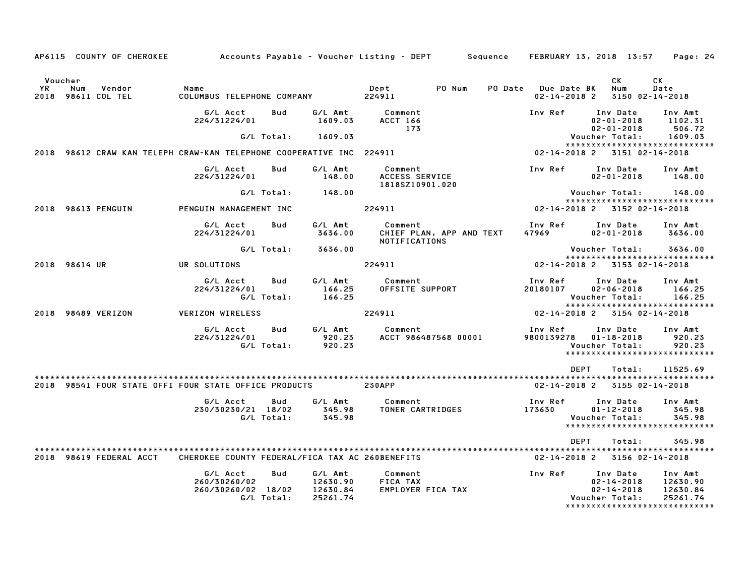|               |               | AP6115 COUNTY OF CHEROKEE    | Accounts Payable – Voucher Listing – DEPT         Sequence     FEBRUARY 13, 2018  13:57 |                          |                                             |                                                 |                          |                                           |                |                                                  | Page: 24                                                                     |
|---------------|---------------|------------------------------|-----------------------------------------------------------------------------------------|--------------------------|---------------------------------------------|-------------------------------------------------|--------------------------|-------------------------------------------|----------------|--------------------------------------------------|------------------------------------------------------------------------------|
| Voucher<br>YR | Num           | Vendor<br>2018 98611 COL TEL | Name<br>COLUMBUS TELEPHONE COMPANY                                                      |                          |                                             | Dept<br>224911                                  | PO Num                   | PO Date Due Date BK<br>$02 - 14 - 2018$ 2 |                | СK<br>Num                                        | СK<br>Date<br>3150 02-14-2018                                                |
|               |               |                              | G/L Acct<br>224/31224/01                                                                | Bud                      | G/L Amt<br>1609.03                          | Comment<br><b>ACCT 166</b><br>173               |                          | Inv Ref                                   |                | Inv Date<br>$02 - 01 - 2018$<br>$02 - 01 - 2018$ | Inv Amt<br>1102.31<br>506.72                                                 |
|               |               |                              |                                                                                         | G/L Total:               | 1609.03                                     |                                                 |                          |                                           | Voucher Total: |                                                  | 1609.03                                                                      |
|               |               |                              | 2018 98612 CRAW KAN TELEPH CRAW-KAN TELEPHONE COOPERATIVE INC 224911                    |                          |                                             |                                                 |                          |                                           |                |                                                  | *****************************<br>02-14-2018 2 3151 02-14-2018                |
|               |               |                              | G/L Acct<br>224/31224/01                                                                | Bud                      | G/L Amt<br>148.00                           | Comment<br>ACCESS SERVICE<br>1818SZ10901.020    |                          | Inv Ref                                   |                | Inv Date<br>$02 - 01 - 2018$                     | Inv Amt<br>148.00                                                            |
|               |               |                              |                                                                                         | G/L Total:               | 148.00                                      |                                                 |                          |                                           |                | Voucher Total:                                   | 148.00                                                                       |
|               |               | 2018 98613 PENGUIN           | PENGUIN MANAGEMENT INC                                                                  |                          |                                             | 224911                                          |                          | 02-14-2018 2 3152 02-14-2018              |                |                                                  | *****************************                                                |
|               |               |                              | G/L Acct<br>224/31224/01                                                                | Bud                      | G/L Amt<br>3636.00                          | Comment<br><b>NOTIFICATIONS</b>                 | CHIEF PLAN, APP AND TEXT | Inv Ref<br>47969                          |                | Inv Date<br>$02 - 01 - 2018$                     | Inv Amt<br>3636.00                                                           |
|               |               |                              |                                                                                         | G/L Total:               | 3636.00                                     |                                                 |                          |                                           | Voucher Total: |                                                  | 3636.00                                                                      |
|               | 2018 98614 UR |                              | UR SOLUTIONS                                                                            |                          |                                             | 224911                                          |                          | 02-14-2018 2 3153 02-14-2018              |                |                                                  | *****************************                                                |
|               |               |                              | G/L Acct<br>224/31224/01                                                                | Bud<br>G/L Total:        | G/L Amt<br>166.25<br>166.25                 | Comment<br>OFFSITE SUPPORT                      |                          | Inv Ref<br>20180107                       | Voucher Total: | Inv Date<br>$02 - 06 - 2018$                     | Inv Amt<br>166.25<br>166.25<br>******************************                |
|               |               | 2018 98489 VERIZON           | <b>VERIZON WIRELESS</b>                                                                 |                          |                                             | 224911                                          |                          | 02-14-2018 2 3154 02-14-2018              |                |                                                  |                                                                              |
|               |               |                              | G/L Acct<br>224/31224/01                                                                | Bud<br>G/L Total:        | G/L Amt<br>920.23<br>920.23                 | Comment<br>ACCT 986487568 00001                 |                          | Inv Ref<br>9800139278 01-18-2018          | Voucher Total: | Inv Date                                         | Inv Amt<br>920.23<br>920.23<br>******************************                |
|               |               |                              |                                                                                         |                          |                                             |                                                 |                          |                                           | <b>DEPT</b>    | Total:                                           | 11525.69                                                                     |
|               |               |                              | 2018 98541 FOUR STATE OFFI FOUR STATE OFFICE PRODUCTS                                   |                          |                                             | <b>230APP</b>                                   |                          |                                           |                | 02-14-2018 2 3155 02-14-2018                     |                                                                              |
|               |               |                              | G/L Acct<br>230/30230/21 18/02                                                          | Bud<br>G/L Total:        | G/L Amt<br>345.98<br>345.98                 | Comment<br>TONER CARTRIDGES                     |                          | Inv Ref<br>173630                         | Voucher Total: | Inv Date<br>$01 - 12 - 2018$                     | Inv Amt<br>345.98<br>345.98<br>*****************************                 |
|               |               |                              |                                                                                         |                          |                                             |                                                 |                          |                                           | <b>DEPT</b>    | Total:                                           | 345.98                                                                       |
|               |               | 2018 98619 FEDERAL ACCT      | CHEROKEE COUNTY FEDERAL/FICA TAX AC 260BENEFITS                                         |                          |                                             |                                                 |                          | 02-14-2018 2 3156 02-14-2018              |                |                                                  |                                                                              |
|               |               |                              | G/L Acct<br>260/30260/02<br>260/30260/02 18/02                                          | <b>Bud</b><br>G/L Total: | G/L Amt<br>12630.90<br>12630.84<br>25261.74 | Comment<br><b>FICA TAX</b><br>EMPLOYER FICA TAX |                          | Inv Ref                                   | Voucher Total: | Inv Date<br>$02 - 14 - 2018$<br>$02 - 14 - 2018$ | Inv Amt<br>12630.90<br>12630.84<br>25261.74<br>***************************** |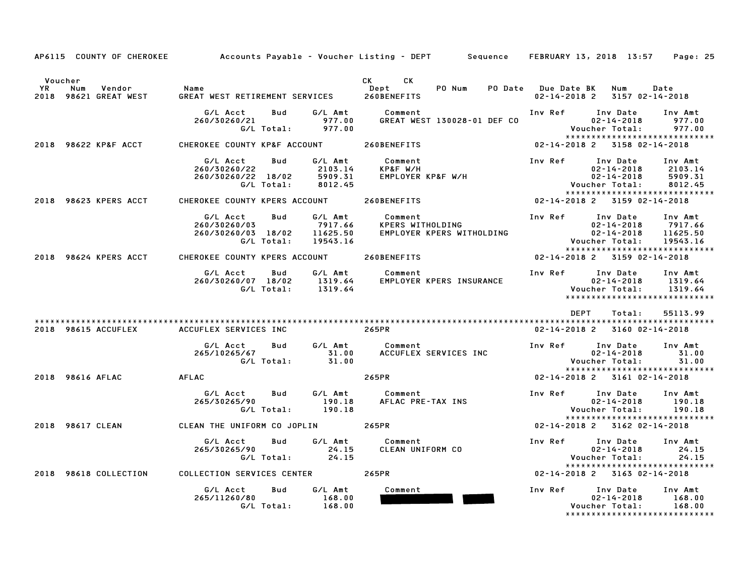|                                                                |                                                                                                                     |                                                | AP6115 COUNTY OF CHEROKEE Accounts Payable - Voucher Listing - DEPT Sequence FEBRUARY 13, 2018 13:57 Page: 25                                                                                                                                  |  |  |
|----------------------------------------------------------------|---------------------------------------------------------------------------------------------------------------------|------------------------------------------------|------------------------------------------------------------------------------------------------------------------------------------------------------------------------------------------------------------------------------------------------|--|--|
| Voucher<br><b>YR</b><br>Vendor<br>Num<br>2018 98621 GREAT WEST | Name                                                                                                                | CK CK<br>PO Num<br>Dept                        | PO Date Due Date BK Num<br>Date<br>02-14-2018 2 3157 02-14-2018                                                                                                                                                                                |  |  |
|                                                                |                                                                                                                     |                                                | Inv Ref Inv Date Inv Amt<br>$02 - 14 - 2018$<br>977.00<br>Voucher Total: 977.00<br>****************************                                                                                                                                |  |  |
|                                                                | 2018 98622 KP&F ACCT CHEROKEE COUNTY KP&F ACCOUNT 260BENEFITS                                                       |                                                | 02-14-2018 2 3158 02-14-2018                                                                                                                                                                                                                   |  |  |
|                                                                | Bud<br>G/L Acct<br>2103.14<br>260/30260/22<br>260/30260/22 18/02 5909.31<br>Call Gott Total: 8012.45                | G/L Amt Comment                                | <b>Inv Ref</b> Inv Date<br>Inv Amt<br>*****************************                                                                                                                                                                            |  |  |
|                                                                | 2018 98623 KPERS ACCT CHEROKEE COUNTY KPERS ACCOUNT 260BENEFITS                                                     |                                                | 02-14-2018 2 3159 02-14-2018                                                                                                                                                                                                                   |  |  |
|                                                                | G/L Acct Bud G/L Amt Comment<br>7917.66<br>260/30260/03<br>11625.50<br>260/30260/03 18/02<br>G/L Total:<br>19543.16 | Comment<br>KPERS WITHOLDING                    | Inv Ref Inv Date Inv Amt<br>02-14-2018 7917.66<br>19917.66 NOVER SUITHOLDING 02-14-2018 7917.66<br>EMPLOYER KPERS WITHOLDING 02-14-2018 11625.50<br>Voucher Total: 19543.16                                                                    |  |  |
|                                                                | 2018 98624 KPERS ACCT CHEROKEE COUNTY KPERS ACCOUNT 260BENEFITS                                                     |                                                | *****************************<br>02-14-2018 2 3159 02-14-2018                                                                                                                                                                                  |  |  |
|                                                                |                                                                                                                     |                                                | G/L Acct Bud G/L Amt Comment Inv Ref Inv Date Inv Amt<br>260/30260/07 18/02 1319.64 EMPLOYER KPERS INSURANCE 02–14–2018 1319.64<br>6/E Total: 1319.64 C/L Total: 1319.64<br>1319.64<br>Voucher Total: 1319.64<br>***************************** |  |  |
|                                                                |                                                                                                                     |                                                | <b>DEPT</b><br>55113.99<br>Total:                                                                                                                                                                                                              |  |  |
| 2018 98615 ACCUFLEX                                            | ACCUFLEX SERVICES INC<br><b>265PR</b>                                                                               |                                                | 02-14-2018 2 3160 02-14-2018                                                                                                                                                                                                                   |  |  |
|                                                                | G/L Acct<br>265/10265/67                                                                                            |                                                | Inv Ref 100 Date Inv Amt 102-14-2018 31.00<br>*****************************                                                                                                                                                                    |  |  |
| 2018 98616 AFLAC AFLAC                                         |                                                                                                                     | 265PR                                          | 02-14-2018 2 3161 02-14-2018                                                                                                                                                                                                                   |  |  |
|                                                                | G/L Acct Bud<br>265/30265/90                                                                                        |                                                | Inv Ref Inv Date Inv Amt<br>$02 - 14 - 2018$<br>190.18<br>Voucher Total:<br>190.18<br>*****************************                                                                                                                            |  |  |
| 2018 98617 CLEAN                                               | CLEAN THE UNIFORM CO JOPLIN 265PR                                                                                   |                                                | $02 - 14 - 2018$ 2 3162 02-14-2018                                                                                                                                                                                                             |  |  |
|                                                                | G/L Acct Bud<br>265/30265/90 24.15<br>G/L Total: 24.15                                                              | G/L Amt Comment<br>Comment<br>CLEAN UNIFORM CO | Inv Ref Inv Date Inv Amt<br>*****************************                                                                                                                                                                                      |  |  |
|                                                                | 2018 98618 COLLECTION COLLECTION SERVICES CENTER 265PR                                                              |                                                | 02-14-2018 2 3163 02-14-2018                                                                                                                                                                                                                   |  |  |
|                                                                | Bud<br>G∕L Amt<br>G/L Acct<br>265/11260/80 168.00<br>G/L Total: 168.00                                              | Comment                                        | Inv Ref Inv Date Inv Amt<br>$02 - 14 - 2018$<br>168.00<br>Voucher Total:<br>168.00<br>*****************************                                                                                                                            |  |  |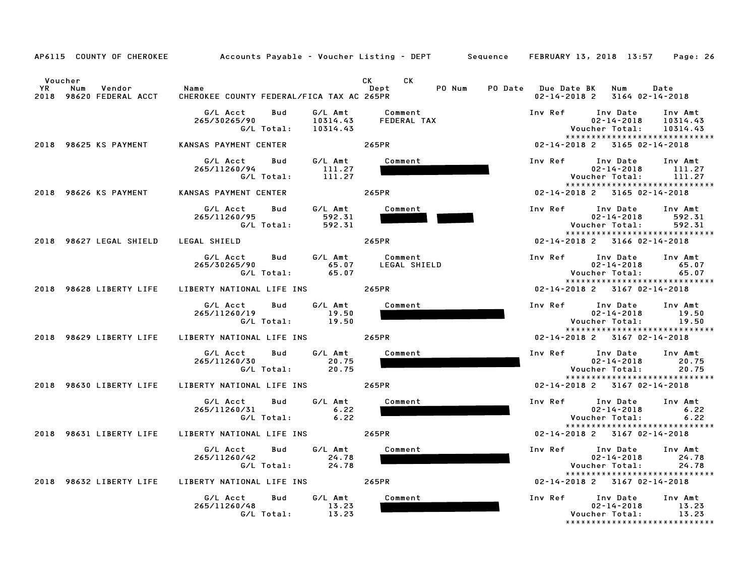|                                                                  |                                                      | AP6115 COUNTY OF CHEROKEE Accounts Payable – Voucher Listing – DEPT Sequence FEBRUARY 13, 2018 13:57 Page: 26                                                                                                                                          |                                                                                                                           |
|------------------------------------------------------------------|------------------------------------------------------|--------------------------------------------------------------------------------------------------------------------------------------------------------------------------------------------------------------------------------------------------------|---------------------------------------------------------------------------------------------------------------------------|
| Voucher<br><b>YR</b><br>Vendor<br>Num<br>2018 98620 FEDERAL ACCT | Name<br>CHEROKEE COUNTY FEDERAL/FICA TAX AC 265PR    | CK the control of the control of the control of the control of the control of the control of the control of the control of the control of the control of the control of the control of the control of the control of the contr<br>CK<br>PO Num<br>Dept | PO Date Due Date BK<br>Num<br>Date<br>02-14-2018 2 3164 02-14-2018                                                        |
|                                                                  | G/L Acct<br>Bud<br>265/30265/90<br>G/L Total:        | G/L Amt<br>Comment<br>10314.43<br>FEDERAL TAX<br>10314.43                                                                                                                                                                                              | Inv Ref Inv Date<br>Inv Amt<br>02-14-2018<br>10314.43<br>Voucher Total:<br>10314.43<br>*****************************      |
| 2018 98625 KS PAYMENT                                            | KANSAS PAYMENT CENTER                                | 265PR                                                                                                                                                                                                                                                  | 02-14-2018 2 3165 02-14-2018                                                                                              |
|                                                                  | G/L Acct<br>Bud<br>265/11260/94<br>G/L Total:        | G/L Amt<br>Comment<br>111.27<br>111.27                                                                                                                                                                                                                 | Inv Ref Inv Date Inv Amt<br>$02 - 14 - 2018$<br>111.27<br>Voucher Total:<br>111.27<br>*****************************       |
| 2018 98626 KS PAYMENT                                            | KANSAS PAYMENT CENTER                                | 265PR                                                                                                                                                                                                                                                  | 02-14-2018 2 3165 02-14-2018                                                                                              |
|                                                                  | G/L Acct<br>Bud<br>265/11260/95<br>G/L Total:        | G/L Amt<br>Comment<br>592.31<br>592.31                                                                                                                                                                                                                 | Inv Ref<br>Inv Date<br>Inv Amt<br>$02 - 14 - 2018$<br>592.31<br>Voucher Total:<br>592.31<br>***************************** |
| 2018 98627 LEGAL SHIELD                                          | LEGAL SHIELD                                         | 265PR                                                                                                                                                                                                                                                  | 02-14-2018 2 3166 02-14-2018                                                                                              |
|                                                                  | G/L Acct<br>265/30265/90<br>$G/L$ Total: $65.07$     | Bud G/L Amt Comment<br>65.07<br>LEGAL SHIELD                                                                                                                                                                                                           | Inv Ref Inv Date<br>Inv Amt<br>$02 - 14 - 2018$<br>65.07<br>Voucher Total:<br>65.07<br>*****************************      |
| 2018 98628 LIBERTY LIFE                                          | LIBERTY NATIONAL LIFE INS 265PR                      |                                                                                                                                                                                                                                                        | $02 - 14 - 2018$ 2 3167 02-14-2018                                                                                        |
|                                                                  | G/L Acct<br>Bud<br>265/11260/19<br>G/L Total:        | G/L Amt<br>Comment<br>19.50<br>19.50                                                                                                                                                                                                                   | Inv Ref<br>Inv Date<br>Inv Amt<br>$02 - 14 - 2018$<br>19.50<br>Voucher Total:<br>19.50<br>*****************************   |
| 2018 98629 LIBERTY LIFE                                          | LIBERTY NATIONAL LIFE INS 265PR                      |                                                                                                                                                                                                                                                        | 02-14-2018 2 3167 02-14-2018                                                                                              |
|                                                                  | G/L Acct<br>Bud<br>265/11260/30<br>G/L Total:        | G/L Amt<br>Comment<br>20.75<br>20.75                                                                                                                                                                                                                   | Inv Ref Inv Date Inv Amt<br>$02 - 14 - 2018$<br>20.75<br>Voucher Total:<br>20.75<br>******************************        |
| 2018 98630 LIBERTY LIFE                                          | LIBERTY NATIONAL LIFE INS                            | 265PR                                                                                                                                                                                                                                                  | 02-14-2018 2 3167 02-14-2018                                                                                              |
|                                                                  | G/L Acct<br>Bud<br>265/11260/31<br>G/L Total:        | G/L Amt<br>Comment<br>6.22<br>6.22                                                                                                                                                                                                                     | Inv Ref Inv Date<br>Inv Amt<br>$02 - 14 - 2018$<br>6.22<br>Voucher Total:<br>6.22<br>*****************************        |
| 2018 98631 LIBERTY LIFE                                          | LIBERTY NATIONAL LIFE INS                            | 265PR                                                                                                                                                                                                                                                  | 02-14-2018 2 3167 02-14-2018                                                                                              |
|                                                                  | G/L Acct<br>Bud<br>265/11260/42<br>G/L Total:        | G/L Amt<br>Comment<br>24.78<br>24.78                                                                                                                                                                                                                   | Inv Ref Inv Date<br>Inv Amt<br>$02 - 14 - 2018$<br>24.78<br>Voucher Total:<br>24.78<br>*****************************      |
| 2018 98632 LIBERTY LIFE                                          | LIBERTY NATIONAL LIFE INS 265PR                      |                                                                                                                                                                                                                                                        | 02-14-2018 2 3167 02-14-2018                                                                                              |
|                                                                  | G/L Acct<br><b>Bud</b><br>265/11260/48<br>G/L Total: | G/L Amt<br>Comment<br>13.23<br>13.23                                                                                                                                                                                                                   | Inv Ref<br>Inv Date<br>Inv Amt<br>13.23<br>$02 - 14 - 2018$<br>Voucher Total:<br>13.23<br>*****************************   |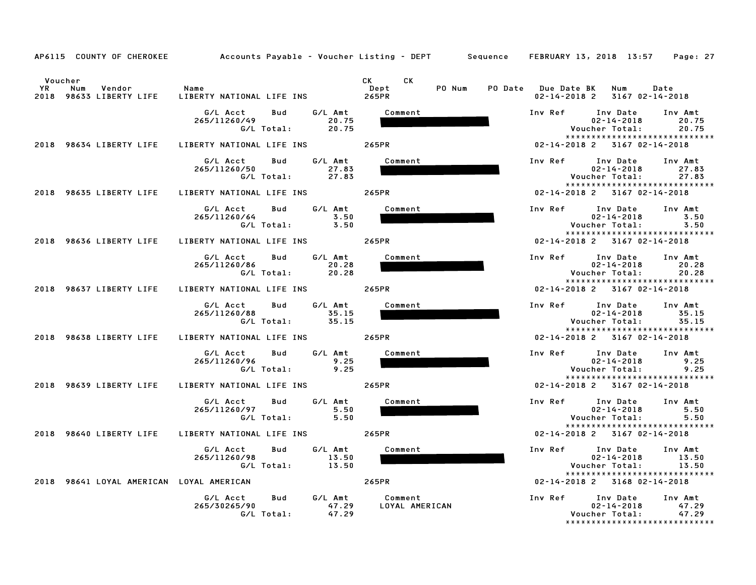|                                                                  | AP6115 COUNTY OF CHEROKEE Accounts Payable - Voucher Listing - DEPT Sequence FEBRUARY 13, 2018 13:57 |                                                                                                                                                                                                                                               | Page: 27                                                                                                                |
|------------------------------------------------------------------|------------------------------------------------------------------------------------------------------|-----------------------------------------------------------------------------------------------------------------------------------------------------------------------------------------------------------------------------------------------|-------------------------------------------------------------------------------------------------------------------------|
| Voucher<br><b>YR</b><br>Num<br>Vendor<br>2018 98633 LIBERTY LIFE | Name<br>LIBERTY NATIONAL LIFE INS 265PR                                                              | CK and the set of the set of the set of the set of the set of the set of the set of the set of the set of the set of the set of the set of the set of the set of the set of the set of the set of the set of the set of the se<br>CK.<br>Dept | PO Num PO Date Due Date BK Num<br>Date<br>02-14-2018 2 3167 02-14-2018                                                  |
|                                                                  | G/L Amt<br>G/L Acct<br>Bud<br>20.75<br>265/11260/49<br>G/L Total: 20.75                              | Comment                                                                                                                                                                                                                                       | Inv Ref Inv Date Inv Amt<br>20.75<br>02-14-2018<br>Voucher Total:<br>20.75<br>*****************************             |
| 2018 98634 LIBERTY LIFE                                          | LIBERTY NATIONAL LIFE INS 265PR                                                                      |                                                                                                                                                                                                                                               | 02-14-2018 2 3167 02-14-2018                                                                                            |
|                                                                  | G/L Acct<br>Bud<br>G/L Amt<br>265/11260/50<br>27.83<br>G/L Total:<br>27.83                           | Comment                                                                                                                                                                                                                                       | Inv Ref Inv Date<br>Inv Amt<br>$02 - 14 - 2018$<br>27.83<br>Voucher Total:<br>27.83<br>******************************   |
| 2018 98635 LIBERTY LIFE                                          | LIBERTY NATIONAL LIFE INS 265PR                                                                      |                                                                                                                                                                                                                                               | 02-14-2018 2 3167 02-14-2018                                                                                            |
|                                                                  | G/L Acct<br>G/L Amt<br>Bud<br>265/11260/64<br>3.50<br>G/L Total: 3.50                                | Comment                                                                                                                                                                                                                                       | Inv Ref Inv Date Inv Amt<br>02-14-2018<br>3.50<br>Voucher Total:<br>3.50<br>*****************************               |
|                                                                  | 2018 98636 LIBERTY LIFE LIBERTY NATIONAL LIFE INS 265PR                                              |                                                                                                                                                                                                                                               | 02-14-2018 2 3167 02-14-2018                                                                                            |
|                                                                  | G/L Amt<br>G/L Acct<br>Bud<br>20.28<br>265/11260/86<br>G/L Total: 20.28                              | Comment                                                                                                                                                                                                                                       | Inv Ref Inv Date Inv Amt<br>$02 - 14 - 2018$<br>20.28<br>Voucher Total:<br>20.28<br>*****************************       |
| 2018 98637 LIBERTY LIFE                                          | LIBERTY NATIONAL LIFE INS 265PR                                                                      |                                                                                                                                                                                                                                               | 02-14-2018 2 3167 02-14-2018                                                                                            |
|                                                                  | G/L Acct<br>Bud<br>G/L Amt<br>35.15<br>265/11260/88<br>G/L Total:<br>35.15                           | Comment                                                                                                                                                                                                                                       | Inv Ref<br>Inv Amt<br>Inv Date<br>$02 - 14 - 2018$<br>35.15<br>Voucher Total:<br>35.15<br>***************************** |
| 2018 98638 LIBERTY LIFE                                          | LIBERTY NATIONAL LIFE INS 265PR                                                                      |                                                                                                                                                                                                                                               | 02-14-2018 2 3167 02-14-2018                                                                                            |
|                                                                  | G/L Acct<br>G/L Amt<br>Bud<br>9.25<br>265/11260/96<br>$G/L$ Total: 9.25                              | Comment                                                                                                                                                                                                                                       | Inv Ref Inv Date Inv Amt<br>$02 - 14 - 2018$<br>9.25<br>9.25<br>Voucher Total:<br>*****************************         |
| 2018 98639 LIBERTY LIFE                                          | LIBERTY NATIONAL LIFE INS 265PR                                                                      |                                                                                                                                                                                                                                               | 02-14-2018 2 3167 02-14-2018                                                                                            |
|                                                                  | G/L Amt<br>Bud<br>G/L Acct<br>5.50<br>265/11260/97<br>G/L Total: 5.50                                | Comment                                                                                                                                                                                                                                       | Inv Ref Inv Date<br>Inv Amt<br>5.50<br>$02 - 14 - 2018$<br>Voucher Total:<br>5.50<br>*****************************      |
| 2018 98640 LIBERTY LIFE                                          | LIBERTY NATIONAL LIFE INS 265PR                                                                      |                                                                                                                                                                                                                                               | 02-14-2018 2 3167 02-14-2018                                                                                            |
|                                                                  | G/L Acct<br>G/L Amt<br>Bud<br>265/11260/98<br>13.50<br>G/L Total:<br>13.50                           | Comment                                                                                                                                                                                                                                       | Inv Ref Inv Date<br>Inv Amt<br>$02 - 14 - 2018$<br>13.50<br>Voucher Total:<br>13.50                                     |
| 2018 98641 LOYAL AMERICAN LOYAL AMERICAN                         |                                                                                                      | 265PR                                                                                                                                                                                                                                         | *****************************<br>02-14-2018 2 3168 02-14-2018                                                           |
|                                                                  | G/L Acct<br>Bud<br>265/30265/90<br>47.29<br>47.29<br>G/L Total:                                      | G/L Amt Comment<br>LOYAL AMERICAN                                                                                                                                                                                                             | Inv Ref Inv Date Inv Amt<br>47.29<br>$02 - 14 - 2018$<br>Voucher Total:<br>47.29<br>*****************************       |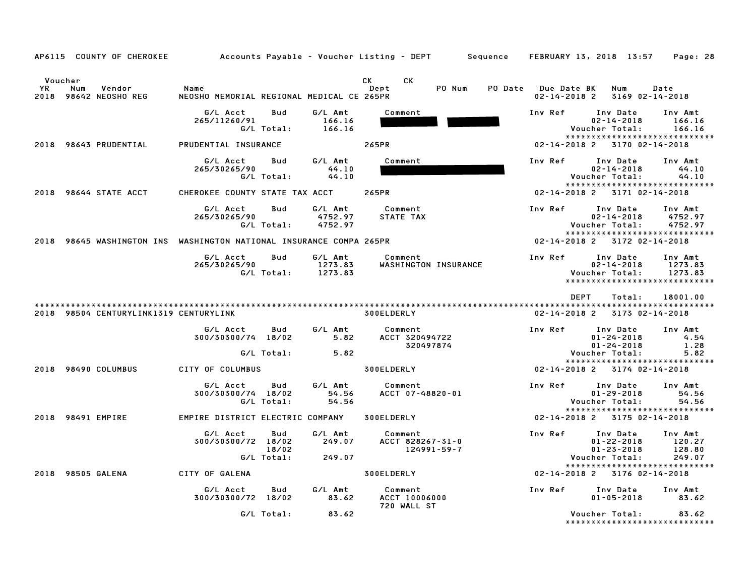| AP6115 COUNTY OF CHEROKEE                                           |                                                   |                            |                               | Accounts Payable – Voucher Listing – DEPT         Sequence     FEBRUARY 13, 2018  13:57     Page: 28                                                                                                                                                   |                                           |                                                                                                     |                                       |
|---------------------------------------------------------------------|---------------------------------------------------|----------------------------|-------------------------------|--------------------------------------------------------------------------------------------------------------------------------------------------------------------------------------------------------------------------------------------------------|-------------------------------------------|-----------------------------------------------------------------------------------------------------|---------------------------------------|
| Voucher<br><b>YR</b><br>Vendor<br>Num<br>2018 98642 NEOSHO REG      | Name<br>NEOSHO MEMORIAL REGIONAL MEDICAL CE 265PR |                            |                               | CK and the set of the set of the set of the set of the set of the set of the set of the set of the set of the set of the set of the set of the set of the set of the set of the set of the set of the set of the set of the se<br>CK<br>PO Num<br>Dept | PO Date Due Date BK<br>$02 - 14 - 2018$ 2 | Num<br>3169 02-14-2018                                                                              | Date                                  |
|                                                                     | G/L Acct<br>265/11260/91<br>G/L Total:            | Bud                        | G/L Amt<br>166.16<br>166.16   | Comment                                                                                                                                                                                                                                                | Inv Ref                                   | Inv Date<br>$02 - 14 - 2018$<br>Voucher Total:                                                      | Inv Amt<br>166.16<br>166.16           |
| 2018 98643 PRUDENTIAL                                               | PRUDENTIAL INSURANCE                              |                            |                               | 265PR                                                                                                                                                                                                                                                  |                                           | *****************************<br>02-14-2018 2 3170 02-14-2018                                       |                                       |
|                                                                     | G/L Acct Bud<br>265/30265/90<br>G/L Total:        |                            | G/L Amt<br>44.10<br>44.10     | Comment                                                                                                                                                                                                                                                | Inv Ref                                   | Inv Date<br>$02 - 14 - 2018$<br>Voucher Total:<br>*****************************                     | Inv Amt<br>44.10<br>44.10             |
| 2018 98644 STATE ACCT                                               | CHEROKEE COUNTY STATE TAX ACCT 265PR              |                            |                               |                                                                                                                                                                                                                                                        | 02-14-2018 2 3171 02-14-2018              |                                                                                                     |                                       |
|                                                                     | G/L Acct<br>265/30265/90<br>G/L Total:            | Bud                        | G/L Amt<br>4752.97<br>4752.97 | Comment<br>STATE TAX                                                                                                                                                                                                                                   | Inv Ref                                   | Inv Date<br>$02 - 14 - 2018$<br>Voucher Total:<br>*****************************                     | Inv Amt<br>4752.97<br>4752.97         |
| 2018 98645 WASHINGTON INS WASHINGTON NATIONAL INSURANCE COMPA 265PR |                                                   |                            |                               |                                                                                                                                                                                                                                                        | 02-14-2018 2 3172 02-14-2018              |                                                                                                     |                                       |
|                                                                     | G/L Acct<br>265/30265/90                          | Bud<br>G/L Total: 1273.83  | G/L Amt<br>1273.83            | Comment<br>WASHINGTON INSURANCE                                                                                                                                                                                                                        | Inv Ref                                   | Inv Date<br>$02 - 14 - 2018$<br>Voucher Total:<br>*****************************                     | Inv Amt<br>1273.83<br>1273.83         |
| 2018 98504 CENTURYLINK1319 CENTURYLINK                              |                                                   |                            |                               | 300ELDERLY                                                                                                                                                                                                                                             | DEPT                                      | Total:<br>02-14-2018 2 3173 02-14-2018                                                              | 18001.00                              |
|                                                                     | G/L Acct<br>300/30300/74 18/02                    | Bud<br>G/L Total:          | G/L Amt<br>5.82<br>5.82       | Comment<br>ACCT 320494722<br>320497874                                                                                                                                                                                                                 | Inv Ref                                   | Inv Date Inv Amt<br>$01 - 24 - 2018$<br>$01 - 24 - 2018$<br>Voucher Total:                          | 4.54<br>1.28<br>5.82                  |
| 2018 98490 COLUMBUS                                                 | CITY OF COLUMBUS                                  |                            |                               | 300ELDERLY                                                                                                                                                                                                                                             | 02-14-2018 2 3174 02-14-2018              | *****************************                                                                       |                                       |
|                                                                     | G/L Acct<br>300/30300/74 18/02<br>G/L Total:      | Bud                        | G/L Amt<br>54.56<br>54.56     | Comment<br>ACCT 07-48820-01                                                                                                                                                                                                                            | Inv Ref                                   | Inv Date<br>$01 - 29 - 2018$<br>Voucher Total:<br>*****************************                     | Inv Amt<br>54.56<br>54.56             |
| 2018 98491 EMPIRE                                                   | EMPIRE DISTRICT ELECTRIC COMPANY                  |                            |                               | <b>300ELDERLY</b>                                                                                                                                                                                                                                      | 02-14-2018 2 3175 02-14-2018              |                                                                                                     |                                       |
|                                                                     | G/L Acct<br>300/30300/72 18/02                    | Bud<br>18/02<br>G/L Total: | G/L Amt<br>249.07<br>249.07   | Comment<br>ACCT 828267-31-0<br>124991-59-7                                                                                                                                                                                                             | Inv Ref                                   | Inv Date<br>$01 - 22 - 2018$<br>$01 - 23 - 2018$<br>Voucher Total:<br>***************************** | Inv Amt<br>120.27<br>128.80<br>249.07 |
| 2018 98505 GALENA                                                   | CITY OF GALENA                                    |                            |                               | <b>300ELDERLY</b>                                                                                                                                                                                                                                      | 02-14-2018 2 3176 02-14-2018              |                                                                                                     |                                       |
|                                                                     | G/L Acct<br>300/30300/72 18/02                    | Bud                        | G/L Amt<br>83.62              | Comment<br>ACCT 10006000<br>720 WALL ST                                                                                                                                                                                                                | Inv Ref                                   | Inv Date<br>$01 - 05 - 2018$                                                                        | Inv Amt<br>83.62                      |
|                                                                     | G/L Total:                                        |                            | 83.62                         |                                                                                                                                                                                                                                                        |                                           | Voucher Total:<br>*****************************                                                     | 83.62                                 |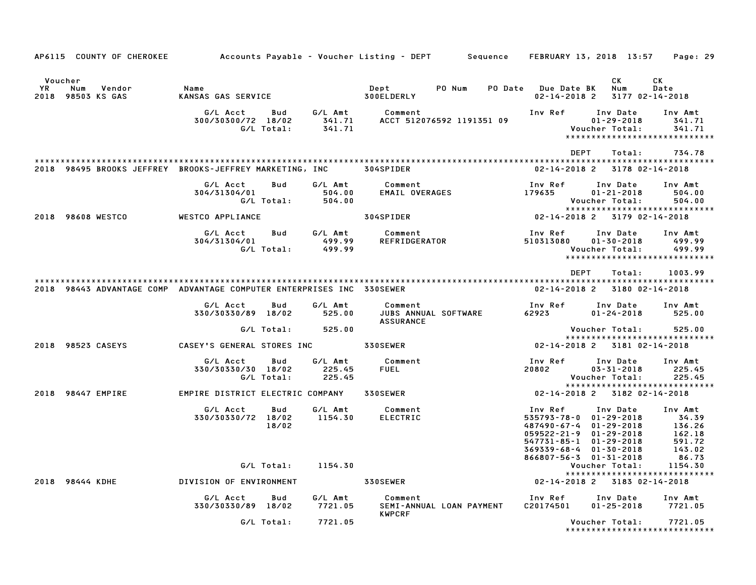|                                                                       |                                                      |                             | AP6115 COUNTY OF CHEROKEE Accounts Payable – Voucher Listing – DEPT Sequence FEBRUARY 13, 2018 13:57 Page: 29 |                                                                                                                                                                   |                                                          |
|-----------------------------------------------------------------------|------------------------------------------------------|-----------------------------|---------------------------------------------------------------------------------------------------------------|-------------------------------------------------------------------------------------------------------------------------------------------------------------------|----------------------------------------------------------|
| Voucher<br>YR.<br>Num<br>Vendor<br>2018 98503 KS GAS                  | Name<br>KANSAS GAS SERVICE                           |                             | Dept<br>PO Num<br>300ELDERLY                                                                                  | CK<br>Num<br>PO Date Due Date BK<br>$02 - 14 - 2018$ 2<br>3177 02-14-2018                                                                                         | <b>CK</b><br>Date                                        |
|                                                                       | G/L Acct<br>Bud<br>300/30300/72 18/02<br>G/L Total:  | G⁄L Amt<br>341.71           | Comment<br>341.71 ACCT 512076592 1191351 09                                                                   | Inv Ref<br>Inv Date<br>$01 - 29 - 2018$<br>Voucher Total:<br>*****************************                                                                        | Inv Amt<br>341.71<br>341.71                              |
|                                                                       |                                                      |                             |                                                                                                               | DEPT<br>Total:                                                                                                                                                    | 734.78                                                   |
| 2018 98495 BROOKS JEFFREY BROOKS-JEFFREY MARKETING, INC 304SPIDER     |                                                      |                             |                                                                                                               | 02-14-2018 2<br>3178 02-14-2018                                                                                                                                   |                                                          |
|                                                                       | G/L Acct<br>Bud<br>304/31304/01<br>G/L Total:        | G/L Amt<br>504.00<br>504.00 | Comment<br>EMAIL OVERAGES                                                                                     | Inv Ref<br>Inv Date<br>179635<br>$01 - 21 - 2018$<br>Voucher Total:<br>*****************************                                                              | Inv Amt<br>504.00<br>504.00                              |
| 2018 98608 WESTCO                                                     | WESTCO APPLIANCE                                     |                             | 304SPIDER                                                                                                     | 02-14-2018 2 3179 02-14-2018                                                                                                                                      |                                                          |
|                                                                       | G/L Acct<br><b>Bud</b><br>304/31304/01<br>G/L Total: | G⁄L Amt<br>499.99<br>499.99 | Comment<br>REFRIDGERATOR                                                                                      | Inv Ref<br>Inv Date<br>510313080<br>$01 - 30 - 2018$<br>Voucher Total:<br>*****************************                                                           | Inv Amt<br>499.99<br>499.99                              |
|                                                                       |                                                      |                             |                                                                                                               | DEPT<br>Total:                                                                                                                                                    | 1003.99                                                  |
| 2018 98443 ADVANTAGE COMP ADVANTAGE COMPUTER ENTERPRISES INC 330SEWER |                                                      |                             |                                                                                                               | 02-14-2018 2 3180 02-14-2018                                                                                                                                      |                                                          |
|                                                                       | G/L Acct<br>Bud<br>330/30330/89 18/02                | G/L Amt<br>525.00           | Comment<br>JUBS ANNUAL SOFTWARE<br><b>ASSURANCE</b>                                                           | Inv Ref<br>Inv Date<br>01-24-2018                                                                                                                                 | Inv Amt<br>525.00                                        |
|                                                                       | G/L Total:                                           | 525.00                      |                                                                                                               | Voucher Total:<br>*****************************                                                                                                                   | 525.00                                                   |
| 2018 98523 CASEYS                                                     | CASEY'S GENERAL STORES INC 330SEWER                  |                             |                                                                                                               | 02-14-2018 2 3181 02-14-2018                                                                                                                                      |                                                          |
|                                                                       | G/L Acct<br>Bud<br>330/30330/30 18/02<br>G/L Total:  | G/L Amt<br>225.45<br>225.45 | Comment<br><b>FUEL</b>                                                                                        | Inv Ref<br>Inv Date<br>20802<br>$03 - 31 - 2018$<br>Voucher Total:                                                                                                | Inv Amt<br>225.45<br>225.45                              |
| 2018 98447 EMPIRE                                                     | EMPIRE DISTRICT ELECTRIC COMPANY 330SEWER            |                             |                                                                                                               | *****************************<br>02-14-2018 2 3182 02-14-2018                                                                                                     |                                                          |
|                                                                       | G/L Acct<br>Bud<br>330/30330/72 18/02<br>18/02       | G/L Amt<br>1154.30          | Comment<br><b>ELECTRIC</b>                                                                                    | Inv Ref<br>Inv Date<br>535793-78-0 01-29-2018<br>487490-67-4 01-29-2018<br>$059522 - 21 - 9$ $01 - 29 - 2018$<br>547731-85-1 01-29-2018<br>369339-68-4 01-30-2018 | Inv Amt<br>34.39<br>136.26<br>150.25<br>591.72<br>143.02 |
|                                                                       | G/L Total:                                           | 1154.30                     |                                                                                                               | 866807-56-3 01-31-2018<br>Voucher Total:                                                                                                                          | 86.73<br>1154.30                                         |
| 2018 98444 KDHE                                                       | DIVISION OF ENVIRONMENT                              |                             | <b>330SEWER</b>                                                                                               | *****************************<br>02-14-2018 2 3183 02-14-2018                                                                                                     |                                                          |
|                                                                       | G/L Acct<br>Bud<br>330/30330/89 18/02                | G/L Amt<br>7721.05          | Comment<br>SEMI-ANNUAL LOAN PAYMENT                                                                           | Inv Ref<br>Inv Date Inv Amt<br>C20174501<br>$01 - 25 - 2018$                                                                                                      | 7721.05                                                  |
|                                                                       | G/L Total:                                           | 7721.05                     | <b>KWPCRF</b>                                                                                                 | Voucher Total:<br>*****************************                                                                                                                   | 7721.05                                                  |